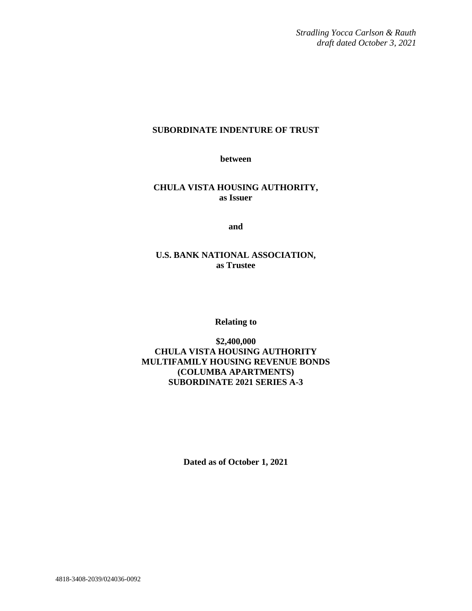*Stradling Yocca Carlson & Rauth draft dated October 3, 2021*

# **SUBORDINATE INDENTURE OF TRUST**

**between**

**CHULA VISTA HOUSING AUTHORITY, as Issuer**

**and**

# **U.S. BANK NATIONAL ASSOCIATION, as Trustee**

**Relating to**

**\$2,400,000 CHULA VISTA HOUSING AUTHORITY MULTIFAMILY HOUSING REVENUE BONDS (COLUMBA APARTMENTS) SUBORDINATE 2021 SERIES A-3**

**Dated as of October 1, 2021**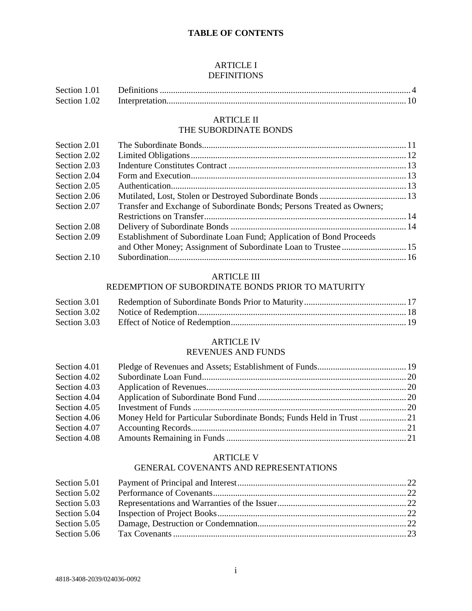# **TABLE OF CONTENTS**

### ARTICLE I DEFINITIONS

| Section 1.01 |  |
|--------------|--|
| Section 1.02 |  |

## ARTICLE II THE SUBORDINATE BONDS

| Section 2.01 |                                                                        |  |
|--------------|------------------------------------------------------------------------|--|
| Section 2.02 |                                                                        |  |
| Section 2.03 |                                                                        |  |
| Section 2.04 |                                                                        |  |
| Section 2.05 |                                                                        |  |
| Section 2.06 |                                                                        |  |
| Section 2.07 | Transfer and Exchange of Subordinate Bonds; Persons Treated as Owners; |  |
|              |                                                                        |  |
| Section 2.08 |                                                                        |  |
| Section 2.09 | Establishment of Subordinate Loan Fund; Application of Bond Proceeds   |  |
|              |                                                                        |  |
| Section 2.10 |                                                                        |  |

## ARTICLE III

# REDEMPTION OF SUBORDINATE BONDS PRIOR TO MATURITY

| Section 3.01 |  |
|--------------|--|
| Section 3.02 |  |
| Section 3.03 |  |

### ARTICLE IV REVENUES AND FUNDS

| Section 4.01 |  |
|--------------|--|
| Section 4.02 |  |
| Section 4.03 |  |
| Section 4.04 |  |
| Section 4.05 |  |
| Section 4.06 |  |
| Section 4.07 |  |
| Section 4.08 |  |

# ARTICLE V

# GENERAL COVENANTS AND REPRESENTATIONS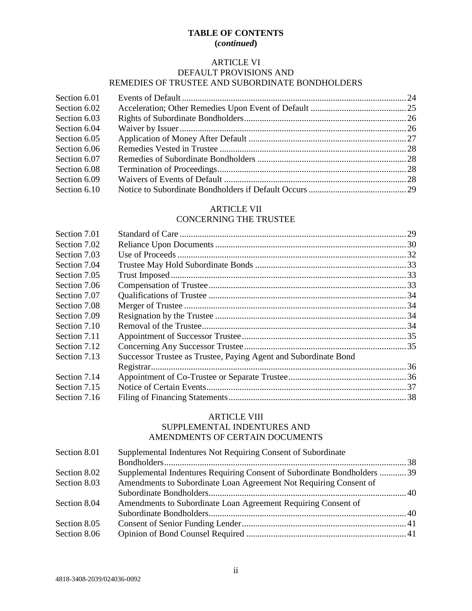# **TABLE OF CONTENTS (***continued***)**

# ARTICLE VI

# DEFAULT PROVISIONS AND

# REMEDIES OF TRUSTEE AND SUBORDINATE BONDHOLDERS

| Section 6.01 |  |
|--------------|--|
| Section 6.02 |  |
| Section 6.03 |  |
| Section 6.04 |  |
| Section 6.05 |  |
| Section 6.06 |  |
| Section 6.07 |  |
| Section 6.08 |  |
| Section 6.09 |  |
| Section 6.10 |  |

# ARTICLE VII

# CONCERNING THE TRUSTEE

| Successor Trustee as Trustee, Paying Agent and Subordinate Bond |  |
|-----------------------------------------------------------------|--|
|                                                                 |  |
|                                                                 |  |
|                                                                 |  |
|                                                                 |  |
|                                                                 |  |

# ARTICLE VIII

## SUPPLEMENTAL INDENTURES AND AMENDMENTS OF CERTAIN DOCUMENTS

| Section 8.01 | Supplemental Indentures Not Requiring Consent of Subordinate             |  |
|--------------|--------------------------------------------------------------------------|--|
|              |                                                                          |  |
| Section 8.02 | Supplemental Indentures Requiring Consent of Subordinate Bondholders  39 |  |
| Section 8.03 | Amendments to Subordinate Loan Agreement Not Requiring Consent of        |  |
|              |                                                                          |  |
| Section 8.04 | Amendments to Subordinate Loan Agreement Requiring Consent of            |  |
|              |                                                                          |  |
| Section 8.05 |                                                                          |  |
| Section 8.06 |                                                                          |  |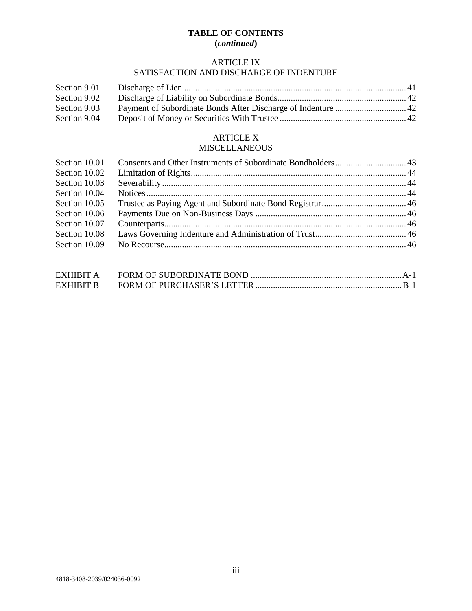# **TABLE OF CONTENTS (***continued***)**

# ARTICLE IX

# SATISFACTION AND DISCHARGE OF INDENTURE

| Section 9.01 |  |
|--------------|--|
| Section 9.02 |  |
| Section 9.03 |  |
| Section 9.04 |  |

# ARTICLE X

# MISCELLANEOUS

| Section 10.01 |  |
|---------------|--|
| Section 10.02 |  |
| Section 10.03 |  |
| Section 10.04 |  |
| Section 10.05 |  |
| Section 10.06 |  |
| Section 10.07 |  |
| Section 10.08 |  |
| Section 10.09 |  |
|               |  |

| EXHIBIT A |  |
|-----------|--|
| EXHIBIT B |  |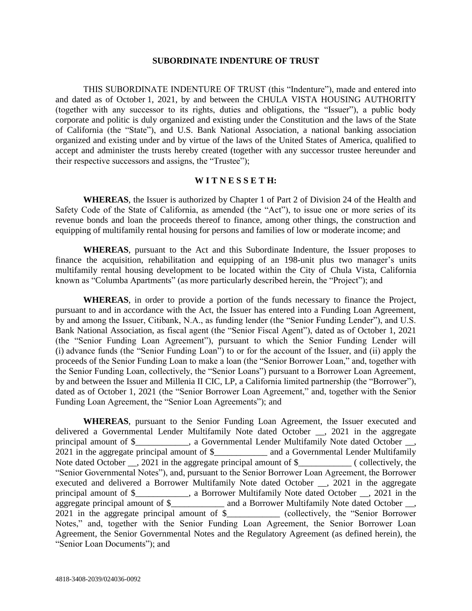#### **SUBORDINATE INDENTURE OF TRUST**

THIS SUBORDINATE INDENTURE OF TRUST (this "Indenture"), made and entered into and dated as of October 1, 2021, by and between the CHULA VISTA HOUSING AUTHORITY (together with any successor to its rights, duties and obligations, the "Issuer"), a public body corporate and politic is duly organized and existing under the Constitution and the laws of the State of California (the "State"), and U.S. Bank National Association, a national banking association organized and existing under and by virtue of the laws of the United States of America, qualified to accept and administer the trusts hereby created (together with any successor trustee hereunder and their respective successors and assigns, the "Trustee");

### **W I T N E S S E T H:**

**WHEREAS**, the Issuer is authorized by Chapter 1 of Part 2 of Division 24 of the Health and Safety Code of the State of California, as amended (the "Act"), to issue one or more series of its revenue bonds and loan the proceeds thereof to finance, among other things, the construction and equipping of multifamily rental housing for persons and families of low or moderate income; and

**WHEREAS**, pursuant to the Act and this Subordinate Indenture, the Issuer proposes to finance the acquisition, rehabilitation and equipping of an 198-unit plus two manager's units multifamily rental housing development to be located within the City of Chula Vista, California known as "Columba Apartments" (as more particularly described herein, the "Project"); and

**WHEREAS**, in order to provide a portion of the funds necessary to finance the Project, pursuant to and in accordance with the Act, the Issuer has entered into a Funding Loan Agreement, by and among the Issuer, Citibank, N.A., as funding lender (the "Senior Funding Lender"), and U.S. Bank National Association, as fiscal agent (the "Senior Fiscal Agent"), dated as of October 1, 2021 (the "Senior Funding Loan Agreement"), pursuant to which the Senior Funding Lender will (i) advance funds (the "Senior Funding Loan") to or for the account of the Issuer, and (ii) apply the proceeds of the Senior Funding Loan to make a loan (the "Senior Borrower Loan," and, together with the Senior Funding Loan, collectively, the "Senior Loans") pursuant to a Borrower Loan Agreement, by and between the Issuer and Millenia II CIC, LP, a California limited partnership (the "Borrower"), dated as of October 1, 2021 (the "Senior Borrower Loan Agreement," and, together with the Senior Funding Loan Agreement, the "Senior Loan Agreements"); and

**WHEREAS**, pursuant to the Senior Funding Loan Agreement, the Issuer executed and delivered a Governmental Lender Multifamily Note dated October \_\_, 2021 in the aggregate principal amount of \$\_\_\_\_\_\_\_\_\_\_, a Governmental Lender Multifamily Note dated October \_\_, 2021 in the aggregate principal amount of \$\_\_\_\_\_\_\_\_\_\_\_\_ and a Governmental Lender Multifamily Note dated October <sub>\_\_</sub>, 2021 in the aggregate principal amount of \$\_\_\_\_\_\_\_\_\_\_\_\_\_ ( collectively, the "Senior Governmental Notes"), and, pursuant to the Senior Borrower Loan Agreement, the Borrower executed and delivered a Borrower Multifamily Note dated October \_\_, 2021 in the aggregate principal amount of \$\_\_\_\_\_\_\_\_\_\_\_\_, a Borrower Multifamily Note dated October \_\_, 2021 in the aggregate principal amount of \$\_\_\_\_\_\_\_\_\_\_\_\_\_ and a Borrower Multifamily Note dated October \_\_, 2021 in the aggregate principal amount of \$\_\_\_\_\_\_\_\_\_\_\_\_ (collectively, the "Senior Borrower Notes," and, together with the Senior Funding Loan Agreement, the Senior Borrower Loan Agreement, the Senior Governmental Notes and the Regulatory Agreement (as defined herein), the "Senior Loan Documents"); and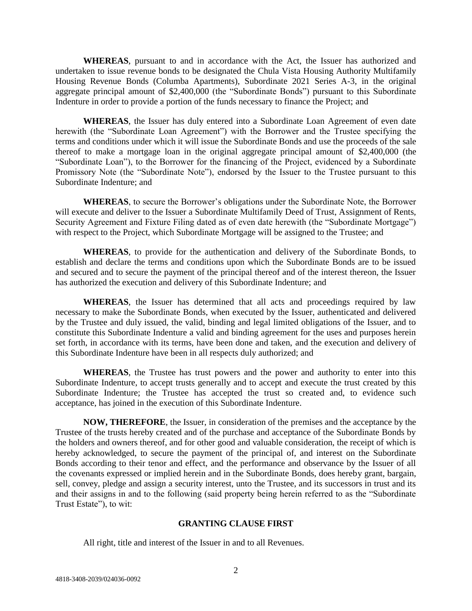**WHEREAS**, pursuant to and in accordance with the Act, the Issuer has authorized and undertaken to issue revenue bonds to be designated the Chula Vista Housing Authority Multifamily Housing Revenue Bonds (Columba Apartments), Subordinate 2021 Series A-3, in the original aggregate principal amount of \$2,400,000 (the "Subordinate Bonds") pursuant to this Subordinate Indenture in order to provide a portion of the funds necessary to finance the Project; and

**WHEREAS**, the Issuer has duly entered into a Subordinate Loan Agreement of even date herewith (the "Subordinate Loan Agreement") with the Borrower and the Trustee specifying the terms and conditions under which it will issue the Subordinate Bonds and use the proceeds of the sale thereof to make a mortgage loan in the original aggregate principal amount of \$2,400,000 (the "Subordinate Loan"), to the Borrower for the financing of the Project, evidenced by a Subordinate Promissory Note (the "Subordinate Note"), endorsed by the Issuer to the Trustee pursuant to this Subordinate Indenture; and

**WHEREAS**, to secure the Borrower's obligations under the Subordinate Note, the Borrower will execute and deliver to the Issuer a Subordinate Multifamily Deed of Trust, Assignment of Rents, Security Agreement and Fixture Filing dated as of even date herewith (the "Subordinate Mortgage") with respect to the Project, which Subordinate Mortgage will be assigned to the Trustee; and

**WHEREAS**, to provide for the authentication and delivery of the Subordinate Bonds, to establish and declare the terms and conditions upon which the Subordinate Bonds are to be issued and secured and to secure the payment of the principal thereof and of the interest thereon, the Issuer has authorized the execution and delivery of this Subordinate Indenture; and

**WHEREAS**, the Issuer has determined that all acts and proceedings required by law necessary to make the Subordinate Bonds, when executed by the Issuer, authenticated and delivered by the Trustee and duly issued, the valid, binding and legal limited obligations of the Issuer, and to constitute this Subordinate Indenture a valid and binding agreement for the uses and purposes herein set forth, in accordance with its terms, have been done and taken, and the execution and delivery of this Subordinate Indenture have been in all respects duly authorized; and

**WHEREAS**, the Trustee has trust powers and the power and authority to enter into this Subordinate Indenture, to accept trusts generally and to accept and execute the trust created by this Subordinate Indenture; the Trustee has accepted the trust so created and, to evidence such acceptance, has joined in the execution of this Subordinate Indenture.

**NOW, THEREFORE**, the Issuer, in consideration of the premises and the acceptance by the Trustee of the trusts hereby created and of the purchase and acceptance of the Subordinate Bonds by the holders and owners thereof, and for other good and valuable consideration, the receipt of which is hereby acknowledged, to secure the payment of the principal of, and interest on the Subordinate Bonds according to their tenor and effect, and the performance and observance by the Issuer of all the covenants expressed or implied herein and in the Subordinate Bonds, does hereby grant, bargain, sell, convey, pledge and assign a security interest, unto the Trustee, and its successors in trust and its and their assigns in and to the following (said property being herein referred to as the "Subordinate Trust Estate"), to wit:

## **GRANTING CLAUSE FIRST**

All right, title and interest of the Issuer in and to all Revenues.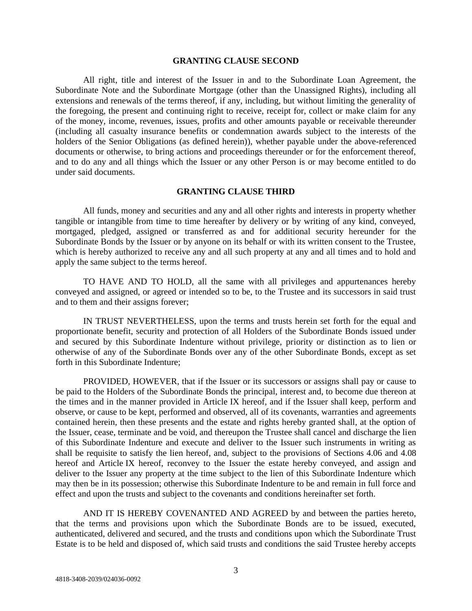#### **GRANTING CLAUSE SECOND**

All right, title and interest of the Issuer in and to the Subordinate Loan Agreement, the Subordinate Note and the Subordinate Mortgage (other than the Unassigned Rights), including all extensions and renewals of the terms thereof, if any, including, but without limiting the generality of the foregoing, the present and continuing right to receive, receipt for, collect or make claim for any of the money, income, revenues, issues, profits and other amounts payable or receivable thereunder (including all casualty insurance benefits or condemnation awards subject to the interests of the holders of the Senior Obligations (as defined herein)), whether payable under the above-referenced documents or otherwise, to bring actions and proceedings thereunder or for the enforcement thereof, and to do any and all things which the Issuer or any other Person is or may become entitled to do under said documents.

### **GRANTING CLAUSE THIRD**

All funds, money and securities and any and all other rights and interests in property whether tangible or intangible from time to time hereafter by delivery or by writing of any kind, conveyed, mortgaged, pledged, assigned or transferred as and for additional security hereunder for the Subordinate Bonds by the Issuer or by anyone on its behalf or with its written consent to the Trustee, which is hereby authorized to receive any and all such property at any and all times and to hold and apply the same subject to the terms hereof.

TO HAVE AND TO HOLD, all the same with all privileges and appurtenances hereby conveyed and assigned, or agreed or intended so to be, to the Trustee and its successors in said trust and to them and their assigns forever;

IN TRUST NEVERTHELESS, upon the terms and trusts herein set forth for the equal and proportionate benefit, security and protection of all Holders of the Subordinate Bonds issued under and secured by this Subordinate Indenture without privilege, priority or distinction as to lien or otherwise of any of the Subordinate Bonds over any of the other Subordinate Bonds, except as set forth in this Subordinate Indenture;

PROVIDED, HOWEVER, that if the Issuer or its successors or assigns shall pay or cause to be paid to the Holders of the Subordinate Bonds the principal, interest and, to become due thereon at the times and in the manner provided in Article IX hereof, and if the Issuer shall keep, perform and observe, or cause to be kept, performed and observed, all of its covenants, warranties and agreements contained herein, then these presents and the estate and rights hereby granted shall, at the option of the Issuer, cease, terminate and be void, and thereupon the Trustee shall cancel and discharge the lien of this Subordinate Indenture and execute and deliver to the Issuer such instruments in writing as shall be requisite to satisfy the lien hereof, and, subject to the provisions of Sections 4.06 and 4.08 hereof and Article IX hereof, reconvey to the Issuer the estate hereby conveyed, and assign and deliver to the Issuer any property at the time subject to the lien of this Subordinate Indenture which may then be in its possession; otherwise this Subordinate Indenture to be and remain in full force and effect and upon the trusts and subject to the covenants and conditions hereinafter set forth.

AND IT IS HEREBY COVENANTED AND AGREED by and between the parties hereto, that the terms and provisions upon which the Subordinate Bonds are to be issued, executed, authenticated, delivered and secured, and the trusts and conditions upon which the Subordinate Trust Estate is to be held and disposed of, which said trusts and conditions the said Trustee hereby accepts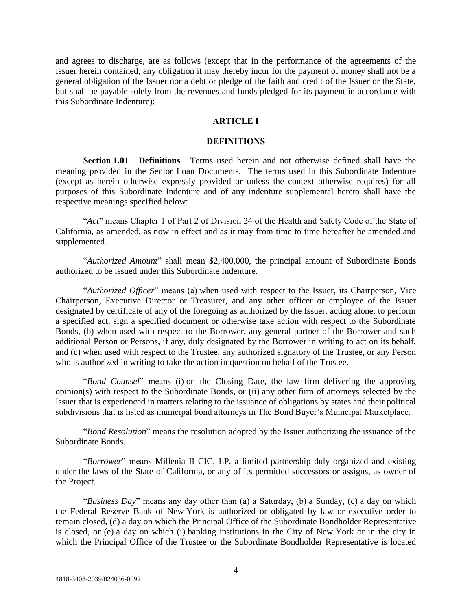and agrees to discharge, are as follows (except that in the performance of the agreements of the Issuer herein contained, any obligation it may thereby incur for the payment of money shall not be a general obligation of the Issuer nor a debt or pledge of the faith and credit of the Issuer or the State, but shall be payable solely from the revenues and funds pledged for its payment in accordance with this Subordinate Indenture):

# **ARTICLE I**

#### **DEFINITIONS**

**Section 1.01 Definitions**. Terms used herein and not otherwise defined shall have the meaning provided in the Senior Loan Documents. The terms used in this Subordinate Indenture (except as herein otherwise expressly provided or unless the context otherwise requires) for all purposes of this Subordinate Indenture and of any indenture supplemental hereto shall have the respective meanings specified below:

"*Act*" means Chapter 1 of Part 2 of Division 24 of the Health and Safety Code of the State of California, as amended, as now in effect and as it may from time to time hereafter be amended and supplemented.

"*Authorized Amount*" shall mean \$2,400,000, the principal amount of Subordinate Bonds authorized to be issued under this Subordinate Indenture.

"*Authorized Officer*" means (a) when used with respect to the Issuer, its Chairperson, Vice Chairperson, Executive Director or Treasurer, and any other officer or employee of the Issuer designated by certificate of any of the foregoing as authorized by the Issuer, acting alone, to perform a specified act, sign a specified document or otherwise take action with respect to the Subordinate Bonds, (b) when used with respect to the Borrower, any general partner of the Borrower and such additional Person or Persons, if any, duly designated by the Borrower in writing to act on its behalf, and (c) when used with respect to the Trustee, any authorized signatory of the Trustee, or any Person who is authorized in writing to take the action in question on behalf of the Trustee.

"*Bond Counsel*" means (i) on the Closing Date, the law firm delivering the approving opinion(s) with respect to the Subordinate Bonds, or (ii) any other firm of attorneys selected by the Issuer that is experienced in matters relating to the issuance of obligations by states and their political subdivisions that is listed as municipal bond attorneys in The Bond Buyer's Municipal Marketplace.

"*Bond Resolution*" means the resolution adopted by the Issuer authorizing the issuance of the Subordinate Bonds.

"*Borrower*" means Millenia II CIC, LP, a limited partnership duly organized and existing under the laws of the State of California, or any of its permitted successors or assigns, as owner of the Project.

"*Business Day*" means any day other than (a) a Saturday, (b) a Sunday, (c) a day on which the Federal Reserve Bank of New York is authorized or obligated by law or executive order to remain closed, (d) a day on which the Principal Office of the Subordinate Bondholder Representative is closed, or (e) a day on which (i) banking institutions in the City of New York or in the city in which the Principal Office of the Trustee or the Subordinate Bondholder Representative is located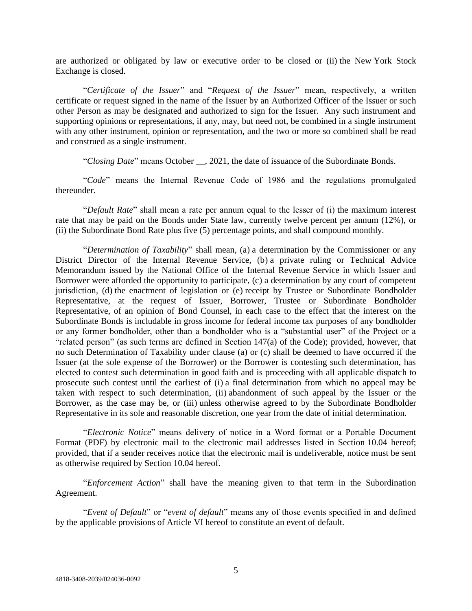are authorized or obligated by law or executive order to be closed or (ii) the New York Stock Exchange is closed.

"*Certificate of the Issuer*" and "*Request of the Issuer*" mean, respectively, a written certificate or request signed in the name of the Issuer by an Authorized Officer of the Issuer or such other Person as may be designated and authorized to sign for the Issuer. Any such instrument and supporting opinions or representations, if any, may, but need not, be combined in a single instrument with any other instrument, opinion or representation, and the two or more so combined shall be read and construed as a single instrument.

"*Closing Date*" means October \_\_, 2021, the date of issuance of the Subordinate Bonds.

"*Code*" means the Internal Revenue Code of 1986 and the regulations promulgated thereunder.

"*Default Rate*" shall mean a rate per annum equal to the lesser of (i) the maximum interest rate that may be paid on the Bonds under State law, currently twelve percent per annum (12%), or (ii) the Subordinate Bond Rate plus five (5) percentage points, and shall compound monthly.

"*Determination of Taxability*" shall mean, (a) a determination by the Commissioner or any District Director of the Internal Revenue Service, (b) a private ruling or Technical Advice Memorandum issued by the National Office of the Internal Revenue Service in which Issuer and Borrower were afforded the opportunity to participate, (c) a determination by any court of competent jurisdiction, (d) the enactment of legislation or (e) receipt by Trustee or Subordinate Bondholder Representative, at the request of Issuer, Borrower, Trustee or Subordinate Bondholder Representative, of an opinion of Bond Counsel, in each case to the effect that the interest on the Subordinate Bonds is includable in gross income for federal income tax purposes of any bondholder or any former bondholder, other than a bondholder who is a "substantial user" of the Project or a "related person" (as such terms are defined in Section 147(a) of the Code); provided, however, that no such Determination of Taxability under clause (a) or (c) shall be deemed to have occurred if the Issuer (at the sole expense of the Borrower) or the Borrower is contesting such determination, has elected to contest such determination in good faith and is proceeding with all applicable dispatch to prosecute such contest until the earliest of (i) a final determination from which no appeal may be taken with respect to such determination, (ii) abandonment of such appeal by the Issuer or the Borrower, as the case may be, or (iii) unless otherwise agreed to by the Subordinate Bondholder Representative in its sole and reasonable discretion, one year from the date of initial determination.

"*Electronic Notice*" means delivery of notice in a Word format or a Portable Document Format (PDF) by electronic mail to the electronic mail addresses listed in Section 10.04 hereof; provided, that if a sender receives notice that the electronic mail is undeliverable, notice must be sent as otherwise required by Section 10.04 hereof.

"*Enforcement Action*" shall have the meaning given to that term in the Subordination Agreement.

"*Event of Default*" or "*event of default*" means any of those events specified in and defined by the applicable provisions of Article VI hereof to constitute an event of default.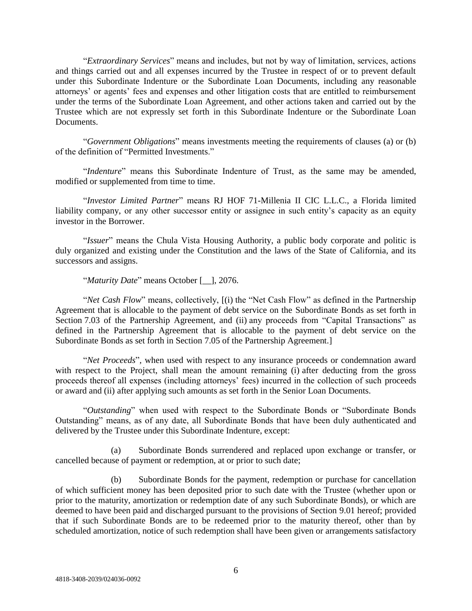"*Extraordinary Services*" means and includes, but not by way of limitation, services, actions and things carried out and all expenses incurred by the Trustee in respect of or to prevent default under this Subordinate Indenture or the Subordinate Loan Documents, including any reasonable attorneys' or agents' fees and expenses and other litigation costs that are entitled to reimbursement under the terms of the Subordinate Loan Agreement, and other actions taken and carried out by the Trustee which are not expressly set forth in this Subordinate Indenture or the Subordinate Loan Documents.

"*Government Obligations*" means investments meeting the requirements of clauses (a) or (b) of the definition of "Permitted Investments."

"*Indenture*" means this Subordinate Indenture of Trust, as the same may be amended, modified or supplemented from time to time.

"*Investor Limited Partner*" means RJ HOF 71-Millenia II CIC L.L.C., a Florida limited liability company, or any other successor entity or assignee in such entity's capacity as an equity investor in the Borrower.

"*Issuer*" means the Chula Vista Housing Authority, a public body corporate and politic is duly organized and existing under the Constitution and the laws of the State of California, and its successors and assigns.

"*Maturity Date*" means October [\_\_], 2076.

"*Net Cash Flow*" means, collectively, [(i) the "Net Cash Flow" as defined in the Partnership Agreement that is allocable to the payment of debt service on the Subordinate Bonds as set forth in Section 7.03 of the Partnership Agreement, and (ii) any proceeds from "Capital Transactions" as defined in the Partnership Agreement that is allocable to the payment of debt service on the Subordinate Bonds as set forth in Section 7.05 of the Partnership Agreement.]

"*Net Proceeds*"*,* when used with respect to any insurance proceeds or condemnation award with respect to the Project, shall mean the amount remaining (i) after deducting from the gross proceeds thereof all expenses (including attorneys' fees) incurred in the collection of such proceeds or award and (ii) after applying such amounts as set forth in the Senior Loan Documents.

"*Outstanding*" when used with respect to the Subordinate Bonds or "Subordinate Bonds Outstanding" means, as of any date, all Subordinate Bonds that have been duly authenticated and delivered by the Trustee under this Subordinate Indenture, except:

(a) Subordinate Bonds surrendered and replaced upon exchange or transfer, or cancelled because of payment or redemption, at or prior to such date;

(b) Subordinate Bonds for the payment, redemption or purchase for cancellation of which sufficient money has been deposited prior to such date with the Trustee (whether upon or prior to the maturity, amortization or redemption date of any such Subordinate Bonds), or which are deemed to have been paid and discharged pursuant to the provisions of Section 9.01 hereof; provided that if such Subordinate Bonds are to be redeemed prior to the maturity thereof, other than by scheduled amortization, notice of such redemption shall have been given or arrangements satisfactory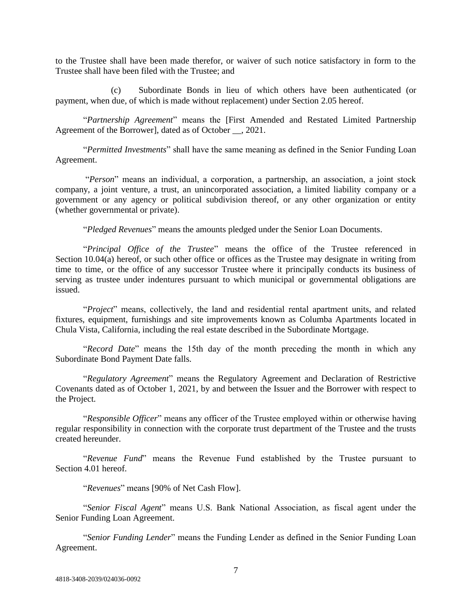to the Trustee shall have been made therefor, or waiver of such notice satisfactory in form to the Trustee shall have been filed with the Trustee; and

(c) Subordinate Bonds in lieu of which others have been authenticated (or payment, when due, of which is made without replacement) under Section 2.05 hereof.

"*Partnership Agreement*" means the [First Amended and Restated Limited Partnership Agreement of the Borrower], dated as of October \_\_, 2021.

"*Permitted Investments*" shall have the same meaning as defined in the Senior Funding Loan Agreement.

"*Person*" means an individual, a corporation, a partnership, an association, a joint stock company, a joint venture, a trust, an unincorporated association, a limited liability company or a government or any agency or political subdivision thereof, or any other organization or entity (whether governmental or private).

"*Pledged Revenues*" means the amounts pledged under the Senior Loan Documents.

"*Principal Office of the Trustee*" means the office of the Trustee referenced in Section 10.04(a) hereof, or such other office or offices as the Trustee may designate in writing from time to time, or the office of any successor Trustee where it principally conducts its business of serving as trustee under indentures pursuant to which municipal or governmental obligations are issued.

"*Project*" means, collectively, the land and residential rental apartment units, and related fixtures, equipment, furnishings and site improvements known as Columba Apartments located in Chula Vista, California, including the real estate described in the Subordinate Mortgage.

"*Record Date*" means the 15th day of the month preceding the month in which any Subordinate Bond Payment Date falls.

"*Regulatory Agreement*" means the Regulatory Agreement and Declaration of Restrictive Covenants dated as of October 1, 2021, by and between the Issuer and the Borrower with respect to the Project.

"*Responsible Officer*" means any officer of the Trustee employed within or otherwise having regular responsibility in connection with the corporate trust department of the Trustee and the trusts created hereunder.

"*Revenue Fund*" means the Revenue Fund established by the Trustee pursuant to Section 4.01 hereof.

"*Revenues*" means [90% of Net Cash Flow].

"*Senior Fiscal Agent*" means U.S. Bank National Association, as fiscal agent under the Senior Funding Loan Agreement.

"*Senior Funding Lender*" means the Funding Lender as defined in the Senior Funding Loan Agreement.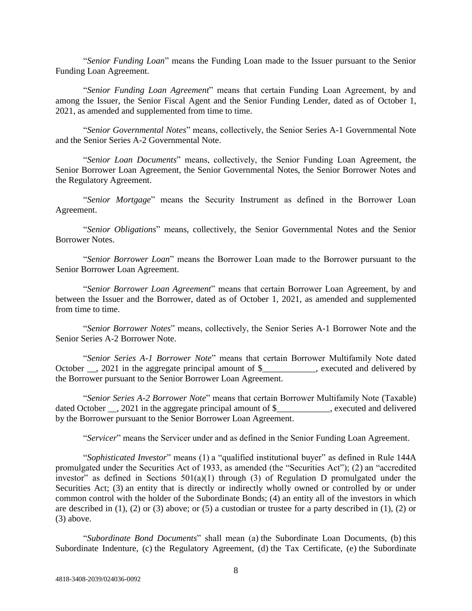"*Senior Funding Loan*" means the Funding Loan made to the Issuer pursuant to the Senior Funding Loan Agreement.

"*Senior Funding Loan Agreement*" means that certain Funding Loan Agreement, by and among the Issuer, the Senior Fiscal Agent and the Senior Funding Lender, dated as of October 1, 2021, as amended and supplemented from time to time.

"*Senior Governmental Notes*" means, collectively, the Senior Series A-1 Governmental Note and the Senior Series A-2 Governmental Note.

"*Senior Loan Documents*" means, collectively, the Senior Funding Loan Agreement, the Senior Borrower Loan Agreement, the Senior Governmental Notes, the Senior Borrower Notes and the Regulatory Agreement.

"*Senior Mortgage*" means the Security Instrument as defined in the Borrower Loan Agreement.

"*Senior Obligations*" means, collectively, the Senior Governmental Notes and the Senior Borrower Notes.

"*Senior Borrower Loan*" means the Borrower Loan made to the Borrower pursuant to the Senior Borrower Loan Agreement.

"*Senior Borrower Loan Agreement*" means that certain Borrower Loan Agreement, by and between the Issuer and the Borrower, dated as of October 1, 2021, as amended and supplemented from time to time.

"*Senior Borrower Notes*" means, collectively, the Senior Series A-1 Borrower Note and the Senior Series A-2 Borrower Note.

"*Senior Series A-1 Borrower Note*" means that certain Borrower Multifamily Note dated October \_\_, 2021 in the aggregate principal amount of \$\_\_\_\_\_\_\_\_\_, executed and delivered by the Borrower pursuant to the Senior Borrower Loan Agreement.

"*Senior Series A-2 Borrower Note*" means that certain Borrower Multifamily Note (Taxable) dated October . 2021 in the aggregate principal amount of \$ , executed and delivered by the Borrower pursuant to the Senior Borrower Loan Agreement.

"*Servicer*" means the Servicer under and as defined in the Senior Funding Loan Agreement.

"*Sophisticated Investor*" means (1) a "qualified institutional buyer" as defined in Rule 144A promulgated under the Securities Act of 1933, as amended (the "Securities Act"); (2) an "accredited investor" as defined in Sections  $501(a)(1)$  through (3) of Regulation D promulgated under the Securities Act; (3) an entity that is directly or indirectly wholly owned or controlled by or under common control with the holder of the Subordinate Bonds; (4) an entity all of the investors in which are described in (1), (2) or (3) above; or (5) a custodian or trustee for a party described in (1), (2) or (3) above.

"*Subordinate Bond Documents*" shall mean (a) the Subordinate Loan Documents, (b) this Subordinate Indenture, (c) the Regulatory Agreement, (d) the Tax Certificate, (e) the Subordinate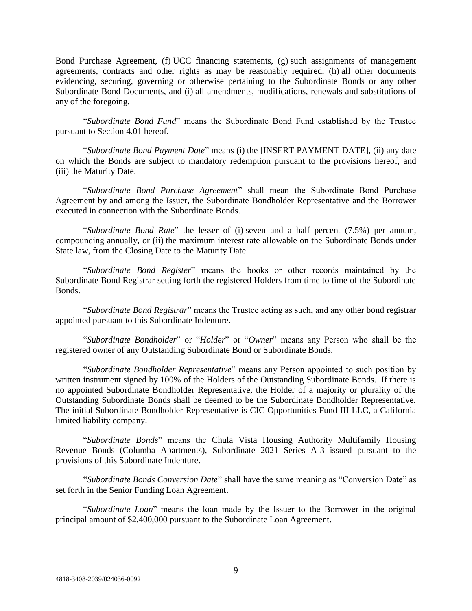Bond Purchase Agreement, (f) UCC financing statements, (g) such assignments of management agreements, contracts and other rights as may be reasonably required, (h) all other documents evidencing, securing, governing or otherwise pertaining to the Subordinate Bonds or any other Subordinate Bond Documents, and (i) all amendments, modifications, renewals and substitutions of any of the foregoing.

"*Subordinate Bond Fund*" means the Subordinate Bond Fund established by the Trustee pursuant to Section 4.01 hereof.

"*Subordinate Bond Payment Date*" means (i) the [INSERT PAYMENT DATE], (ii) any date on which the Bonds are subject to mandatory redemption pursuant to the provisions hereof, and (iii) the Maturity Date.

"*Subordinate Bond Purchase Agreement*" shall mean the Subordinate Bond Purchase Agreement by and among the Issuer, the Subordinate Bondholder Representative and the Borrower executed in connection with the Subordinate Bonds.

"*Subordinate Bond Rate*" the lesser of (i) seven and a half percent (7.5%) per annum, compounding annually, or (ii) the maximum interest rate allowable on the Subordinate Bonds under State law, from the Closing Date to the Maturity Date.

"*Subordinate Bond Register*" means the books or other records maintained by the Subordinate Bond Registrar setting forth the registered Holders from time to time of the Subordinate Bonds.

"*Subordinate Bond Registrar*" means the Trustee acting as such, and any other bond registrar appointed pursuant to this Subordinate Indenture.

"*Subordinate Bondholder*" or "*Holder*" or "*Owner*" means any Person who shall be the registered owner of any Outstanding Subordinate Bond or Subordinate Bonds.

"*Subordinate Bondholder Representative*" means any Person appointed to such position by written instrument signed by 100% of the Holders of the Outstanding Subordinate Bonds. If there is no appointed Subordinate Bondholder Representative, the Holder of a majority or plurality of the Outstanding Subordinate Bonds shall be deemed to be the Subordinate Bondholder Representative. The initial Subordinate Bondholder Representative is CIC Opportunities Fund III LLC, a California limited liability company.

"*Subordinate Bonds*" means the Chula Vista Housing Authority Multifamily Housing Revenue Bonds (Columba Apartments), Subordinate 2021 Series A-3 issued pursuant to the provisions of this Subordinate Indenture.

"*Subordinate Bonds Conversion Date*" shall have the same meaning as "Conversion Date" as set forth in the Senior Funding Loan Agreement.

"*Subordinate Loan*" means the loan made by the Issuer to the Borrower in the original principal amount of \$2,400,000 pursuant to the Subordinate Loan Agreement.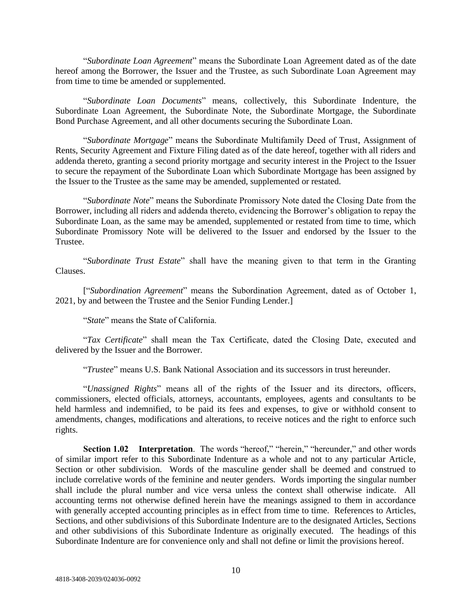"*Subordinate Loan Agreement*" means the Subordinate Loan Agreement dated as of the date hereof among the Borrower, the Issuer and the Trustee, as such Subordinate Loan Agreement may from time to time be amended or supplemented.

"*Subordinate Loan Documents*" means, collectively, this Subordinate Indenture, the Subordinate Loan Agreement, the Subordinate Note, the Subordinate Mortgage, the Subordinate Bond Purchase Agreement, and all other documents securing the Subordinate Loan.

"*Subordinate Mortgage*" means the Subordinate Multifamily Deed of Trust, Assignment of Rents, Security Agreement and Fixture Filing dated as of the date hereof, together with all riders and addenda thereto, granting a second priority mortgage and security interest in the Project to the Issuer to secure the repayment of the Subordinate Loan which Subordinate Mortgage has been assigned by the Issuer to the Trustee as the same may be amended, supplemented or restated.

"*Subordinate Note*" means the Subordinate Promissory Note dated the Closing Date from the Borrower, including all riders and addenda thereto, evidencing the Borrower's obligation to repay the Subordinate Loan, as the same may be amended, supplemented or restated from time to time, which Subordinate Promissory Note will be delivered to the Issuer and endorsed by the Issuer to the Trustee.

"*Subordinate Trust Estate*" shall have the meaning given to that term in the Granting Clauses.

["*Subordination Agreement*" means the Subordination Agreement, dated as of October 1, 2021, by and between the Trustee and the Senior Funding Lender.]

"*State*" means the State of California.

"*Tax Certificate*" shall mean the Tax Certificate, dated the Closing Date, executed and delivered by the Issuer and the Borrower.

"*Trustee*" means U.S. Bank National Association and its successors in trust hereunder.

"*Unassigned Rights*" means all of the rights of the Issuer and its directors, officers, commissioners, elected officials, attorneys, accountants, employees, agents and consultants to be held harmless and indemnified, to be paid its fees and expenses, to give or withhold consent to amendments, changes, modifications and alterations, to receive notices and the right to enforce such rights.

**Section 1.02 Interpretation**. The words "hereof," "herein," "hereunder," and other words of similar import refer to this Subordinate Indenture as a whole and not to any particular Article, Section or other subdivision. Words of the masculine gender shall be deemed and construed to include correlative words of the feminine and neuter genders. Words importing the singular number shall include the plural number and vice versa unless the context shall otherwise indicate. All accounting terms not otherwise defined herein have the meanings assigned to them in accordance with generally accepted accounting principles as in effect from time to time. References to Articles, Sections, and other subdivisions of this Subordinate Indenture are to the designated Articles, Sections and other subdivisions of this Subordinate Indenture as originally executed. The headings of this Subordinate Indenture are for convenience only and shall not define or limit the provisions hereof.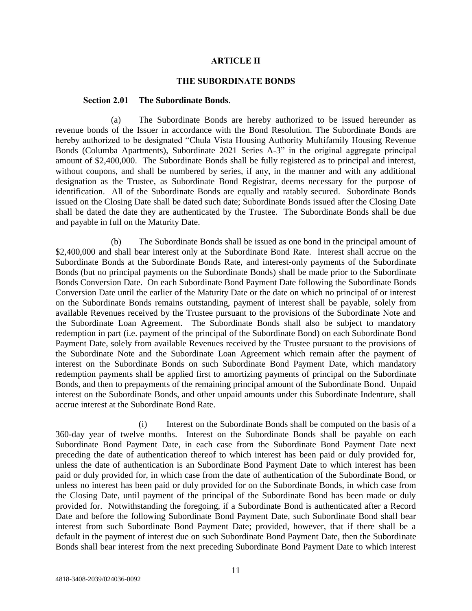### **ARTICLE II**

## **THE SUBORDINATE BONDS**

#### **Section 2.01 The Subordinate Bonds**.

(a) The Subordinate Bonds are hereby authorized to be issued hereunder as revenue bonds of the Issuer in accordance with the Bond Resolution. The Subordinate Bonds are hereby authorized to be designated "Chula Vista Housing Authority Multifamily Housing Revenue Bonds (Columba Apartments), Subordinate 2021 Series A-3" in the original aggregate principal amount of \$2,400,000. The Subordinate Bonds shall be fully registered as to principal and interest, without coupons, and shall be numbered by series, if any, in the manner and with any additional designation as the Trustee, as Subordinate Bond Registrar, deems necessary for the purpose of identification. All of the Subordinate Bonds are equally and ratably secured. Subordinate Bonds issued on the Closing Date shall be dated such date; Subordinate Bonds issued after the Closing Date shall be dated the date they are authenticated by the Trustee. The Subordinate Bonds shall be due and payable in full on the Maturity Date.

(b) The Subordinate Bonds shall be issued as one bond in the principal amount of \$2,400,000 and shall bear interest only at the Subordinate Bond Rate. Interest shall accrue on the Subordinate Bonds at the Subordinate Bonds Rate, and interest-only payments of the Subordinate Bonds (but no principal payments on the Subordinate Bonds) shall be made prior to the Subordinate Bonds Conversion Date. On each Subordinate Bond Payment Date following the Subordinate Bonds Conversion Date until the earlier of the Maturity Date or the date on which no principal of or interest on the Subordinate Bonds remains outstanding, payment of interest shall be payable, solely from available Revenues received by the Trustee pursuant to the provisions of the Subordinate Note and the Subordinate Loan Agreement. The Subordinate Bonds shall also be subject to mandatory redemption in part (i.e. payment of the principal of the Subordinate Bond) on each Subordinate Bond Payment Date, solely from available Revenues received by the Trustee pursuant to the provisions of the Subordinate Note and the Subordinate Loan Agreement which remain after the payment of interest on the Subordinate Bonds on such Subordinate Bond Payment Date, which mandatory redemption payments shall be applied first to amortizing payments of principal on the Subordinate Bonds, and then to prepayments of the remaining principal amount of the Subordinate Bond. Unpaid interest on the Subordinate Bonds, and other unpaid amounts under this Subordinate Indenture, shall accrue interest at the Subordinate Bond Rate.

(i) Interest on the Subordinate Bonds shall be computed on the basis of a 360-day year of twelve months. Interest on the Subordinate Bonds shall be payable on each Subordinate Bond Payment Date, in each case from the Subordinate Bond Payment Date next preceding the date of authentication thereof to which interest has been paid or duly provided for, unless the date of authentication is an Subordinate Bond Payment Date to which interest has been paid or duly provided for, in which case from the date of authentication of the Subordinate Bond, or unless no interest has been paid or duly provided for on the Subordinate Bonds, in which case from the Closing Date, until payment of the principal of the Subordinate Bond has been made or duly provided for. Notwithstanding the foregoing, if a Subordinate Bond is authenticated after a Record Date and before the following Subordinate Bond Payment Date, such Subordinate Bond shall bear interest from such Subordinate Bond Payment Date; provided, however, that if there shall be a default in the payment of interest due on such Subordinate Bond Payment Date, then the Subordinate Bonds shall bear interest from the next preceding Subordinate Bond Payment Date to which interest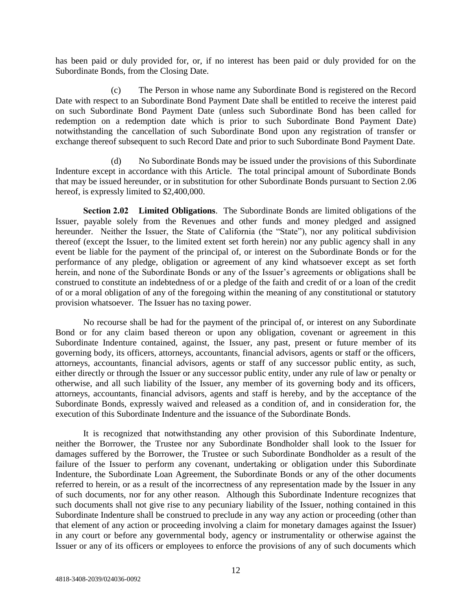has been paid or duly provided for, or, if no interest has been paid or duly provided for on the Subordinate Bonds, from the Closing Date.

(c) The Person in whose name any Subordinate Bond is registered on the Record Date with respect to an Subordinate Bond Payment Date shall be entitled to receive the interest paid on such Subordinate Bond Payment Date (unless such Subordinate Bond has been called for redemption on a redemption date which is prior to such Subordinate Bond Payment Date) notwithstanding the cancellation of such Subordinate Bond upon any registration of transfer or exchange thereof subsequent to such Record Date and prior to such Subordinate Bond Payment Date.

(d) No Subordinate Bonds may be issued under the provisions of this Subordinate Indenture except in accordance with this Article. The total principal amount of Subordinate Bonds that may be issued hereunder, or in substitution for other Subordinate Bonds pursuant to Section 2.06 hereof, is expressly limited to \$2,400,000.

**Section 2.02 Limited Obligations**. The Subordinate Bonds are limited obligations of the Issuer, payable solely from the Revenues and other funds and money pledged and assigned hereunder. Neither the Issuer, the State of California (the "State"), nor any political subdivision thereof (except the Issuer, to the limited extent set forth herein) nor any public agency shall in any event be liable for the payment of the principal of, or interest on the Subordinate Bonds or for the performance of any pledge, obligation or agreement of any kind whatsoever except as set forth herein, and none of the Subordinate Bonds or any of the Issuer's agreements or obligations shall be construed to constitute an indebtedness of or a pledge of the faith and credit of or a loan of the credit of or a moral obligation of any of the foregoing within the meaning of any constitutional or statutory provision whatsoever. The Issuer has no taxing power.

No recourse shall be had for the payment of the principal of, or interest on any Subordinate Bond or for any claim based thereon or upon any obligation, covenant or agreement in this Subordinate Indenture contained, against, the Issuer, any past, present or future member of its governing body, its officers, attorneys, accountants, financial advisors, agents or staff or the officers, attorneys, accountants, financial advisors, agents or staff of any successor public entity, as such, either directly or through the Issuer or any successor public entity, under any rule of law or penalty or otherwise, and all such liability of the Issuer, any member of its governing body and its officers, attorneys, accountants, financial advisors, agents and staff is hereby, and by the acceptance of the Subordinate Bonds, expressly waived and released as a condition of, and in consideration for, the execution of this Subordinate Indenture and the issuance of the Subordinate Bonds.

It is recognized that notwithstanding any other provision of this Subordinate Indenture, neither the Borrower, the Trustee nor any Subordinate Bondholder shall look to the Issuer for damages suffered by the Borrower, the Trustee or such Subordinate Bondholder as a result of the failure of the Issuer to perform any covenant, undertaking or obligation under this Subordinate Indenture, the Subordinate Loan Agreement, the Subordinate Bonds or any of the other documents referred to herein, or as a result of the incorrectness of any representation made by the Issuer in any of such documents, nor for any other reason. Although this Subordinate Indenture recognizes that such documents shall not give rise to any pecuniary liability of the Issuer, nothing contained in this Subordinate Indenture shall be construed to preclude in any way any action or proceeding (other than that element of any action or proceeding involving a claim for monetary damages against the Issuer) in any court or before any governmental body, agency or instrumentality or otherwise against the Issuer or any of its officers or employees to enforce the provisions of any of such documents which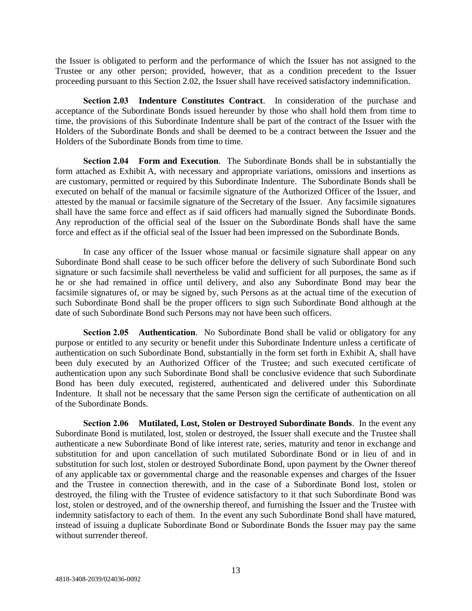the Issuer is obligated to perform and the performance of which the Issuer has not assigned to the Trustee or any other person; provided, however, that as a condition precedent to the Issuer proceeding pursuant to this Section 2.02, the Issuer shall have received satisfactory indemnification.

**Section 2.03 Indenture Constitutes Contract**. In consideration of the purchase and acceptance of the Subordinate Bonds issued hereunder by those who shall hold them from time to time, the provisions of this Subordinate Indenture shall be part of the contract of the Issuer with the Holders of the Subordinate Bonds and shall be deemed to be a contract between the Issuer and the Holders of the Subordinate Bonds from time to time.

**Section 2.04 Form and Execution**. The Subordinate Bonds shall be in substantially the form attached as Exhibit A, with necessary and appropriate variations, omissions and insertions as are customary, permitted or required by this Subordinate Indenture. The Subordinate Bonds shall be executed on behalf of the manual or facsimile signature of the Authorized Officer of the Issuer, and attested by the manual or facsimile signature of the Secretary of the Issuer. Any facsimile signatures shall have the same force and effect as if said officers had manually signed the Subordinate Bonds. Any reproduction of the official seal of the Issuer on the Subordinate Bonds shall have the same force and effect as if the official seal of the Issuer had been impressed on the Subordinate Bonds.

In case any officer of the Issuer whose manual or facsimile signature shall appear on any Subordinate Bond shall cease to be such officer before the delivery of such Subordinate Bond such signature or such facsimile shall nevertheless be valid and sufficient for all purposes, the same as if he or she had remained in office until delivery, and also any Subordinate Bond may bear the facsimile signatures of, or may be signed by, such Persons as at the actual time of the execution of such Subordinate Bond shall be the proper officers to sign such Subordinate Bond although at the date of such Subordinate Bond such Persons may not have been such officers.

**Section 2.05 Authentication**. No Subordinate Bond shall be valid or obligatory for any purpose or entitled to any security or benefit under this Subordinate Indenture unless a certificate of authentication on such Subordinate Bond, substantially in the form set forth in Exhibit A, shall have been duly executed by an Authorized Officer of the Trustee; and such executed certificate of authentication upon any such Subordinate Bond shall be conclusive evidence that such Subordinate Bond has been duly executed, registered, authenticated and delivered under this Subordinate Indenture. It shall not be necessary that the same Person sign the certificate of authentication on all of the Subordinate Bonds.

**Section 2.06 Mutilated, Lost, Stolen or Destroyed Subordinate Bonds**. In the event any Subordinate Bond is mutilated, lost, stolen or destroyed, the Issuer shall execute and the Trustee shall authenticate a new Subordinate Bond of like interest rate, series, maturity and tenor in exchange and substitution for and upon cancellation of such mutilated Subordinate Bond or in lieu of and in substitution for such lost, stolen or destroyed Subordinate Bond, upon payment by the Owner thereof of any applicable tax or governmental charge and the reasonable expenses and charges of the Issuer and the Trustee in connection therewith, and in the case of a Subordinate Bond lost, stolen or destroyed, the filing with the Trustee of evidence satisfactory to it that such Subordinate Bond was lost, stolen or destroyed, and of the ownership thereof, and furnishing the Issuer and the Trustee with indemnity satisfactory to each of them. In the event any such Subordinate Bond shall have matured, instead of issuing a duplicate Subordinate Bond or Subordinate Bonds the Issuer may pay the same without surrender thereof.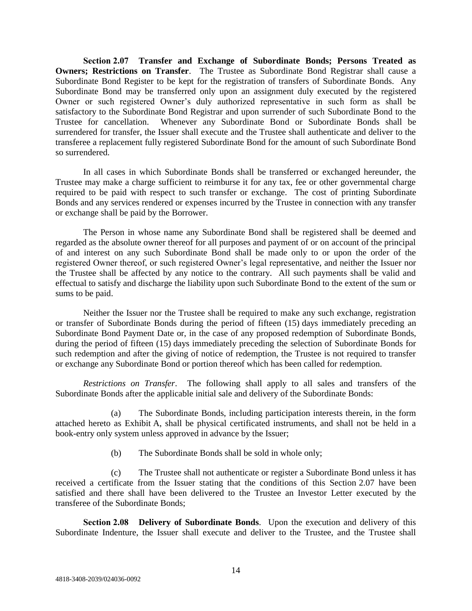**Section 2.07 Transfer and Exchange of Subordinate Bonds; Persons Treated as Owners; Restrictions on Transfer.** The Trustee as Subordinate Bond Registrar shall cause a Subordinate Bond Register to be kept for the registration of transfers of Subordinate Bonds. Any Subordinate Bond may be transferred only upon an assignment duly executed by the registered Owner or such registered Owner's duly authorized representative in such form as shall be satisfactory to the Subordinate Bond Registrar and upon surrender of such Subordinate Bond to the Trustee for cancellation. Whenever any Subordinate Bond or Subordinate Bonds shall be surrendered for transfer, the Issuer shall execute and the Trustee shall authenticate and deliver to the transferee a replacement fully registered Subordinate Bond for the amount of such Subordinate Bond so surrendered.

In all cases in which Subordinate Bonds shall be transferred or exchanged hereunder, the Trustee may make a charge sufficient to reimburse it for any tax, fee or other governmental charge required to be paid with respect to such transfer or exchange. The cost of printing Subordinate Bonds and any services rendered or expenses incurred by the Trustee in connection with any transfer or exchange shall be paid by the Borrower.

The Person in whose name any Subordinate Bond shall be registered shall be deemed and regarded as the absolute owner thereof for all purposes and payment of or on account of the principal of and interest on any such Subordinate Bond shall be made only to or upon the order of the registered Owner thereof, or such registered Owner's legal representative, and neither the Issuer nor the Trustee shall be affected by any notice to the contrary. All such payments shall be valid and effectual to satisfy and discharge the liability upon such Subordinate Bond to the extent of the sum or sums to be paid.

Neither the Issuer nor the Trustee shall be required to make any such exchange, registration or transfer of Subordinate Bonds during the period of fifteen (15) days immediately preceding an Subordinate Bond Payment Date or, in the case of any proposed redemption of Subordinate Bonds, during the period of fifteen (15) days immediately preceding the selection of Subordinate Bonds for such redemption and after the giving of notice of redemption, the Trustee is not required to transfer or exchange any Subordinate Bond or portion thereof which has been called for redemption.

*Restrictions on Transfer*. The following shall apply to all sales and transfers of the Subordinate Bonds after the applicable initial sale and delivery of the Subordinate Bonds:

(a) The Subordinate Bonds, including participation interests therein, in the form attached hereto as Exhibit A, shall be physical certificated instruments, and shall not be held in a book-entry only system unless approved in advance by the Issuer;

(b) The Subordinate Bonds shall be sold in whole only;

(c) The Trustee shall not authenticate or register a Subordinate Bond unless it has received a certificate from the Issuer stating that the conditions of this Section 2.07 have been satisfied and there shall have been delivered to the Trustee an Investor Letter executed by the transferee of the Subordinate Bonds;

**Section 2.08 Delivery of Subordinate Bonds**. Upon the execution and delivery of this Subordinate Indenture, the Issuer shall execute and deliver to the Trustee, and the Trustee shall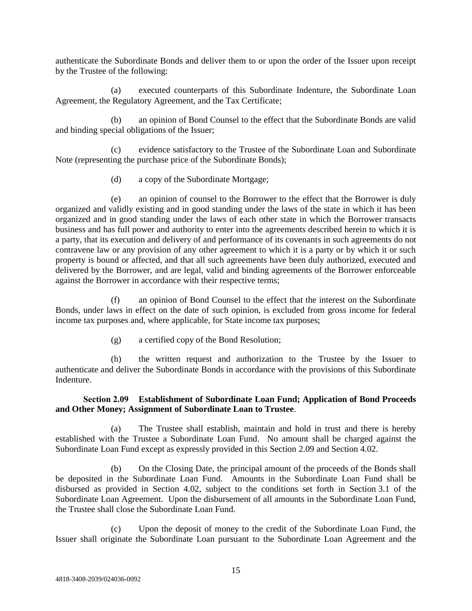authenticate the Subordinate Bonds and deliver them to or upon the order of the Issuer upon receipt by the Trustee of the following:

(a) executed counterparts of this Subordinate Indenture, the Subordinate Loan Agreement, the Regulatory Agreement, and the Tax Certificate;

(b) an opinion of Bond Counsel to the effect that the Subordinate Bonds are valid and binding special obligations of the Issuer;

(c) evidence satisfactory to the Trustee of the Subordinate Loan and Subordinate Note (representing the purchase price of the Subordinate Bonds);

(d) a copy of the Subordinate Mortgage;

(e) an opinion of counsel to the Borrower to the effect that the Borrower is duly organized and validly existing and in good standing under the laws of the state in which it has been organized and in good standing under the laws of each other state in which the Borrower transacts business and has full power and authority to enter into the agreements described herein to which it is a party, that its execution and delivery of and performance of its covenants in such agreements do not contravene law or any provision of any other agreement to which it is a party or by which it or such property is bound or affected, and that all such agreements have been duly authorized, executed and delivered by the Borrower, and are legal, valid and binding agreements of the Borrower enforceable against the Borrower in accordance with their respective terms;

(f) an opinion of Bond Counsel to the effect that the interest on the Subordinate Bonds, under laws in effect on the date of such opinion, is excluded from gross income for federal income tax purposes and, where applicable, for State income tax purposes;

(g) a certified copy of the Bond Resolution;

(h) the written request and authorization to the Trustee by the Issuer to authenticate and deliver the Subordinate Bonds in accordance with the provisions of this Subordinate Indenture.

# **Section 2.09 Establishment of Subordinate Loan Fund; Application of Bond Proceeds and Other Money; Assignment of Subordinate Loan to Trustee**.

(a) The Trustee shall establish, maintain and hold in trust and there is hereby established with the Trustee a Subordinate Loan Fund. No amount shall be charged against the Subordinate Loan Fund except as expressly provided in this Section 2.09 and Section 4.02.

(b) On the Closing Date, the principal amount of the proceeds of the Bonds shall be deposited in the Subordinate Loan Fund. Amounts in the Subordinate Loan Fund shall be disbursed as provided in Section 4.02, subject to the conditions set forth in Section 3.1 of the Subordinate Loan Agreement. Upon the disbursement of all amounts in the Subordinate Loan Fund, the Trustee shall close the Subordinate Loan Fund.

(c) Upon the deposit of money to the credit of the Subordinate Loan Fund, the Issuer shall originate the Subordinate Loan pursuant to the Subordinate Loan Agreement and the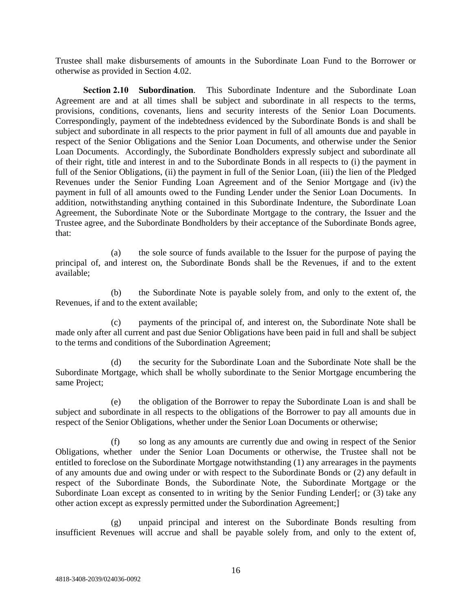Trustee shall make disbursements of amounts in the Subordinate Loan Fund to the Borrower or otherwise as provided in Section 4.02.

**Section 2.10 Subordination**. This Subordinate Indenture and the Subordinate Loan Agreement are and at all times shall be subject and subordinate in all respects to the terms, provisions, conditions, covenants, liens and security interests of the Senior Loan Documents. Correspondingly, payment of the indebtedness evidenced by the Subordinate Bonds is and shall be subject and subordinate in all respects to the prior payment in full of all amounts due and payable in respect of the Senior Obligations and the Senior Loan Documents, and otherwise under the Senior Loan Documents. Accordingly, the Subordinate Bondholders expressly subject and subordinate all of their right, title and interest in and to the Subordinate Bonds in all respects to (i) the payment in full of the Senior Obligations, (ii) the payment in full of the Senior Loan, (iii) the lien of the Pledged Revenues under the Senior Funding Loan Agreement and of the Senior Mortgage and (iv) the payment in full of all amounts owed to the Funding Lender under the Senior Loan Documents. In addition, notwithstanding anything contained in this Subordinate Indenture, the Subordinate Loan Agreement, the Subordinate Note or the Subordinate Mortgage to the contrary, the Issuer and the Trustee agree, and the Subordinate Bondholders by their acceptance of the Subordinate Bonds agree, that:

(a) the sole source of funds available to the Issuer for the purpose of paying the principal of, and interest on, the Subordinate Bonds shall be the Revenues, if and to the extent available;

(b) the Subordinate Note is payable solely from, and only to the extent of, the Revenues, if and to the extent available;

(c) payments of the principal of, and interest on, the Subordinate Note shall be made only after all current and past due Senior Obligations have been paid in full and shall be subject to the terms and conditions of the Subordination Agreement;

(d) the security for the Subordinate Loan and the Subordinate Note shall be the Subordinate Mortgage, which shall be wholly subordinate to the Senior Mortgage encumbering the same Project;

(e) the obligation of the Borrower to repay the Subordinate Loan is and shall be subject and subordinate in all respects to the obligations of the Borrower to pay all amounts due in respect of the Senior Obligations, whether under the Senior Loan Documents or otherwise;

(f) so long as any amounts are currently due and owing in respect of the Senior Obligations, whether under the Senior Loan Documents or otherwise, the Trustee shall not be entitled to foreclose on the Subordinate Mortgage notwithstanding (1) any arrearages in the payments of any amounts due and owing under or with respect to the Subordinate Bonds or (2) any default in respect of the Subordinate Bonds, the Subordinate Note, the Subordinate Mortgage or the Subordinate Loan except as consented to in writing by the Senior Funding Lender[; or (3) take any other action except as expressly permitted under the Subordination Agreement;]

(g) unpaid principal and interest on the Subordinate Bonds resulting from insufficient Revenues will accrue and shall be payable solely from, and only to the extent of,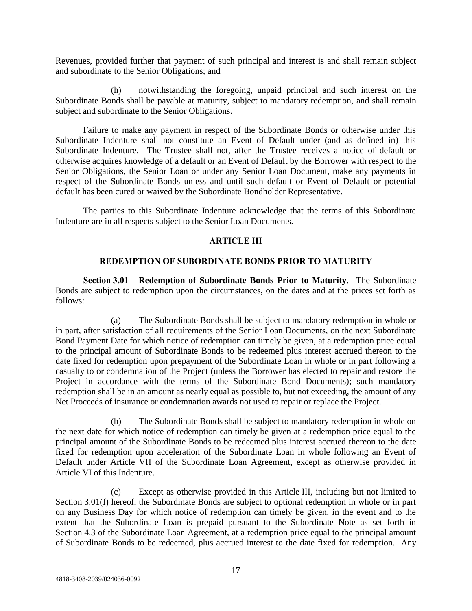Revenues, provided further that payment of such principal and interest is and shall remain subject and subordinate to the Senior Obligations; and

(h) notwithstanding the foregoing, unpaid principal and such interest on the Subordinate Bonds shall be payable at maturity, subject to mandatory redemption, and shall remain subject and subordinate to the Senior Obligations.

Failure to make any payment in respect of the Subordinate Bonds or otherwise under this Subordinate Indenture shall not constitute an Event of Default under (and as defined in) this Subordinate Indenture. The Trustee shall not, after the Trustee receives a notice of default or otherwise acquires knowledge of a default or an Event of Default by the Borrower with respect to the Senior Obligations, the Senior Loan or under any Senior Loan Document, make any payments in respect of the Subordinate Bonds unless and until such default or Event of Default or potential default has been cured or waived by the Subordinate Bondholder Representative.

The parties to this Subordinate Indenture acknowledge that the terms of this Subordinate Indenture are in all respects subject to the Senior Loan Documents.

### **ARTICLE III**

## **REDEMPTION OF SUBORDINATE BONDS PRIOR TO MATURITY**

**Section 3.01 Redemption of Subordinate Bonds Prior to Maturity**. The Subordinate Bonds are subject to redemption upon the circumstances, on the dates and at the prices set forth as follows:

(a) The Subordinate Bonds shall be subject to mandatory redemption in whole or in part, after satisfaction of all requirements of the Senior Loan Documents, on the next Subordinate Bond Payment Date for which notice of redemption can timely be given, at a redemption price equal to the principal amount of Subordinate Bonds to be redeemed plus interest accrued thereon to the date fixed for redemption upon prepayment of the Subordinate Loan in whole or in part following a casualty to or condemnation of the Project (unless the Borrower has elected to repair and restore the Project in accordance with the terms of the Subordinate Bond Documents); such mandatory redemption shall be in an amount as nearly equal as possible to, but not exceeding, the amount of any Net Proceeds of insurance or condemnation awards not used to repair or replace the Project.

The Subordinate Bonds shall be subject to mandatory redemption in whole on the next date for which notice of redemption can timely be given at a redemption price equal to the principal amount of the Subordinate Bonds to be redeemed plus interest accrued thereon to the date fixed for redemption upon acceleration of the Subordinate Loan in whole following an Event of Default under Article VII of the Subordinate Loan Agreement, except as otherwise provided in Article VI of this Indenture.

(c) Except as otherwise provided in this Article III, including but not limited to Section 3.01(f) hereof, the Subordinate Bonds are subject to optional redemption in whole or in part on any Business Day for which notice of redemption can timely be given, in the event and to the extent that the Subordinate Loan is prepaid pursuant to the Subordinate Note as set forth in Section 4.3 of the Subordinate Loan Agreement, at a redemption price equal to the principal amount of Subordinate Bonds to be redeemed, plus accrued interest to the date fixed for redemption. Any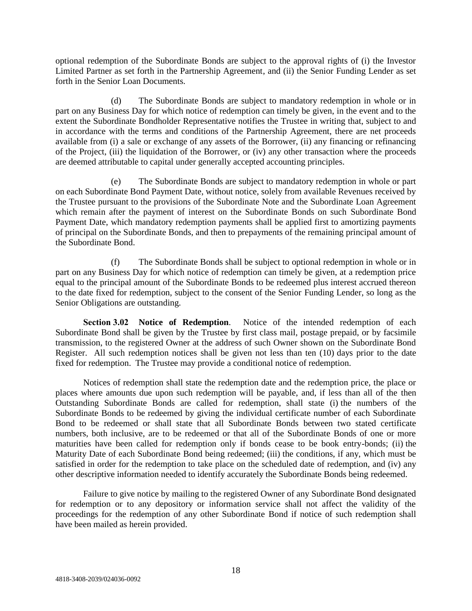optional redemption of the Subordinate Bonds are subject to the approval rights of (i) the Investor Limited Partner as set forth in the Partnership Agreement, and (ii) the Senior Funding Lender as set forth in the Senior Loan Documents.

(d) The Subordinate Bonds are subject to mandatory redemption in whole or in part on any Business Day for which notice of redemption can timely be given, in the event and to the extent the Subordinate Bondholder Representative notifies the Trustee in writing that, subject to and in accordance with the terms and conditions of the Partnership Agreement, there are net proceeds available from (i) a sale or exchange of any assets of the Borrower, (ii) any financing or refinancing of the Project, (iii) the liquidation of the Borrower, or (iv) any other transaction where the proceeds are deemed attributable to capital under generally accepted accounting principles.

(e) The Subordinate Bonds are subject to mandatory redemption in whole or part on each Subordinate Bond Payment Date, without notice, solely from available Revenues received by the Trustee pursuant to the provisions of the Subordinate Note and the Subordinate Loan Agreement which remain after the payment of interest on the Subordinate Bonds on such Subordinate Bond Payment Date, which mandatory redemption payments shall be applied first to amortizing payments of principal on the Subordinate Bonds, and then to prepayments of the remaining principal amount of the Subordinate Bond.

(f) The Subordinate Bonds shall be subject to optional redemption in whole or in part on any Business Day for which notice of redemption can timely be given, at a redemption price equal to the principal amount of the Subordinate Bonds to be redeemed plus interest accrued thereon to the date fixed for redemption, subject to the consent of the Senior Funding Lender, so long as the Senior Obligations are outstanding.

**Section 3.02 Notice of Redemption**. Notice of the intended redemption of each Subordinate Bond shall be given by the Trustee by first class mail, postage prepaid, or by facsimile transmission, to the registered Owner at the address of such Owner shown on the Subordinate Bond Register. All such redemption notices shall be given not less than ten (10) days prior to the date fixed for redemption. The Trustee may provide a conditional notice of redemption.

Notices of redemption shall state the redemption date and the redemption price, the place or places where amounts due upon such redemption will be payable, and, if less than all of the then Outstanding Subordinate Bonds are called for redemption, shall state (i) the numbers of the Subordinate Bonds to be redeemed by giving the individual certificate number of each Subordinate Bond to be redeemed or shall state that all Subordinate Bonds between two stated certificate numbers, both inclusive, are to be redeemed or that all of the Subordinate Bonds of one or more maturities have been called for redemption only if bonds cease to be book entry-bonds; (ii) the Maturity Date of each Subordinate Bond being redeemed; (iii) the conditions, if any, which must be satisfied in order for the redemption to take place on the scheduled date of redemption, and (iv) any other descriptive information needed to identify accurately the Subordinate Bonds being redeemed.

Failure to give notice by mailing to the registered Owner of any Subordinate Bond designated for redemption or to any depository or information service shall not affect the validity of the proceedings for the redemption of any other Subordinate Bond if notice of such redemption shall have been mailed as herein provided.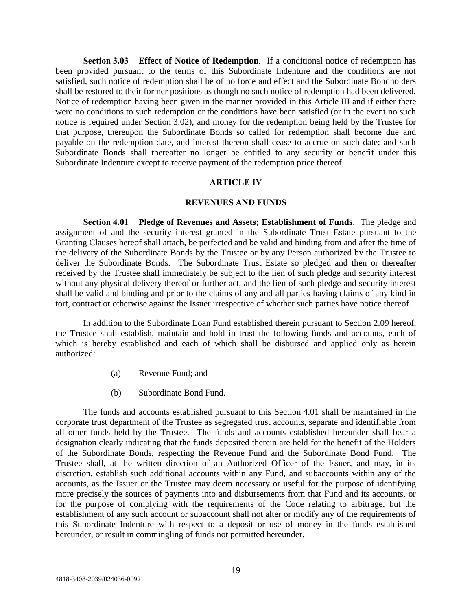**Section 3.03 Effect of Notice of Redemption**. If a conditional notice of redemption has been provided pursuant to the terms of this Subordinate Indenture and the conditions are not satisfied, such notice of redemption shall be of no force and effect and the Subordinate Bondholders shall be restored to their former positions as though no such notice of redemption had been delivered. Notice of redemption having been given in the manner provided in this Article III and if either there were no conditions to such redemption or the conditions have been satisfied (or in the event no such notice is required under Section 3.02), and money for the redemption being held by the Trustee for that purpose, thereupon the Subordinate Bonds so called for redemption shall become due and payable on the redemption date, and interest thereon shall cease to accrue on such date; and such Subordinate Bonds shall thereafter no longer be entitled to any security or benefit under this Subordinate Indenture except to receive payment of the redemption price thereof.

### **ARTICLE IV**

#### **REVENUES AND FUNDS**

**Section 4.01 Pledge of Revenues and Assets; Establishment of Funds**. The pledge and assignment of and the security interest granted in the Subordinate Trust Estate pursuant to the Granting Clauses hereof shall attach, be perfected and be valid and binding from and after the time of the delivery of the Subordinate Bonds by the Trustee or by any Person authorized by the Trustee to deliver the Subordinate Bonds. The Subordinate Trust Estate so pledged and then or thereafter received by the Trustee shall immediately be subject to the lien of such pledge and security interest without any physical delivery thereof or further act, and the lien of such pledge and security interest shall be valid and binding and prior to the claims of any and all parties having claims of any kind in tort, contract or otherwise against the Issuer irrespective of whether such parties have notice thereof.

In addition to the Subordinate Loan Fund established therein pursuant to Section 2.09 hereof, the Trustee shall establish, maintain and hold in trust the following funds and accounts, each of which is hereby established and each of which shall be disbursed and applied only as herein authorized:

- (a) Revenue Fund; and
- (b) Subordinate Bond Fund.

The funds and accounts established pursuant to this Section 4.01 shall be maintained in the corporate trust department of the Trustee as segregated trust accounts, separate and identifiable from all other funds held by the Trustee. The funds and accounts established hereunder shall bear a designation clearly indicating that the funds deposited therein are held for the benefit of the Holders of the Subordinate Bonds, respecting the Revenue Fund and the Subordinate Bond Fund. The Trustee shall, at the written direction of an Authorized Officer of the Issuer, and may, in its discretion, establish such additional accounts within any Fund, and subaccounts within any of the accounts, as the Issuer or the Trustee may deem necessary or useful for the purpose of identifying more precisely the sources of payments into and disbursements from that Fund and its accounts, or for the purpose of complying with the requirements of the Code relating to arbitrage, but the establishment of any such account or subaccount shall not alter or modify any of the requirements of this Subordinate Indenture with respect to a deposit or use of money in the funds established hereunder, or result in commingling of funds not permitted hereunder.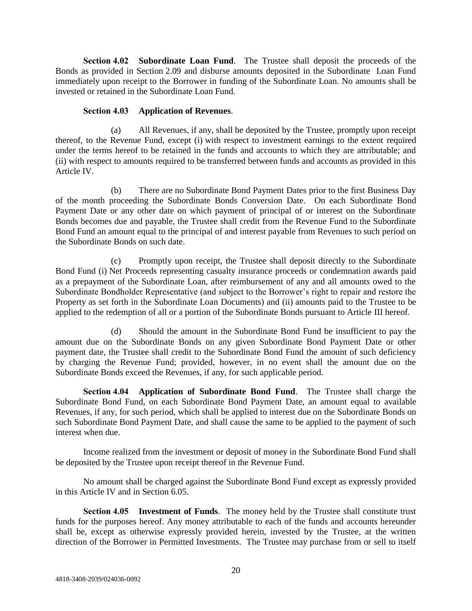**Section 4.02 Subordinate Loan Fund**. The Trustee shall deposit the proceeds of the Bonds as provided in Section 2.09 and disburse amounts deposited in the Subordinate Loan Fund immediately upon receipt to the Borrower in funding of the Subordinate Loan. No amounts shall be invested or retained in the Subordinate Loan Fund.

# **Section 4.03 Application of Revenues**.

(a) All Revenues, if any, shall be deposited by the Trustee, promptly upon receipt thereof, to the Revenue Fund, except (i) with respect to investment earnings to the extent required under the terms hereof to be retained in the funds and accounts to which they are attributable; and (ii) with respect to amounts required to be transferred between funds and accounts as provided in this Article IV.

(b) There are no Subordinate Bond Payment Dates prior to the first Business Day of the month proceeding the Subordinate Bonds Conversion Date. On each Subordinate Bond Payment Date or any other date on which payment of principal of or interest on the Subordinate Bonds becomes due and payable, the Trustee shall credit from the Revenue Fund to the Subordinate Bond Fund an amount equal to the principal of and interest payable from Revenues to such period on the Subordinate Bonds on such date.

(c) Promptly upon receipt, the Trustee shall deposit directly to the Subordinate Bond Fund (i) Net Proceeds representing casualty insurance proceeds or condemnation awards paid as a prepayment of the Subordinate Loan, after reimbursement of any and all amounts owed to the Subordinate Bondholder Representative (and subject to the Borrower's right to repair and restore the Property as set forth in the Subordinate Loan Documents) and (ii) amounts paid to the Trustee to be applied to the redemption of all or a portion of the Subordinate Bonds pursuant to Article III hereof.

(d) Should the amount in the Subordinate Bond Fund be insufficient to pay the amount due on the Subordinate Bonds on any given Subordinate Bond Payment Date or other payment date, the Trustee shall credit to the Subordinate Bond Fund the amount of such deficiency by charging the Revenue Fund; provided, however, in no event shall the amount due on the Subordinate Bonds exceed the Revenues, if any, for such applicable period.

**Section 4.04 Application of Subordinate Bond Fund**. The Trustee shall charge the Subordinate Bond Fund, on each Subordinate Bond Payment Date, an amount equal to available Revenues, if any, for such period, which shall be applied to interest due on the Subordinate Bonds on such Subordinate Bond Payment Date, and shall cause the same to be applied to the payment of such interest when due.

Income realized from the investment or deposit of money in the Subordinate Bond Fund shall be deposited by the Trustee upon receipt thereof in the Revenue Fund.

No amount shall be charged against the Subordinate Bond Fund except as expressly provided in this Article IV and in Section 6.05.

**Section 4.05 Investment of Funds**. The money held by the Trustee shall constitute trust funds for the purposes hereof. Any money attributable to each of the funds and accounts hereunder shall be, except as otherwise expressly provided herein, invested by the Trustee, at the written direction of the Borrower in Permitted Investments. The Trustee may purchase from or sell to itself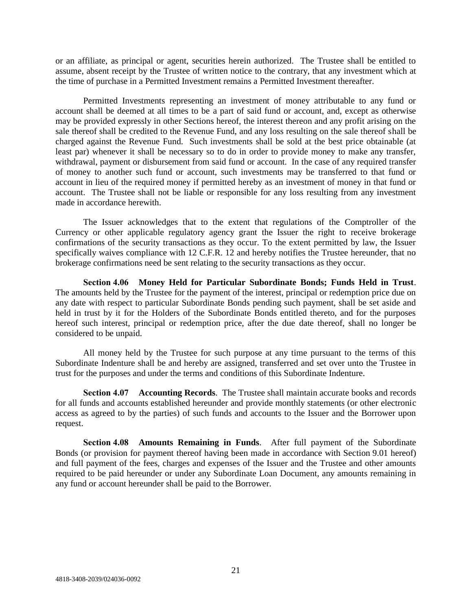or an affiliate, as principal or agent, securities herein authorized. The Trustee shall be entitled to assume, absent receipt by the Trustee of written notice to the contrary, that any investment which at the time of purchase in a Permitted Investment remains a Permitted Investment thereafter.

Permitted Investments representing an investment of money attributable to any fund or account shall be deemed at all times to be a part of said fund or account, and, except as otherwise may be provided expressly in other Sections hereof, the interest thereon and any profit arising on the sale thereof shall be credited to the Revenue Fund, and any loss resulting on the sale thereof shall be charged against the Revenue Fund. Such investments shall be sold at the best price obtainable (at least par) whenever it shall be necessary so to do in order to provide money to make any transfer, withdrawal, payment or disbursement from said fund or account. In the case of any required transfer of money to another such fund or account, such investments may be transferred to that fund or account in lieu of the required money if permitted hereby as an investment of money in that fund or account. The Trustee shall not be liable or responsible for any loss resulting from any investment made in accordance herewith.

The Issuer acknowledges that to the extent that regulations of the Comptroller of the Currency or other applicable regulatory agency grant the Issuer the right to receive brokerage confirmations of the security transactions as they occur. To the extent permitted by law, the Issuer specifically waives compliance with 12 C.F.R. 12 and hereby notifies the Trustee hereunder, that no brokerage confirmations need be sent relating to the security transactions as they occur.

**Section 4.06 Money Held for Particular Subordinate Bonds; Funds Held in Trust**. The amounts held by the Trustee for the payment of the interest, principal or redemption price due on any date with respect to particular Subordinate Bonds pending such payment, shall be set aside and held in trust by it for the Holders of the Subordinate Bonds entitled thereto, and for the purposes hereof such interest, principal or redemption price, after the due date thereof, shall no longer be considered to be unpaid.

All money held by the Trustee for such purpose at any time pursuant to the terms of this Subordinate Indenture shall be and hereby are assigned, transferred and set over unto the Trustee in trust for the purposes and under the terms and conditions of this Subordinate Indenture.

**Section 4.07 Accounting Records**. The Trustee shall maintain accurate books and records for all funds and accounts established hereunder and provide monthly statements (or other electronic access as agreed to by the parties) of such funds and accounts to the Issuer and the Borrower upon request.

**Section 4.08 Amounts Remaining in Funds**. After full payment of the Subordinate Bonds (or provision for payment thereof having been made in accordance with Section 9.01 hereof) and full payment of the fees, charges and expenses of the Issuer and the Trustee and other amounts required to be paid hereunder or under any Subordinate Loan Document, any amounts remaining in any fund or account hereunder shall be paid to the Borrower.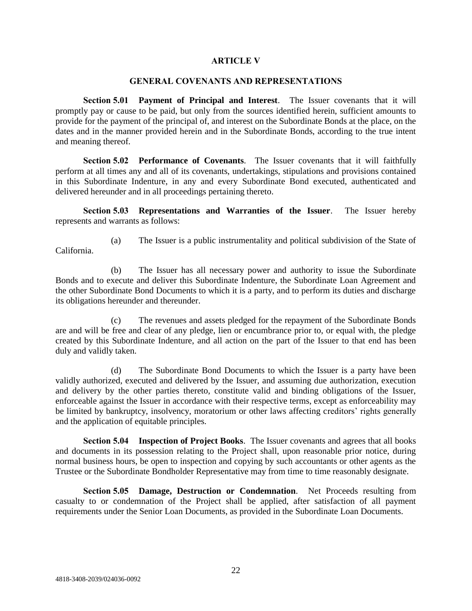### **ARTICLE V**

#### **GENERAL COVENANTS AND REPRESENTATIONS**

**Section 5.01 Payment of Principal and Interest**. The Issuer covenants that it will promptly pay or cause to be paid, but only from the sources identified herein, sufficient amounts to provide for the payment of the principal of, and interest on the Subordinate Bonds at the place, on the dates and in the manner provided herein and in the Subordinate Bonds, according to the true intent and meaning thereof.

**Section 5.02 Performance of Covenants**. The Issuer covenants that it will faithfully perform at all times any and all of its covenants, undertakings, stipulations and provisions contained in this Subordinate Indenture, in any and every Subordinate Bond executed, authenticated and delivered hereunder and in all proceedings pertaining thereto.

**Section 5.03 Representations and Warranties of the Issuer**. The Issuer hereby represents and warrants as follows:

- California.
- (a) The Issuer is a public instrumentality and political subdivision of the State of

(b) The Issuer has all necessary power and authority to issue the Subordinate Bonds and to execute and deliver this Subordinate Indenture, the Subordinate Loan Agreement and the other Subordinate Bond Documents to which it is a party, and to perform its duties and discharge its obligations hereunder and thereunder.

(c) The revenues and assets pledged for the repayment of the Subordinate Bonds are and will be free and clear of any pledge, lien or encumbrance prior to, or equal with, the pledge created by this Subordinate Indenture, and all action on the part of the Issuer to that end has been duly and validly taken.

(d) The Subordinate Bond Documents to which the Issuer is a party have been validly authorized, executed and delivered by the Issuer, and assuming due authorization, execution and delivery by the other parties thereto, constitute valid and binding obligations of the Issuer, enforceable against the Issuer in accordance with their respective terms, except as enforceability may be limited by bankruptcy, insolvency, moratorium or other laws affecting creditors' rights generally and the application of equitable principles.

**Section 5.04 Inspection of Project Books**. The Issuer covenants and agrees that all books and documents in its possession relating to the Project shall, upon reasonable prior notice, during normal business hours, be open to inspection and copying by such accountants or other agents as the Trustee or the Subordinate Bondholder Representative may from time to time reasonably designate.

**Section 5.05 Damage, Destruction or Condemnation**. Net Proceeds resulting from casualty to or condemnation of the Project shall be applied, after satisfaction of all payment requirements under the Senior Loan Documents, as provided in the Subordinate Loan Documents.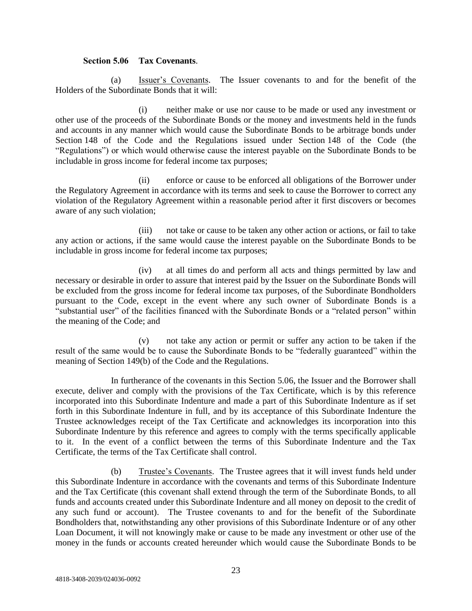## **Section 5.06 Tax Covenants**.

(a) Issuer's Covenants. The Issuer covenants to and for the benefit of the Holders of the Subordinate Bonds that it will:

(i) neither make or use nor cause to be made or used any investment or other use of the proceeds of the Subordinate Bonds or the money and investments held in the funds and accounts in any manner which would cause the Subordinate Bonds to be arbitrage bonds under Section 148 of the Code and the Regulations issued under Section 148 of the Code (the "Regulations") or which would otherwise cause the interest payable on the Subordinate Bonds to be includable in gross income for federal income tax purposes;

(ii) enforce or cause to be enforced all obligations of the Borrower under the Regulatory Agreement in accordance with its terms and seek to cause the Borrower to correct any violation of the Regulatory Agreement within a reasonable period after it first discovers or becomes aware of any such violation;

(iii) not take or cause to be taken any other action or actions, or fail to take any action or actions, if the same would cause the interest payable on the Subordinate Bonds to be includable in gross income for federal income tax purposes;

(iv) at all times do and perform all acts and things permitted by law and necessary or desirable in order to assure that interest paid by the Issuer on the Subordinate Bonds will be excluded from the gross income for federal income tax purposes, of the Subordinate Bondholders pursuant to the Code, except in the event where any such owner of Subordinate Bonds is a "substantial user" of the facilities financed with the Subordinate Bonds or a "related person" within the meaning of the Code; and

(v) not take any action or permit or suffer any action to be taken if the result of the same would be to cause the Subordinate Bonds to be "federally guaranteed" within the meaning of Section 149(b) of the Code and the Regulations.

In furtherance of the covenants in this Section 5.06, the Issuer and the Borrower shall execute, deliver and comply with the provisions of the Tax Certificate, which is by this reference incorporated into this Subordinate Indenture and made a part of this Subordinate Indenture as if set forth in this Subordinate Indenture in full, and by its acceptance of this Subordinate Indenture the Trustee acknowledges receipt of the Tax Certificate and acknowledges its incorporation into this Subordinate Indenture by this reference and agrees to comply with the terms specifically applicable to it. In the event of a conflict between the terms of this Subordinate Indenture and the Tax Certificate, the terms of the Tax Certificate shall control.

(b) Trustee's Covenants. The Trustee agrees that it will invest funds held under this Subordinate Indenture in accordance with the covenants and terms of this Subordinate Indenture and the Tax Certificate (this covenant shall extend through the term of the Subordinate Bonds, to all funds and accounts created under this Subordinate Indenture and all money on deposit to the credit of any such fund or account). The Trustee covenants to and for the benefit of the Subordinate Bondholders that, notwithstanding any other provisions of this Subordinate Indenture or of any other Loan Document, it will not knowingly make or cause to be made any investment or other use of the money in the funds or accounts created hereunder which would cause the Subordinate Bonds to be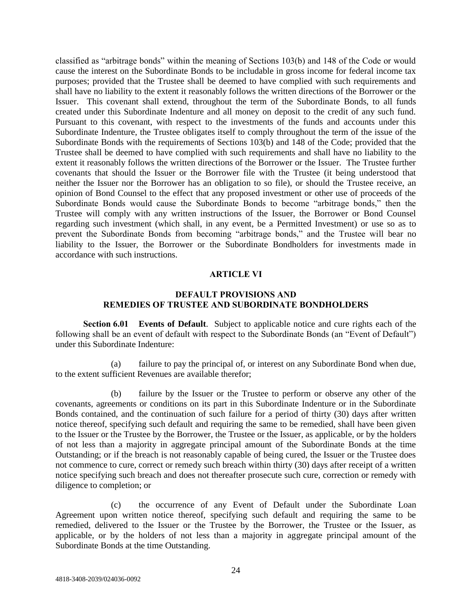classified as "arbitrage bonds" within the meaning of Sections 103(b) and 148 of the Code or would cause the interest on the Subordinate Bonds to be includable in gross income for federal income tax purposes; provided that the Trustee shall be deemed to have complied with such requirements and shall have no liability to the extent it reasonably follows the written directions of the Borrower or the Issuer. This covenant shall extend, throughout the term of the Subordinate Bonds, to all funds created under this Subordinate Indenture and all money on deposit to the credit of any such fund. Pursuant to this covenant, with respect to the investments of the funds and accounts under this Subordinate Indenture, the Trustee obligates itself to comply throughout the term of the issue of the Subordinate Bonds with the requirements of Sections 103(b) and 148 of the Code; provided that the Trustee shall be deemed to have complied with such requirements and shall have no liability to the extent it reasonably follows the written directions of the Borrower or the Issuer. The Trustee further covenants that should the Issuer or the Borrower file with the Trustee (it being understood that neither the Issuer nor the Borrower has an obligation to so file), or should the Trustee receive, an opinion of Bond Counsel to the effect that any proposed investment or other use of proceeds of the Subordinate Bonds would cause the Subordinate Bonds to become "arbitrage bonds," then the Trustee will comply with any written instructions of the Issuer, the Borrower or Bond Counsel regarding such investment (which shall, in any event, be a Permitted Investment) or use so as to prevent the Subordinate Bonds from becoming "arbitrage bonds," and the Trustee will bear no liability to the Issuer, the Borrower or the Subordinate Bondholders for investments made in accordance with such instructions.

### **ARTICLE VI**

# **DEFAULT PROVISIONS AND REMEDIES OF TRUSTEE AND SUBORDINATE BONDHOLDERS**

**Section 6.01 Events of Default**. Subject to applicable notice and cure rights each of the following shall be an event of default with respect to the Subordinate Bonds (an "Event of Default") under this Subordinate Indenture:

(a) failure to pay the principal of, or interest on any Subordinate Bond when due, to the extent sufficient Revenues are available therefor;

(b) failure by the Issuer or the Trustee to perform or observe any other of the covenants, agreements or conditions on its part in this Subordinate Indenture or in the Subordinate Bonds contained, and the continuation of such failure for a period of thirty (30) days after written notice thereof, specifying such default and requiring the same to be remedied, shall have been given to the Issuer or the Trustee by the Borrower, the Trustee or the Issuer, as applicable, or by the holders of not less than a majority in aggregate principal amount of the Subordinate Bonds at the time Outstanding; or if the breach is not reasonably capable of being cured, the Issuer or the Trustee does not commence to cure, correct or remedy such breach within thirty (30) days after receipt of a written notice specifying such breach and does not thereafter prosecute such cure, correction or remedy with diligence to completion; or

(c) the occurrence of any Event of Default under the Subordinate Loan Agreement upon written notice thereof, specifying such default and requiring the same to be remedied, delivered to the Issuer or the Trustee by the Borrower, the Trustee or the Issuer, as applicable, or by the holders of not less than a majority in aggregate principal amount of the Subordinate Bonds at the time Outstanding.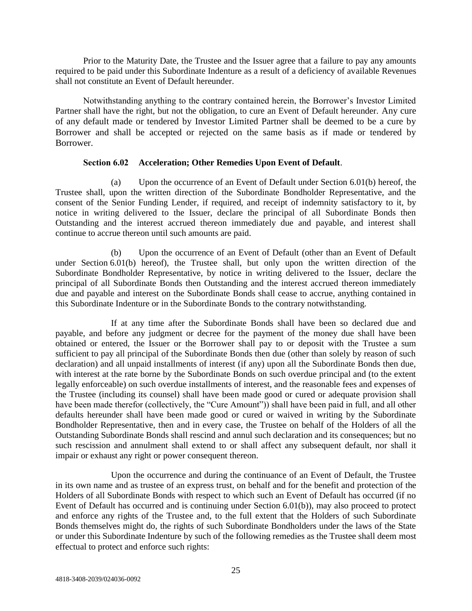Prior to the Maturity Date, the Trustee and the Issuer agree that a failure to pay any amounts required to be paid under this Subordinate Indenture as a result of a deficiency of available Revenues shall not constitute an Event of Default hereunder.

Notwithstanding anything to the contrary contained herein, the Borrower's Investor Limited Partner shall have the right, but not the obligation, to cure an Event of Default hereunder. Any cure of any default made or tendered by Investor Limited Partner shall be deemed to be a cure by Borrower and shall be accepted or rejected on the same basis as if made or tendered by Borrower.

## **Section 6.02 Acceleration; Other Remedies Upon Event of Default**.

(a) Upon the occurrence of an Event of Default under Section 6.01(b) hereof, the Trustee shall, upon the written direction of the Subordinate Bondholder Representative, and the consent of the Senior Funding Lender, if required, and receipt of indemnity satisfactory to it, by notice in writing delivered to the Issuer, declare the principal of all Subordinate Bonds then Outstanding and the interest accrued thereon immediately due and payable, and interest shall continue to accrue thereon until such amounts are paid.

(b) Upon the occurrence of an Event of Default (other than an Event of Default under Section 6.01(b) hereof), the Trustee shall, but only upon the written direction of the Subordinate Bondholder Representative, by notice in writing delivered to the Issuer, declare the principal of all Subordinate Bonds then Outstanding and the interest accrued thereon immediately due and payable and interest on the Subordinate Bonds shall cease to accrue, anything contained in this Subordinate Indenture or in the Subordinate Bonds to the contrary notwithstanding.

If at any time after the Subordinate Bonds shall have been so declared due and payable, and before any judgment or decree for the payment of the money due shall have been obtained or entered, the Issuer or the Borrower shall pay to or deposit with the Trustee a sum sufficient to pay all principal of the Subordinate Bonds then due (other than solely by reason of such declaration) and all unpaid installments of interest (if any) upon all the Subordinate Bonds then due, with interest at the rate borne by the Subordinate Bonds on such overdue principal and (to the extent legally enforceable) on such overdue installments of interest, and the reasonable fees and expenses of the Trustee (including its counsel) shall have been made good or cured or adequate provision shall have been made therefor (collectively, the "Cure Amount")) shall have been paid in full, and all other defaults hereunder shall have been made good or cured or waived in writing by the Subordinate Bondholder Representative, then and in every case, the Trustee on behalf of the Holders of all the Outstanding Subordinate Bonds shall rescind and annul such declaration and its consequences; but no such rescission and annulment shall extend to or shall affect any subsequent default, nor shall it impair or exhaust any right or power consequent thereon.

Upon the occurrence and during the continuance of an Event of Default, the Trustee in its own name and as trustee of an express trust, on behalf and for the benefit and protection of the Holders of all Subordinate Bonds with respect to which such an Event of Default has occurred (if no Event of Default has occurred and is continuing under Section 6.01(b)), may also proceed to protect and enforce any rights of the Trustee and, to the full extent that the Holders of such Subordinate Bonds themselves might do, the rights of such Subordinate Bondholders under the laws of the State or under this Subordinate Indenture by such of the following remedies as the Trustee shall deem most effectual to protect and enforce such rights: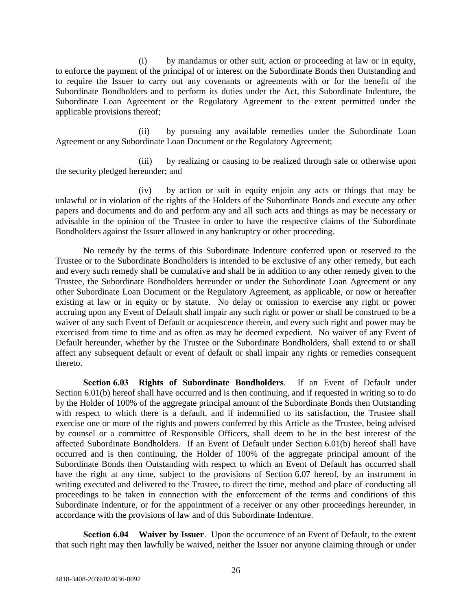(i) by mandamus or other suit, action or proceeding at law or in equity, to enforce the payment of the principal of or interest on the Subordinate Bonds then Outstanding and to require the Issuer to carry out any covenants or agreements with or for the benefit of the Subordinate Bondholders and to perform its duties under the Act, this Subordinate Indenture, the Subordinate Loan Agreement or the Regulatory Agreement to the extent permitted under the applicable provisions thereof;

(ii) by pursuing any available remedies under the Subordinate Loan Agreement or any Subordinate Loan Document or the Regulatory Agreement;

(iii) by realizing or causing to be realized through sale or otherwise upon the security pledged hereunder; and

(iv) by action or suit in equity enjoin any acts or things that may be unlawful or in violation of the rights of the Holders of the Subordinate Bonds and execute any other papers and documents and do and perform any and all such acts and things as may be necessary or advisable in the opinion of the Trustee in order to have the respective claims of the Subordinate Bondholders against the Issuer allowed in any bankruptcy or other proceeding.

No remedy by the terms of this Subordinate Indenture conferred upon or reserved to the Trustee or to the Subordinate Bondholders is intended to be exclusive of any other remedy, but each and every such remedy shall be cumulative and shall be in addition to any other remedy given to the Trustee, the Subordinate Bondholders hereunder or under the Subordinate Loan Agreement or any other Subordinate Loan Document or the Regulatory Agreement, as applicable, or now or hereafter existing at law or in equity or by statute. No delay or omission to exercise any right or power accruing upon any Event of Default shall impair any such right or power or shall be construed to be a waiver of any such Event of Default or acquiescence therein, and every such right and power may be exercised from time to time and as often as may be deemed expedient. No waiver of any Event of Default hereunder, whether by the Trustee or the Subordinate Bondholders, shall extend to or shall affect any subsequent default or event of default or shall impair any rights or remedies consequent thereto.

**Section 6.03 Rights of Subordinate Bondholders**. If an Event of Default under Section 6.01(b) hereof shall have occurred and is then continuing, and if requested in writing so to do by the Holder of 100% of the aggregate principal amount of the Subordinate Bonds then Outstanding with respect to which there is a default, and if indemnified to its satisfaction, the Trustee shall exercise one or more of the rights and powers conferred by this Article as the Trustee, being advised by counsel or a committee of Responsible Officers, shall deem to be in the best interest of the affected Subordinate Bondholders. If an Event of Default under Section 6.01(b) hereof shall have occurred and is then continuing, the Holder of 100% of the aggregate principal amount of the Subordinate Bonds then Outstanding with respect to which an Event of Default has occurred shall have the right at any time, subject to the provisions of Section 6.07 hereof, by an instrument in writing executed and delivered to the Trustee, to direct the time, method and place of conducting all proceedings to be taken in connection with the enforcement of the terms and conditions of this Subordinate Indenture, or for the appointment of a receiver or any other proceedings hereunder, in accordance with the provisions of law and of this Subordinate Indenture.

**Section 6.04 Waiver by Issuer**. Upon the occurrence of an Event of Default, to the extent that such right may then lawfully be waived, neither the Issuer nor anyone claiming through or under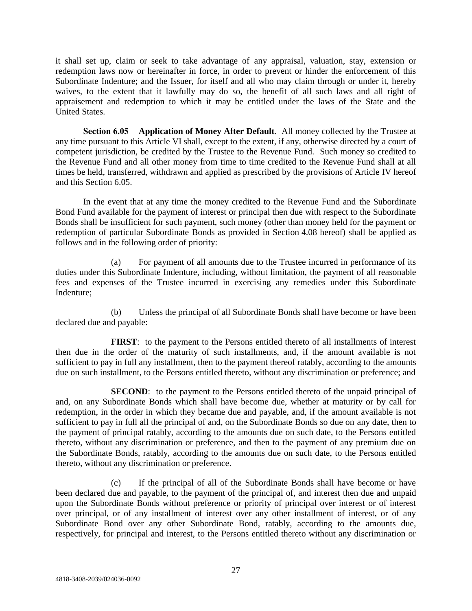it shall set up, claim or seek to take advantage of any appraisal, valuation, stay, extension or redemption laws now or hereinafter in force, in order to prevent or hinder the enforcement of this Subordinate Indenture; and the Issuer, for itself and all who may claim through or under it, hereby waives, to the extent that it lawfully may do so, the benefit of all such laws and all right of appraisement and redemption to which it may be entitled under the laws of the State and the United States.

**Section 6.05 Application of Money After Default**. All money collected by the Trustee at any time pursuant to this Article VI shall, except to the extent, if any, otherwise directed by a court of competent jurisdiction, be credited by the Trustee to the Revenue Fund. Such money so credited to the Revenue Fund and all other money from time to time credited to the Revenue Fund shall at all times be held, transferred, withdrawn and applied as prescribed by the provisions of Article IV hereof and this Section 6.05.

In the event that at any time the money credited to the Revenue Fund and the Subordinate Bond Fund available for the payment of interest or principal then due with respect to the Subordinate Bonds shall be insufficient for such payment, such money (other than money held for the payment or redemption of particular Subordinate Bonds as provided in Section 4.08 hereof) shall be applied as follows and in the following order of priority:

(a) For payment of all amounts due to the Trustee incurred in performance of its duties under this Subordinate Indenture, including, without limitation, the payment of all reasonable fees and expenses of the Trustee incurred in exercising any remedies under this Subordinate Indenture;

(b) Unless the principal of all Subordinate Bonds shall have become or have been declared due and payable:

**FIRST**: to the payment to the Persons entitled thereto of all installments of interest then due in the order of the maturity of such installments, and, if the amount available is not sufficient to pay in full any installment, then to the payment thereof ratably, according to the amounts due on such installment, to the Persons entitled thereto, without any discrimination or preference; and

**SECOND:** to the payment to the Persons entitled thereto of the unpaid principal of and, on any Subordinate Bonds which shall have become due, whether at maturity or by call for redemption, in the order in which they became due and payable, and, if the amount available is not sufficient to pay in full all the principal of and, on the Subordinate Bonds so due on any date, then to the payment of principal ratably, according to the amounts due on such date, to the Persons entitled thereto, without any discrimination or preference, and then to the payment of any premium due on the Subordinate Bonds, ratably, according to the amounts due on such date, to the Persons entitled thereto, without any discrimination or preference.

(c) If the principal of all of the Subordinate Bonds shall have become or have been declared due and payable, to the payment of the principal of, and interest then due and unpaid upon the Subordinate Bonds without preference or priority of principal over interest or of interest over principal, or of any installment of interest over any other installment of interest, or of any Subordinate Bond over any other Subordinate Bond, ratably, according to the amounts due, respectively, for principal and interest, to the Persons entitled thereto without any discrimination or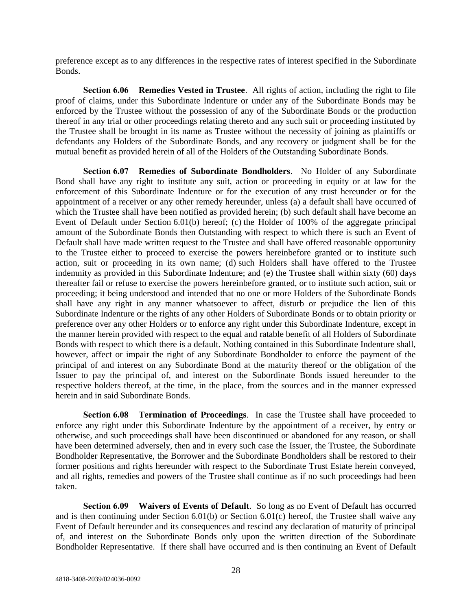preference except as to any differences in the respective rates of interest specified in the Subordinate Bonds.

**Section 6.06 Remedies Vested in Trustee**. All rights of action, including the right to file proof of claims, under this Subordinate Indenture or under any of the Subordinate Bonds may be enforced by the Trustee without the possession of any of the Subordinate Bonds or the production thereof in any trial or other proceedings relating thereto and any such suit or proceeding instituted by the Trustee shall be brought in its name as Trustee without the necessity of joining as plaintiffs or defendants any Holders of the Subordinate Bonds, and any recovery or judgment shall be for the mutual benefit as provided herein of all of the Holders of the Outstanding Subordinate Bonds.

**Section 6.07 Remedies of Subordinate Bondholders**. No Holder of any Subordinate Bond shall have any right to institute any suit, action or proceeding in equity or at law for the enforcement of this Subordinate Indenture or for the execution of any trust hereunder or for the appointment of a receiver or any other remedy hereunder, unless (a) a default shall have occurred of which the Trustee shall have been notified as provided herein; (b) such default shall have become an Event of Default under Section 6.01(b) hereof; (c) the Holder of 100% of the aggregate principal amount of the Subordinate Bonds then Outstanding with respect to which there is such an Event of Default shall have made written request to the Trustee and shall have offered reasonable opportunity to the Trustee either to proceed to exercise the powers hereinbefore granted or to institute such action, suit or proceeding in its own name; (d) such Holders shall have offered to the Trustee indemnity as provided in this Subordinate Indenture; and (e) the Trustee shall within sixty (60) days thereafter fail or refuse to exercise the powers hereinbefore granted, or to institute such action, suit or proceeding; it being understood and intended that no one or more Holders of the Subordinate Bonds shall have any right in any manner whatsoever to affect, disturb or prejudice the lien of this Subordinate Indenture or the rights of any other Holders of Subordinate Bonds or to obtain priority or preference over any other Holders or to enforce any right under this Subordinate Indenture, except in the manner herein provided with respect to the equal and ratable benefit of all Holders of Subordinate Bonds with respect to which there is a default. Nothing contained in this Subordinate Indenture shall, however, affect or impair the right of any Subordinate Bondholder to enforce the payment of the principal of and interest on any Subordinate Bond at the maturity thereof or the obligation of the Issuer to pay the principal of, and interest on the Subordinate Bonds issued hereunder to the respective holders thereof, at the time, in the place, from the sources and in the manner expressed herein and in said Subordinate Bonds.

**Section 6.08 Termination of Proceedings**. In case the Trustee shall have proceeded to enforce any right under this Subordinate Indenture by the appointment of a receiver, by entry or otherwise, and such proceedings shall have been discontinued or abandoned for any reason, or shall have been determined adversely, then and in every such case the Issuer, the Trustee, the Subordinate Bondholder Representative, the Borrower and the Subordinate Bondholders shall be restored to their former positions and rights hereunder with respect to the Subordinate Trust Estate herein conveyed, and all rights, remedies and powers of the Trustee shall continue as if no such proceedings had been taken.

**Section 6.09 Waivers of Events of Default**. So long as no Event of Default has occurred and is then continuing under Section 6.01(b) or Section 6.01(c) hereof, the Trustee shall waive any Event of Default hereunder and its consequences and rescind any declaration of maturity of principal of, and interest on the Subordinate Bonds only upon the written direction of the Subordinate Bondholder Representative. If there shall have occurred and is then continuing an Event of Default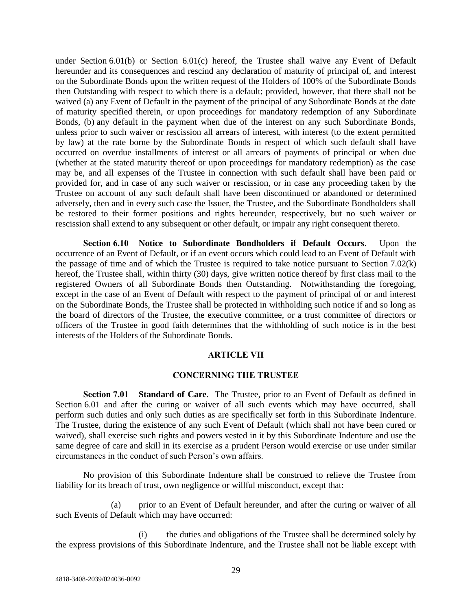under Section 6.01(b) or Section 6.01(c) hereof, the Trustee shall waive any Event of Default hereunder and its consequences and rescind any declaration of maturity of principal of, and interest on the Subordinate Bonds upon the written request of the Holders of 100% of the Subordinate Bonds then Outstanding with respect to which there is a default; provided, however, that there shall not be waived (a) any Event of Default in the payment of the principal of any Subordinate Bonds at the date of maturity specified therein, or upon proceedings for mandatory redemption of any Subordinate Bonds, (b) any default in the payment when due of the interest on any such Subordinate Bonds, unless prior to such waiver or rescission all arrears of interest, with interest (to the extent permitted by law) at the rate borne by the Subordinate Bonds in respect of which such default shall have occurred on overdue installments of interest or all arrears of payments of principal or when due (whether at the stated maturity thereof or upon proceedings for mandatory redemption) as the case may be, and all expenses of the Trustee in connection with such default shall have been paid or provided for, and in case of any such waiver or rescission, or in case any proceeding taken by the Trustee on account of any such default shall have been discontinued or abandoned or determined adversely, then and in every such case the Issuer, the Trustee, and the Subordinate Bondholders shall be restored to their former positions and rights hereunder, respectively, but no such waiver or rescission shall extend to any subsequent or other default, or impair any right consequent thereto.

**Section 6.10 Notice to Subordinate Bondholders if Default Occurs**. Upon the occurrence of an Event of Default, or if an event occurs which could lead to an Event of Default with the passage of time and of which the Trustee is required to take notice pursuant to Section 7.02(k) hereof, the Trustee shall, within thirty (30) days, give written notice thereof by first class mail to the registered Owners of all Subordinate Bonds then Outstanding. Notwithstanding the foregoing, except in the case of an Event of Default with respect to the payment of principal of or and interest on the Subordinate Bonds, the Trustee shall be protected in withholding such notice if and so long as the board of directors of the Trustee, the executive committee, or a trust committee of directors or officers of the Trustee in good faith determines that the withholding of such notice is in the best interests of the Holders of the Subordinate Bonds.

#### **ARTICLE VII**

# **CONCERNING THE TRUSTEE**

**Section 7.01 Standard of Care**. The Trustee, prior to an Event of Default as defined in Section 6.01 and after the curing or waiver of all such events which may have occurred, shall perform such duties and only such duties as are specifically set forth in this Subordinate Indenture. The Trustee, during the existence of any such Event of Default (which shall not have been cured or waived), shall exercise such rights and powers vested in it by this Subordinate Indenture and use the same degree of care and skill in its exercise as a prudent Person would exercise or use under similar circumstances in the conduct of such Person's own affairs.

No provision of this Subordinate Indenture shall be construed to relieve the Trustee from liability for its breach of trust, own negligence or willful misconduct, except that:

(a) prior to an Event of Default hereunder, and after the curing or waiver of all such Events of Default which may have occurred:

(i) the duties and obligations of the Trustee shall be determined solely by the express provisions of this Subordinate Indenture, and the Trustee shall not be liable except with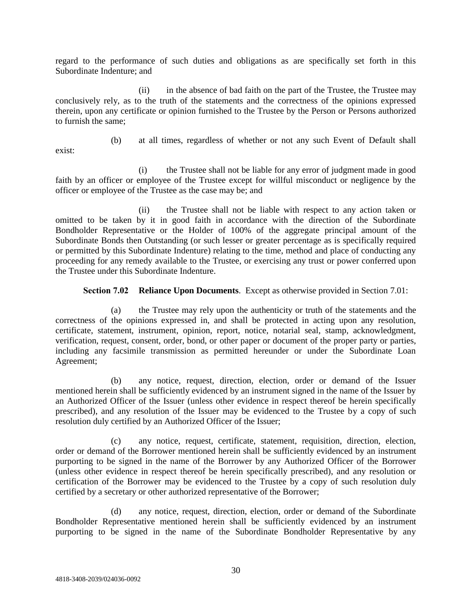regard to the performance of such duties and obligations as are specifically set forth in this Subordinate Indenture; and

(ii) in the absence of bad faith on the part of the Trustee, the Trustee may conclusively rely, as to the truth of the statements and the correctness of the opinions expressed therein, upon any certificate or opinion furnished to the Trustee by the Person or Persons authorized to furnish the same;

exist:

(b) at all times, regardless of whether or not any such Event of Default shall

(i) the Trustee shall not be liable for any error of judgment made in good faith by an officer or employee of the Trustee except for willful misconduct or negligence by the officer or employee of the Trustee as the case may be; and

(ii) the Trustee shall not be liable with respect to any action taken or omitted to be taken by it in good faith in accordance with the direction of the Subordinate Bondholder Representative or the Holder of 100% of the aggregate principal amount of the Subordinate Bonds then Outstanding (or such lesser or greater percentage as is specifically required or permitted by this Subordinate Indenture) relating to the time, method and place of conducting any proceeding for any remedy available to the Trustee, or exercising any trust or power conferred upon the Trustee under this Subordinate Indenture.

**Section 7.02 Reliance Upon Documents**. Except as otherwise provided in Section 7.01:

(a) the Trustee may rely upon the authenticity or truth of the statements and the correctness of the opinions expressed in, and shall be protected in acting upon any resolution, certificate, statement, instrument, opinion, report, notice, notarial seal, stamp, acknowledgment, verification, request, consent, order, bond, or other paper or document of the proper party or parties, including any facsimile transmission as permitted hereunder or under the Subordinate Loan Agreement;

(b) any notice, request, direction, election, order or demand of the Issuer mentioned herein shall be sufficiently evidenced by an instrument signed in the name of the Issuer by an Authorized Officer of the Issuer (unless other evidence in respect thereof be herein specifically prescribed), and any resolution of the Issuer may be evidenced to the Trustee by a copy of such resolution duly certified by an Authorized Officer of the Issuer;

(c) any notice, request, certificate, statement, requisition, direction, election, order or demand of the Borrower mentioned herein shall be sufficiently evidenced by an instrument purporting to be signed in the name of the Borrower by any Authorized Officer of the Borrower (unless other evidence in respect thereof be herein specifically prescribed), and any resolution or certification of the Borrower may be evidenced to the Trustee by a copy of such resolution duly certified by a secretary or other authorized representative of the Borrower;

(d) any notice, request, direction, election, order or demand of the Subordinate Bondholder Representative mentioned herein shall be sufficiently evidenced by an instrument purporting to be signed in the name of the Subordinate Bondholder Representative by any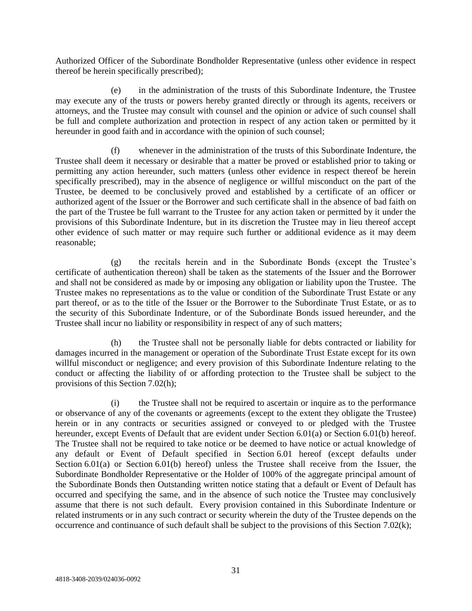Authorized Officer of the Subordinate Bondholder Representative (unless other evidence in respect thereof be herein specifically prescribed);

(e) in the administration of the trusts of this Subordinate Indenture, the Trustee may execute any of the trusts or powers hereby granted directly or through its agents, receivers or attorneys, and the Trustee may consult with counsel and the opinion or advice of such counsel shall be full and complete authorization and protection in respect of any action taken or permitted by it hereunder in good faith and in accordance with the opinion of such counsel;

(f) whenever in the administration of the trusts of this Subordinate Indenture, the Trustee shall deem it necessary or desirable that a matter be proved or established prior to taking or permitting any action hereunder, such matters (unless other evidence in respect thereof be herein specifically prescribed), may in the absence of negligence or willful misconduct on the part of the Trustee, be deemed to be conclusively proved and established by a certificate of an officer or authorized agent of the Issuer or the Borrower and such certificate shall in the absence of bad faith on the part of the Trustee be full warrant to the Trustee for any action taken or permitted by it under the provisions of this Subordinate Indenture, but in its discretion the Trustee may in lieu thereof accept other evidence of such matter or may require such further or additional evidence as it may deem reasonable;

(g) the recitals herein and in the Subordinate Bonds (except the Trustee's certificate of authentication thereon) shall be taken as the statements of the Issuer and the Borrower and shall not be considered as made by or imposing any obligation or liability upon the Trustee. The Trustee makes no representations as to the value or condition of the Subordinate Trust Estate or any part thereof, or as to the title of the Issuer or the Borrower to the Subordinate Trust Estate, or as to the security of this Subordinate Indenture, or of the Subordinate Bonds issued hereunder, and the Trustee shall incur no liability or responsibility in respect of any of such matters;

(h) the Trustee shall not be personally liable for debts contracted or liability for damages incurred in the management or operation of the Subordinate Trust Estate except for its own willful misconduct or negligence; and every provision of this Subordinate Indenture relating to the conduct or affecting the liability of or affording protection to the Trustee shall be subject to the provisions of this Section 7.02(h);

(i) the Trustee shall not be required to ascertain or inquire as to the performance or observance of any of the covenants or agreements (except to the extent they obligate the Trustee) herein or in any contracts or securities assigned or conveyed to or pledged with the Trustee hereunder, except Events of Default that are evident under Section 6.01(a) or Section 6.01(b) hereof. The Trustee shall not be required to take notice or be deemed to have notice or actual knowledge of any default or Event of Default specified in Section 6.01 hereof (except defaults under Section 6.01(a) or Section 6.01(b) hereof) unless the Trustee shall receive from the Issuer, the Subordinate Bondholder Representative or the Holder of 100% of the aggregate principal amount of the Subordinate Bonds then Outstanding written notice stating that a default or Event of Default has occurred and specifying the same, and in the absence of such notice the Trustee may conclusively assume that there is not such default. Every provision contained in this Subordinate Indenture or related instruments or in any such contract or security wherein the duty of the Trustee depends on the occurrence and continuance of such default shall be subject to the provisions of this Section 7.02(k);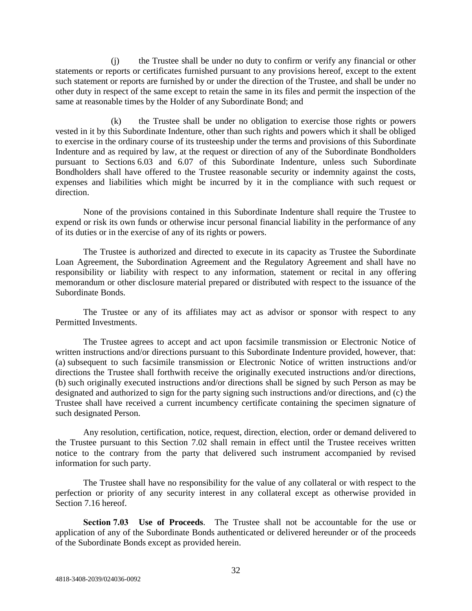(j) the Trustee shall be under no duty to confirm or verify any financial or other statements or reports or certificates furnished pursuant to any provisions hereof, except to the extent such statement or reports are furnished by or under the direction of the Trustee, and shall be under no other duty in respect of the same except to retain the same in its files and permit the inspection of the same at reasonable times by the Holder of any Subordinate Bond; and

(k) the Trustee shall be under no obligation to exercise those rights or powers vested in it by this Subordinate Indenture, other than such rights and powers which it shall be obliged to exercise in the ordinary course of its trusteeship under the terms and provisions of this Subordinate Indenture and as required by law, at the request or direction of any of the Subordinate Bondholders pursuant to Sections 6.03 and 6.07 of this Subordinate Indenture, unless such Subordinate Bondholders shall have offered to the Trustee reasonable security or indemnity against the costs, expenses and liabilities which might be incurred by it in the compliance with such request or direction.

None of the provisions contained in this Subordinate Indenture shall require the Trustee to expend or risk its own funds or otherwise incur personal financial liability in the performance of any of its duties or in the exercise of any of its rights or powers.

The Trustee is authorized and directed to execute in its capacity as Trustee the Subordinate Loan Agreement, the Subordination Agreement and the Regulatory Agreement and shall have no responsibility or liability with respect to any information, statement or recital in any offering memorandum or other disclosure material prepared or distributed with respect to the issuance of the Subordinate Bonds.

The Trustee or any of its affiliates may act as advisor or sponsor with respect to any Permitted Investments.

The Trustee agrees to accept and act upon facsimile transmission or Electronic Notice of written instructions and/or directions pursuant to this Subordinate Indenture provided, however, that: (a) subsequent to such facsimile transmission or Electronic Notice of written instructions and/or directions the Trustee shall forthwith receive the originally executed instructions and/or directions, (b) such originally executed instructions and/or directions shall be signed by such Person as may be designated and authorized to sign for the party signing such instructions and/or directions, and (c) the Trustee shall have received a current incumbency certificate containing the specimen signature of such designated Person.

Any resolution, certification, notice, request, direction, election, order or demand delivered to the Trustee pursuant to this Section 7.02 shall remain in effect until the Trustee receives written notice to the contrary from the party that delivered such instrument accompanied by revised information for such party.

The Trustee shall have no responsibility for the value of any collateral or with respect to the perfection or priority of any security interest in any collateral except as otherwise provided in Section 7.16 hereof.

**Section 7.03 Use of Proceeds**. The Trustee shall not be accountable for the use or application of any of the Subordinate Bonds authenticated or delivered hereunder or of the proceeds of the Subordinate Bonds except as provided herein.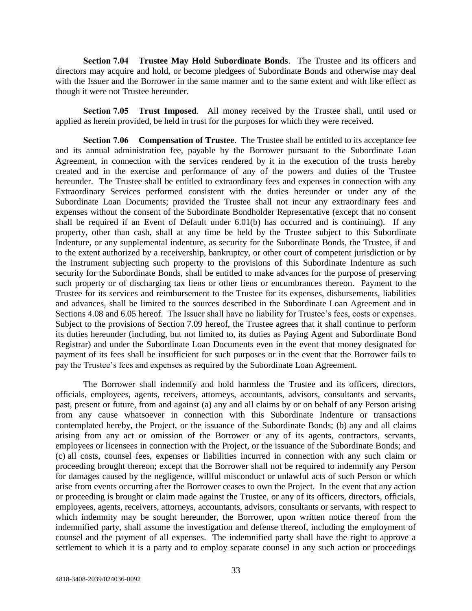**Section 7.04 Trustee May Hold Subordinate Bonds**. The Trustee and its officers and directors may acquire and hold, or become pledgees of Subordinate Bonds and otherwise may deal with the Issuer and the Borrower in the same manner and to the same extent and with like effect as though it were not Trustee hereunder.

**Section 7.05 Trust Imposed**. All money received by the Trustee shall, until used or applied as herein provided, be held in trust for the purposes for which they were received.

**Section 7.06 Compensation of Trustee**. The Trustee shall be entitled to its acceptance fee and its annual administration fee, payable by the Borrower pursuant to the Subordinate Loan Agreement, in connection with the services rendered by it in the execution of the trusts hereby created and in the exercise and performance of any of the powers and duties of the Trustee hereunder. The Trustee shall be entitled to extraordinary fees and expenses in connection with any Extraordinary Services performed consistent with the duties hereunder or under any of the Subordinate Loan Documents; provided the Trustee shall not incur any extraordinary fees and expenses without the consent of the Subordinate Bondholder Representative (except that no consent shall be required if an Event of Default under 6.01(b) has occurred and is continuing). If any property, other than cash, shall at any time be held by the Trustee subject to this Subordinate Indenture, or any supplemental indenture, as security for the Subordinate Bonds, the Trustee, if and to the extent authorized by a receivership, bankruptcy, or other court of competent jurisdiction or by the instrument subjecting such property to the provisions of this Subordinate Indenture as such security for the Subordinate Bonds, shall be entitled to make advances for the purpose of preserving such property or of discharging tax liens or other liens or encumbrances thereon. Payment to the Trustee for its services and reimbursement to the Trustee for its expenses, disbursements, liabilities and advances, shall be limited to the sources described in the Subordinate Loan Agreement and in Sections 4.08 and 6.05 hereof. The Issuer shall have no liability for Trustee's fees, costs or expenses. Subject to the provisions of Section 7.09 hereof, the Trustee agrees that it shall continue to perform its duties hereunder (including, but not limited to, its duties as Paying Agent and Subordinate Bond Registrar) and under the Subordinate Loan Documents even in the event that money designated for payment of its fees shall be insufficient for such purposes or in the event that the Borrower fails to pay the Trustee's fees and expenses as required by the Subordinate Loan Agreement.

The Borrower shall indemnify and hold harmless the Trustee and its officers, directors, officials, employees, agents, receivers, attorneys, accountants, advisors, consultants and servants, past, present or future, from and against (a) any and all claims by or on behalf of any Person arising from any cause whatsoever in connection with this Subordinate Indenture or transactions contemplated hereby, the Project, or the issuance of the Subordinate Bonds; (b) any and all claims arising from any act or omission of the Borrower or any of its agents, contractors, servants, employees or licensees in connection with the Project, or the issuance of the Subordinate Bonds; and (c) all costs, counsel fees, expenses or liabilities incurred in connection with any such claim or proceeding brought thereon; except that the Borrower shall not be required to indemnify any Person for damages caused by the negligence, willful misconduct or unlawful acts of such Person or which arise from events occurring after the Borrower ceases to own the Project. In the event that any action or proceeding is brought or claim made against the Trustee, or any of its officers, directors, officials, employees, agents, receivers, attorneys, accountants, advisors, consultants or servants, with respect to which indemnity may be sought hereunder, the Borrower, upon written notice thereof from the indemnified party, shall assume the investigation and defense thereof, including the employment of counsel and the payment of all expenses. The indemnified party shall have the right to approve a settlement to which it is a party and to employ separate counsel in any such action or proceedings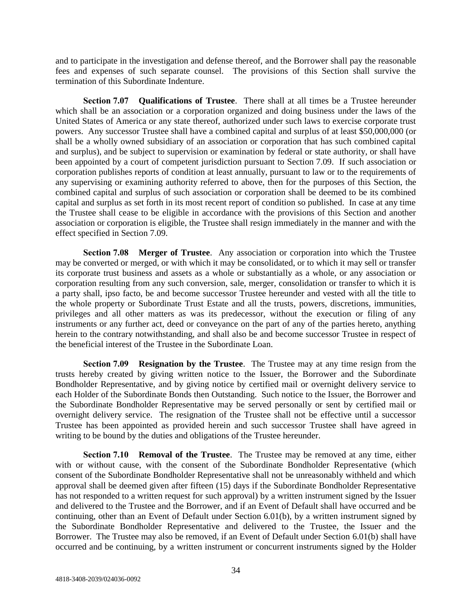and to participate in the investigation and defense thereof, and the Borrower shall pay the reasonable fees and expenses of such separate counsel. The provisions of this Section shall survive the termination of this Subordinate Indenture.

**Section 7.07 Qualifications of Trustee**. There shall at all times be a Trustee hereunder which shall be an association or a corporation organized and doing business under the laws of the United States of America or any state thereof, authorized under such laws to exercise corporate trust powers. Any successor Trustee shall have a combined capital and surplus of at least \$50,000,000 (or shall be a wholly owned subsidiary of an association or corporation that has such combined capital and surplus), and be subject to supervision or examination by federal or state authority, or shall have been appointed by a court of competent jurisdiction pursuant to Section 7.09. If such association or corporation publishes reports of condition at least annually, pursuant to law or to the requirements of any supervising or examining authority referred to above, then for the purposes of this Section, the combined capital and surplus of such association or corporation shall be deemed to be its combined capital and surplus as set forth in its most recent report of condition so published. In case at any time the Trustee shall cease to be eligible in accordance with the provisions of this Section and another association or corporation is eligible, the Trustee shall resign immediately in the manner and with the effect specified in Section 7.09.

**Section 7.08 Merger of Trustee**. Any association or corporation into which the Trustee may be converted or merged, or with which it may be consolidated, or to which it may sell or transfer its corporate trust business and assets as a whole or substantially as a whole, or any association or corporation resulting from any such conversion, sale, merger, consolidation or transfer to which it is a party shall, ipso facto, be and become successor Trustee hereunder and vested with all the title to the whole property or Subordinate Trust Estate and all the trusts, powers, discretions, immunities, privileges and all other matters as was its predecessor, without the execution or filing of any instruments or any further act, deed or conveyance on the part of any of the parties hereto, anything herein to the contrary notwithstanding, and shall also be and become successor Trustee in respect of the beneficial interest of the Trustee in the Subordinate Loan.

**Section 7.09 Resignation by the Trustee**. The Trustee may at any time resign from the trusts hereby created by giving written notice to the Issuer, the Borrower and the Subordinate Bondholder Representative, and by giving notice by certified mail or overnight delivery service to each Holder of the Subordinate Bonds then Outstanding. Such notice to the Issuer, the Borrower and the Subordinate Bondholder Representative may be served personally or sent by certified mail or overnight delivery service. The resignation of the Trustee shall not be effective until a successor Trustee has been appointed as provided herein and such successor Trustee shall have agreed in writing to be bound by the duties and obligations of the Trustee hereunder.

**Section 7.10 • Removal of the Trustee.** The Trustee may be removed at any time, either with or without cause, with the consent of the Subordinate Bondholder Representative (which consent of the Subordinate Bondholder Representative shall not be unreasonably withheld and which approval shall be deemed given after fifteen (15) days if the Subordinate Bondholder Representative has not responded to a written request for such approval) by a written instrument signed by the Issuer and delivered to the Trustee and the Borrower, and if an Event of Default shall have occurred and be continuing, other than an Event of Default under Section 6.01(b), by a written instrument signed by the Subordinate Bondholder Representative and delivered to the Trustee, the Issuer and the Borrower. The Trustee may also be removed, if an Event of Default under Section 6.01(b) shall have occurred and be continuing, by a written instrument or concurrent instruments signed by the Holder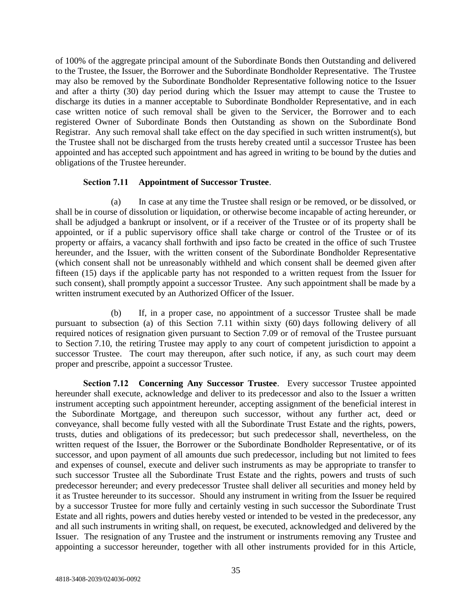of 100% of the aggregate principal amount of the Subordinate Bonds then Outstanding and delivered to the Trustee, the Issuer, the Borrower and the Subordinate Bondholder Representative. The Trustee may also be removed by the Subordinate Bondholder Representative following notice to the Issuer and after a thirty (30) day period during which the Issuer may attempt to cause the Trustee to discharge its duties in a manner acceptable to Subordinate Bondholder Representative, and in each case written notice of such removal shall be given to the Servicer, the Borrower and to each registered Owner of Subordinate Bonds then Outstanding as shown on the Subordinate Bond Registrar. Any such removal shall take effect on the day specified in such written instrument(s), but the Trustee shall not be discharged from the trusts hereby created until a successor Trustee has been appointed and has accepted such appointment and has agreed in writing to be bound by the duties and obligations of the Trustee hereunder.

### **Section 7.11 Appointment of Successor Trustee**.

(a) In case at any time the Trustee shall resign or be removed, or be dissolved, or shall be in course of dissolution or liquidation, or otherwise become incapable of acting hereunder, or shall be adjudged a bankrupt or insolvent, or if a receiver of the Trustee or of its property shall be appointed, or if a public supervisory office shall take charge or control of the Trustee or of its property or affairs, a vacancy shall forthwith and ipso facto be created in the office of such Trustee hereunder, and the Issuer, with the written consent of the Subordinate Bondholder Representative (which consent shall not be unreasonably withheld and which consent shall be deemed given after fifteen (15) days if the applicable party has not responded to a written request from the Issuer for such consent), shall promptly appoint a successor Trustee. Any such appointment shall be made by a written instrument executed by an Authorized Officer of the Issuer.

(b) If, in a proper case, no appointment of a successor Trustee shall be made pursuant to subsection (a) of this Section 7.11 within sixty (60) days following delivery of all required notices of resignation given pursuant to Section 7.09 or of removal of the Trustee pursuant to Section 7.10, the retiring Trustee may apply to any court of competent jurisdiction to appoint a successor Trustee. The court may thereupon, after such notice, if any, as such court may deem proper and prescribe, appoint a successor Trustee.

**Section 7.12 Concerning Any Successor Trustee**. Every successor Trustee appointed hereunder shall execute, acknowledge and deliver to its predecessor and also to the Issuer a written instrument accepting such appointment hereunder, accepting assignment of the beneficial interest in the Subordinate Mortgage, and thereupon such successor, without any further act, deed or conveyance, shall become fully vested with all the Subordinate Trust Estate and the rights, powers, trusts, duties and obligations of its predecessor; but such predecessor shall, nevertheless, on the written request of the Issuer, the Borrower or the Subordinate Bondholder Representative, or of its successor, and upon payment of all amounts due such predecessor, including but not limited to fees and expenses of counsel, execute and deliver such instruments as may be appropriate to transfer to such successor Trustee all the Subordinate Trust Estate and the rights, powers and trusts of such predecessor hereunder; and every predecessor Trustee shall deliver all securities and money held by it as Trustee hereunder to its successor. Should any instrument in writing from the Issuer be required by a successor Trustee for more fully and certainly vesting in such successor the Subordinate Trust Estate and all rights, powers and duties hereby vested or intended to be vested in the predecessor, any and all such instruments in writing shall, on request, be executed, acknowledged and delivered by the Issuer. The resignation of any Trustee and the instrument or instruments removing any Trustee and appointing a successor hereunder, together with all other instruments provided for in this Article,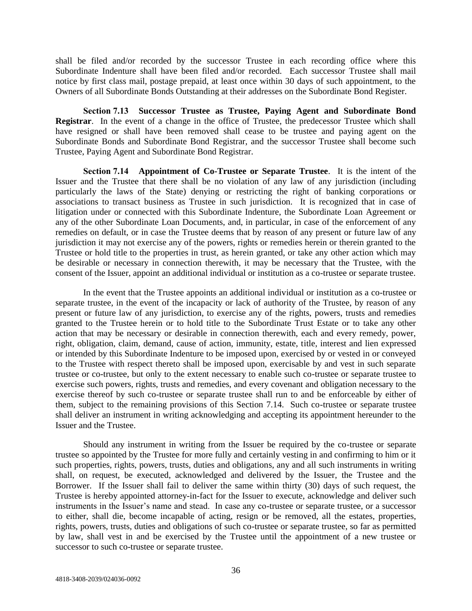shall be filed and/or recorded by the successor Trustee in each recording office where this Subordinate Indenture shall have been filed and/or recorded. Each successor Trustee shall mail notice by first class mail, postage prepaid, at least once within 30 days of such appointment, to the Owners of all Subordinate Bonds Outstanding at their addresses on the Subordinate Bond Register.

**Section 7.13 Successor Trustee as Trustee, Paying Agent and Subordinate Bond Registrar**. In the event of a change in the office of Trustee, the predecessor Trustee which shall have resigned or shall have been removed shall cease to be trustee and paying agent on the Subordinate Bonds and Subordinate Bond Registrar, and the successor Trustee shall become such Trustee, Paying Agent and Subordinate Bond Registrar.

**Section 7.14 Appointment of Co-Trustee or Separate Trustee**. It is the intent of the Issuer and the Trustee that there shall be no violation of any law of any jurisdiction (including particularly the laws of the State) denying or restricting the right of banking corporations or associations to transact business as Trustee in such jurisdiction. It is recognized that in case of litigation under or connected with this Subordinate Indenture, the Subordinate Loan Agreement or any of the other Subordinate Loan Documents, and, in particular, in case of the enforcement of any remedies on default, or in case the Trustee deems that by reason of any present or future law of any jurisdiction it may not exercise any of the powers, rights or remedies herein or therein granted to the Trustee or hold title to the properties in trust, as herein granted, or take any other action which may be desirable or necessary in connection therewith, it may be necessary that the Trustee, with the consent of the Issuer, appoint an additional individual or institution as a co-trustee or separate trustee.

In the event that the Trustee appoints an additional individual or institution as a co-trustee or separate trustee, in the event of the incapacity or lack of authority of the Trustee, by reason of any present or future law of any jurisdiction, to exercise any of the rights, powers, trusts and remedies granted to the Trustee herein or to hold title to the Subordinate Trust Estate or to take any other action that may be necessary or desirable in connection therewith, each and every remedy, power, right, obligation, claim, demand, cause of action, immunity, estate, title, interest and lien expressed or intended by this Subordinate Indenture to be imposed upon, exercised by or vested in or conveyed to the Trustee with respect thereto shall be imposed upon, exercisable by and vest in such separate trustee or co-trustee, but only to the extent necessary to enable such co-trustee or separate trustee to exercise such powers, rights, trusts and remedies, and every covenant and obligation necessary to the exercise thereof by such co-trustee or separate trustee shall run to and be enforceable by either of them, subject to the remaining provisions of this Section 7.14. Such co-trustee or separate trustee shall deliver an instrument in writing acknowledging and accepting its appointment hereunder to the Issuer and the Trustee.

Should any instrument in writing from the Issuer be required by the co-trustee or separate trustee so appointed by the Trustee for more fully and certainly vesting in and confirming to him or it such properties, rights, powers, trusts, duties and obligations, any and all such instruments in writing shall, on request, be executed, acknowledged and delivered by the Issuer, the Trustee and the Borrower. If the Issuer shall fail to deliver the same within thirty (30) days of such request, the Trustee is hereby appointed attorney-in-fact for the Issuer to execute, acknowledge and deliver such instruments in the Issuer's name and stead. In case any co-trustee or separate trustee, or a successor to either, shall die, become incapable of acting, resign or be removed, all the estates, properties, rights, powers, trusts, duties and obligations of such co-trustee or separate trustee, so far as permitted by law, shall vest in and be exercised by the Trustee until the appointment of a new trustee or successor to such co-trustee or separate trustee.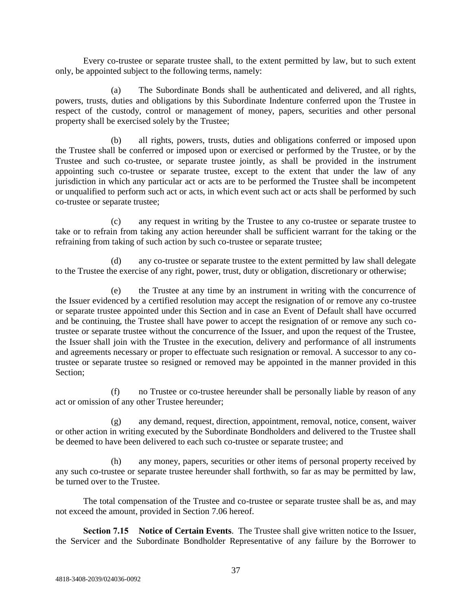Every co-trustee or separate trustee shall, to the extent permitted by law, but to such extent only, be appointed subject to the following terms, namely:

(a) The Subordinate Bonds shall be authenticated and delivered, and all rights, powers, trusts, duties and obligations by this Subordinate Indenture conferred upon the Trustee in respect of the custody, control or management of money, papers, securities and other personal property shall be exercised solely by the Trustee;

(b) all rights, powers, trusts, duties and obligations conferred or imposed upon the Trustee shall be conferred or imposed upon or exercised or performed by the Trustee, or by the Trustee and such co-trustee, or separate trustee jointly, as shall be provided in the instrument appointing such co-trustee or separate trustee, except to the extent that under the law of any jurisdiction in which any particular act or acts are to be performed the Trustee shall be incompetent or unqualified to perform such act or acts, in which event such act or acts shall be performed by such co-trustee or separate trustee;

(c) any request in writing by the Trustee to any co-trustee or separate trustee to take or to refrain from taking any action hereunder shall be sufficient warrant for the taking or the refraining from taking of such action by such co-trustee or separate trustee;

(d) any co-trustee or separate trustee to the extent permitted by law shall delegate to the Trustee the exercise of any right, power, trust, duty or obligation, discretionary or otherwise;

(e) the Trustee at any time by an instrument in writing with the concurrence of the Issuer evidenced by a certified resolution may accept the resignation of or remove any co-trustee or separate trustee appointed under this Section and in case an Event of Default shall have occurred and be continuing, the Trustee shall have power to accept the resignation of or remove any such cotrustee or separate trustee without the concurrence of the Issuer, and upon the request of the Trustee, the Issuer shall join with the Trustee in the execution, delivery and performance of all instruments and agreements necessary or proper to effectuate such resignation or removal. A successor to any cotrustee or separate trustee so resigned or removed may be appointed in the manner provided in this Section;

(f) no Trustee or co-trustee hereunder shall be personally liable by reason of any act or omission of any other Trustee hereunder;

(g) any demand, request, direction, appointment, removal, notice, consent, waiver or other action in writing executed by the Subordinate Bondholders and delivered to the Trustee shall be deemed to have been delivered to each such co-trustee or separate trustee; and

(h) any money, papers, securities or other items of personal property received by any such co-trustee or separate trustee hereunder shall forthwith, so far as may be permitted by law, be turned over to the Trustee.

The total compensation of the Trustee and co-trustee or separate trustee shall be as, and may not exceed the amount, provided in Section 7.06 hereof.

**Section 7.15 Notice of Certain Events**. The Trustee shall give written notice to the Issuer, the Servicer and the Subordinate Bondholder Representative of any failure by the Borrower to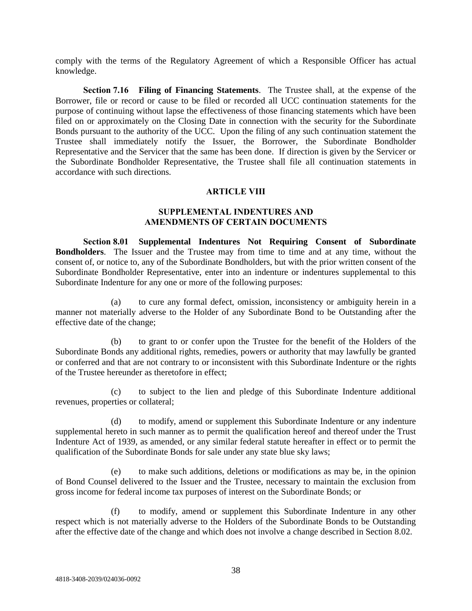comply with the terms of the Regulatory Agreement of which a Responsible Officer has actual knowledge.

**Section 7.16 Filing of Financing Statements**. The Trustee shall, at the expense of the Borrower, file or record or cause to be filed or recorded all UCC continuation statements for the purpose of continuing without lapse the effectiveness of those financing statements which have been filed on or approximately on the Closing Date in connection with the security for the Subordinate Bonds pursuant to the authority of the UCC. Upon the filing of any such continuation statement the Trustee shall immediately notify the Issuer, the Borrower, the Subordinate Bondholder Representative and the Servicer that the same has been done. If direction is given by the Servicer or the Subordinate Bondholder Representative, the Trustee shall file all continuation statements in accordance with such directions.

## **ARTICLE VIII**

# **SUPPLEMENTAL INDENTURES AND AMENDMENTS OF CERTAIN DOCUMENTS**

**Section 8.01 Supplemental Indentures Not Requiring Consent of Subordinate Bondholders**. The Issuer and the Trustee may from time to time and at any time, without the consent of, or notice to, any of the Subordinate Bondholders, but with the prior written consent of the Subordinate Bondholder Representative, enter into an indenture or indentures supplemental to this Subordinate Indenture for any one or more of the following purposes:

(a) to cure any formal defect, omission, inconsistency or ambiguity herein in a manner not materially adverse to the Holder of any Subordinate Bond to be Outstanding after the effective date of the change;

(b) to grant to or confer upon the Trustee for the benefit of the Holders of the Subordinate Bonds any additional rights, remedies, powers or authority that may lawfully be granted or conferred and that are not contrary to or inconsistent with this Subordinate Indenture or the rights of the Trustee hereunder as theretofore in effect;

(c) to subject to the lien and pledge of this Subordinate Indenture additional revenues, properties or collateral;

(d) to modify, amend or supplement this Subordinate Indenture or any indenture supplemental hereto in such manner as to permit the qualification hereof and thereof under the Trust Indenture Act of 1939, as amended, or any similar federal statute hereafter in effect or to permit the qualification of the Subordinate Bonds for sale under any state blue sky laws;

(e) to make such additions, deletions or modifications as may be, in the opinion of Bond Counsel delivered to the Issuer and the Trustee, necessary to maintain the exclusion from gross income for federal income tax purposes of interest on the Subordinate Bonds; or

(f) to modify, amend or supplement this Subordinate Indenture in any other respect which is not materially adverse to the Holders of the Subordinate Bonds to be Outstanding after the effective date of the change and which does not involve a change described in Section 8.02.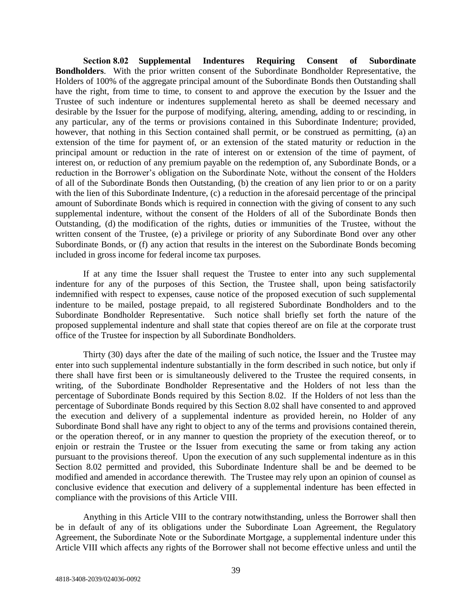**Section 8.02 Supplemental Indentures Requiring Consent of Subordinate Bondholders**. With the prior written consent of the Subordinate Bondholder Representative, the Holders of 100% of the aggregate principal amount of the Subordinate Bonds then Outstanding shall have the right, from time to time, to consent to and approve the execution by the Issuer and the Trustee of such indenture or indentures supplemental hereto as shall be deemed necessary and desirable by the Issuer for the purpose of modifying, altering, amending, adding to or rescinding, in any particular, any of the terms or provisions contained in this Subordinate Indenture; provided, however, that nothing in this Section contained shall permit, or be construed as permitting, (a) an extension of the time for payment of, or an extension of the stated maturity or reduction in the principal amount or reduction in the rate of interest on or extension of the time of payment, of interest on, or reduction of any premium payable on the redemption of, any Subordinate Bonds, or a reduction in the Borrower's obligation on the Subordinate Note, without the consent of the Holders of all of the Subordinate Bonds then Outstanding, (b) the creation of any lien prior to or on a parity with the lien of this Subordinate Indenture, (c) a reduction in the aforesaid percentage of the principal amount of Subordinate Bonds which is required in connection with the giving of consent to any such supplemental indenture, without the consent of the Holders of all of the Subordinate Bonds then Outstanding, (d) the modification of the rights, duties or immunities of the Trustee, without the written consent of the Trustee, (e) a privilege or priority of any Subordinate Bond over any other Subordinate Bonds, or (f) any action that results in the interest on the Subordinate Bonds becoming included in gross income for federal income tax purposes.

If at any time the Issuer shall request the Trustee to enter into any such supplemental indenture for any of the purposes of this Section, the Trustee shall, upon being satisfactorily indemnified with respect to expenses, cause notice of the proposed execution of such supplemental indenture to be mailed, postage prepaid, to all registered Subordinate Bondholders and to the Subordinate Bondholder Representative. Such notice shall briefly set forth the nature of the proposed supplemental indenture and shall state that copies thereof are on file at the corporate trust office of the Trustee for inspection by all Subordinate Bondholders.

Thirty (30) days after the date of the mailing of such notice, the Issuer and the Trustee may enter into such supplemental indenture substantially in the form described in such notice, but only if there shall have first been or is simultaneously delivered to the Trustee the required consents, in writing, of the Subordinate Bondholder Representative and the Holders of not less than the percentage of Subordinate Bonds required by this Section 8.02. If the Holders of not less than the percentage of Subordinate Bonds required by this Section 8.02 shall have consented to and approved the execution and delivery of a supplemental indenture as provided herein, no Holder of any Subordinate Bond shall have any right to object to any of the terms and provisions contained therein, or the operation thereof, or in any manner to question the propriety of the execution thereof, or to enjoin or restrain the Trustee or the Issuer from executing the same or from taking any action pursuant to the provisions thereof. Upon the execution of any such supplemental indenture as in this Section 8.02 permitted and provided, this Subordinate Indenture shall be and be deemed to be modified and amended in accordance therewith. The Trustee may rely upon an opinion of counsel as conclusive evidence that execution and delivery of a supplemental indenture has been effected in compliance with the provisions of this Article VIII.

Anything in this Article VIII to the contrary notwithstanding, unless the Borrower shall then be in default of any of its obligations under the Subordinate Loan Agreement, the Regulatory Agreement, the Subordinate Note or the Subordinate Mortgage, a supplemental indenture under this Article VIII which affects any rights of the Borrower shall not become effective unless and until the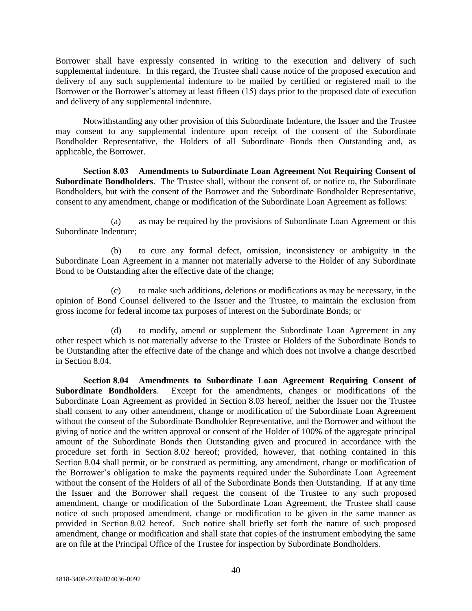Borrower shall have expressly consented in writing to the execution and delivery of such supplemental indenture. In this regard, the Trustee shall cause notice of the proposed execution and delivery of any such supplemental indenture to be mailed by certified or registered mail to the Borrower or the Borrower's attorney at least fifteen (15) days prior to the proposed date of execution and delivery of any supplemental indenture.

Notwithstanding any other provision of this Subordinate Indenture, the Issuer and the Trustee may consent to any supplemental indenture upon receipt of the consent of the Subordinate Bondholder Representative, the Holders of all Subordinate Bonds then Outstanding and, as applicable, the Borrower.

**Section 8.03 Amendments to Subordinate Loan Agreement Not Requiring Consent of Subordinate Bondholders**. The Trustee shall, without the consent of, or notice to, the Subordinate Bondholders, but with the consent of the Borrower and the Subordinate Bondholder Representative, consent to any amendment, change or modification of the Subordinate Loan Agreement as follows:

(a) as may be required by the provisions of Subordinate Loan Agreement or this Subordinate Indenture;

(b) to cure any formal defect, omission, inconsistency or ambiguity in the Subordinate Loan Agreement in a manner not materially adverse to the Holder of any Subordinate Bond to be Outstanding after the effective date of the change;

(c) to make such additions, deletions or modifications as may be necessary, in the opinion of Bond Counsel delivered to the Issuer and the Trustee, to maintain the exclusion from gross income for federal income tax purposes of interest on the Subordinate Bonds; or

(d) to modify, amend or supplement the Subordinate Loan Agreement in any other respect which is not materially adverse to the Trustee or Holders of the Subordinate Bonds to be Outstanding after the effective date of the change and which does not involve a change described in Section 8.04.

**Section 8.04 • Amendments to Subordinate Loan Agreement Requiring Consent of Subordinate Bondholders.** Except for the amendments, changes or modifications of the Except for the amendments, changes or modifications of the Subordinate Loan Agreement as provided in Section 8.03 hereof, neither the Issuer nor the Trustee shall consent to any other amendment, change or modification of the Subordinate Loan Agreement without the consent of the Subordinate Bondholder Representative, and the Borrower and without the giving of notice and the written approval or consent of the Holder of 100% of the aggregate principal amount of the Subordinate Bonds then Outstanding given and procured in accordance with the procedure set forth in Section 8.02 hereof; provided, however, that nothing contained in this Section 8.04 shall permit, or be construed as permitting, any amendment, change or modification of the Borrower's obligation to make the payments required under the Subordinate Loan Agreement without the consent of the Holders of all of the Subordinate Bonds then Outstanding. If at any time the Issuer and the Borrower shall request the consent of the Trustee to any such proposed amendment, change or modification of the Subordinate Loan Agreement, the Trustee shall cause notice of such proposed amendment, change or modification to be given in the same manner as provided in Section 8.02 hereof. Such notice shall briefly set forth the nature of such proposed amendment, change or modification and shall state that copies of the instrument embodying the same are on file at the Principal Office of the Trustee for inspection by Subordinate Bondholders.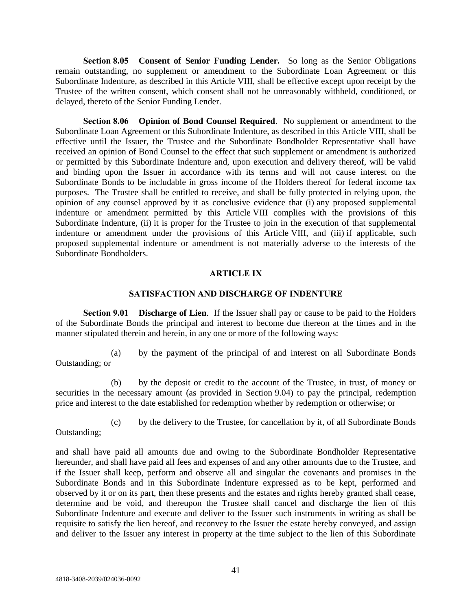**Section 8.05 Consent of Senior Funding Lender***.* So long as the Senior Obligations remain outstanding, no supplement or amendment to the Subordinate Loan Agreement or this Subordinate Indenture, as described in this Article VIII, shall be effective except upon receipt by the Trustee of the written consent, which consent shall not be unreasonably withheld, conditioned, or delayed, thereto of the Senior Funding Lender.

**Section 8.06 Opinion of Bond Counsel Required**. No supplement or amendment to the Subordinate Loan Agreement or this Subordinate Indenture, as described in this Article VIII, shall be effective until the Issuer, the Trustee and the Subordinate Bondholder Representative shall have received an opinion of Bond Counsel to the effect that such supplement or amendment is authorized or permitted by this Subordinate Indenture and, upon execution and delivery thereof, will be valid and binding upon the Issuer in accordance with its terms and will not cause interest on the Subordinate Bonds to be includable in gross income of the Holders thereof for federal income tax purposes. The Trustee shall be entitled to receive, and shall be fully protected in relying upon, the opinion of any counsel approved by it as conclusive evidence that (i) any proposed supplemental indenture or amendment permitted by this Article VIII complies with the provisions of this Subordinate Indenture, (ii) it is proper for the Trustee to join in the execution of that supplemental indenture or amendment under the provisions of this Article VIII, and (iii) if applicable, such proposed supplemental indenture or amendment is not materially adverse to the interests of the Subordinate Bondholders.

## **ARTICLE IX**

#### **SATISFACTION AND DISCHARGE OF INDENTURE**

**Section 9.01 Discharge of Lien**. If the Issuer shall pay or cause to be paid to the Holders of the Subordinate Bonds the principal and interest to become due thereon at the times and in the manner stipulated therein and herein, in any one or more of the following ways:

(a) by the payment of the principal of and interest on all Subordinate Bonds Outstanding; or

(b) by the deposit or credit to the account of the Trustee, in trust, of money or securities in the necessary amount (as provided in Section 9.04) to pay the principal, redemption price and interest to the date established for redemption whether by redemption or otherwise; or

(c) by the delivery to the Trustee, for cancellation by it, of all Subordinate Bonds

Outstanding;

and shall have paid all amounts due and owing to the Subordinate Bondholder Representative hereunder, and shall have paid all fees and expenses of and any other amounts due to the Trustee, and if the Issuer shall keep, perform and observe all and singular the covenants and promises in the Subordinate Bonds and in this Subordinate Indenture expressed as to be kept, performed and observed by it or on its part, then these presents and the estates and rights hereby granted shall cease, determine and be void, and thereupon the Trustee shall cancel and discharge the lien of this Subordinate Indenture and execute and deliver to the Issuer such instruments in writing as shall be requisite to satisfy the lien hereof, and reconvey to the Issuer the estate hereby conveyed, and assign and deliver to the Issuer any interest in property at the time subject to the lien of this Subordinate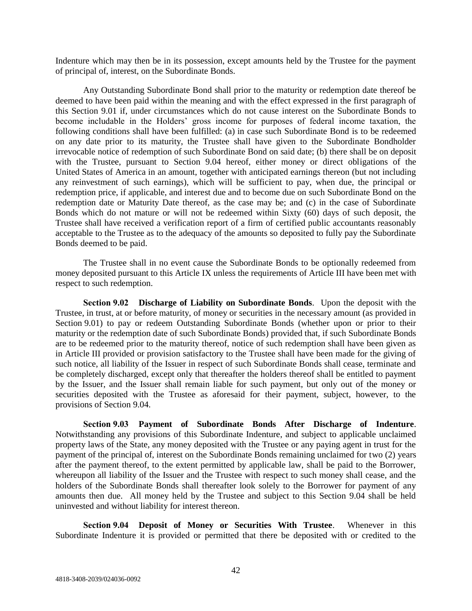Indenture which may then be in its possession, except amounts held by the Trustee for the payment of principal of, interest, on the Subordinate Bonds.

Any Outstanding Subordinate Bond shall prior to the maturity or redemption date thereof be deemed to have been paid within the meaning and with the effect expressed in the first paragraph of this Section 9.01 if, under circumstances which do not cause interest on the Subordinate Bonds to become includable in the Holders' gross income for purposes of federal income taxation, the following conditions shall have been fulfilled: (a) in case such Subordinate Bond is to be redeemed on any date prior to its maturity, the Trustee shall have given to the Subordinate Bondholder irrevocable notice of redemption of such Subordinate Bond on said date; (b) there shall be on deposit with the Trustee, pursuant to Section 9.04 hereof, either money or direct obligations of the United States of America in an amount, together with anticipated earnings thereon (but not including any reinvestment of such earnings), which will be sufficient to pay, when due, the principal or redemption price, if applicable, and interest due and to become due on such Subordinate Bond on the redemption date or Maturity Date thereof, as the case may be; and (c) in the case of Subordinate Bonds which do not mature or will not be redeemed within Sixty (60) days of such deposit, the Trustee shall have received a verification report of a firm of certified public accountants reasonably acceptable to the Trustee as to the adequacy of the amounts so deposited to fully pay the Subordinate Bonds deemed to be paid.

The Trustee shall in no event cause the Subordinate Bonds to be optionally redeemed from money deposited pursuant to this Article IX unless the requirements of Article III have been met with respect to such redemption.

**Section 9.02 Discharge of Liability on Subordinate Bonds**. Upon the deposit with the Trustee, in trust, at or before maturity, of money or securities in the necessary amount (as provided in Section 9.01) to pay or redeem Outstanding Subordinate Bonds (whether upon or prior to their maturity or the redemption date of such Subordinate Bonds) provided that, if such Subordinate Bonds are to be redeemed prior to the maturity thereof, notice of such redemption shall have been given as in Article III provided or provision satisfactory to the Trustee shall have been made for the giving of such notice, all liability of the Issuer in respect of such Subordinate Bonds shall cease, terminate and be completely discharged, except only that thereafter the holders thereof shall be entitled to payment by the Issuer, and the Issuer shall remain liable for such payment, but only out of the money or securities deposited with the Trustee as aforesaid for their payment, subject, however, to the provisions of Section 9.04.

**Section 9.03 Payment of Subordinate Bonds After Discharge of Indenture**. Notwithstanding any provisions of this Subordinate Indenture, and subject to applicable unclaimed property laws of the State, any money deposited with the Trustee or any paying agent in trust for the payment of the principal of, interest on the Subordinate Bonds remaining unclaimed for two (2) years after the payment thereof, to the extent permitted by applicable law, shall be paid to the Borrower, whereupon all liability of the Issuer and the Trustee with respect to such money shall cease, and the holders of the Subordinate Bonds shall thereafter look solely to the Borrower for payment of any amounts then due. All money held by the Trustee and subject to this Section 9.04 shall be held uninvested and without liability for interest thereon.

**Section 9.04 Deposit of Money or Securities With Trustee**. Whenever in this Subordinate Indenture it is provided or permitted that there be deposited with or credited to the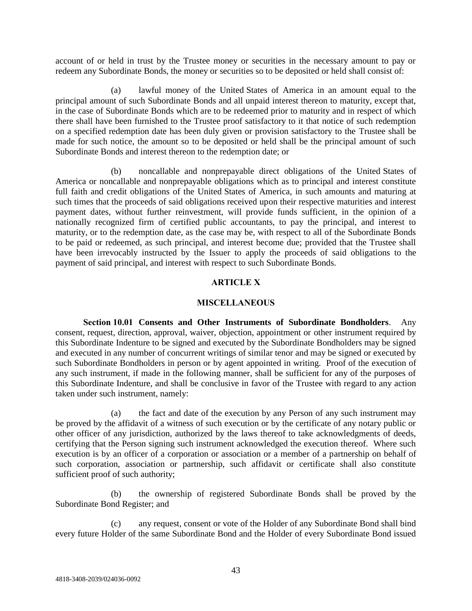account of or held in trust by the Trustee money or securities in the necessary amount to pay or redeem any Subordinate Bonds, the money or securities so to be deposited or held shall consist of:

(a) lawful money of the United States of America in an amount equal to the principal amount of such Subordinate Bonds and all unpaid interest thereon to maturity, except that, in the case of Subordinate Bonds which are to be redeemed prior to maturity and in respect of which there shall have been furnished to the Trustee proof satisfactory to it that notice of such redemption on a specified redemption date has been duly given or provision satisfactory to the Trustee shall be made for such notice, the amount so to be deposited or held shall be the principal amount of such Subordinate Bonds and interest thereon to the redemption date; or

(b) noncallable and nonprepayable direct obligations of the United States of America or noncallable and nonprepayable obligations which as to principal and interest constitute full faith and credit obligations of the United States of America, in such amounts and maturing at such times that the proceeds of said obligations received upon their respective maturities and interest payment dates, without further reinvestment, will provide funds sufficient, in the opinion of a nationally recognized firm of certified public accountants, to pay the principal, and interest to maturity, or to the redemption date, as the case may be, with respect to all of the Subordinate Bonds to be paid or redeemed, as such principal, and interest become due; provided that the Trustee shall have been irrevocably instructed by the Issuer to apply the proceeds of said obligations to the payment of said principal, and interest with respect to such Subordinate Bonds.

# **ARTICLE X**

## **MISCELLANEOUS**

**Section 10.01 Consents and Other Instruments of Subordinate Bondholders**. Any consent, request, direction, approval, waiver, objection, appointment or other instrument required by this Subordinate Indenture to be signed and executed by the Subordinate Bondholders may be signed and executed in any number of concurrent writings of similar tenor and may be signed or executed by such Subordinate Bondholders in person or by agent appointed in writing. Proof of the execution of any such instrument, if made in the following manner, shall be sufficient for any of the purposes of this Subordinate Indenture, and shall be conclusive in favor of the Trustee with regard to any action taken under such instrument, namely:

(a) the fact and date of the execution by any Person of any such instrument may be proved by the affidavit of a witness of such execution or by the certificate of any notary public or other officer of any jurisdiction, authorized by the laws thereof to take acknowledgments of deeds, certifying that the Person signing such instrument acknowledged the execution thereof. Where such execution is by an officer of a corporation or association or a member of a partnership on behalf of such corporation, association or partnership, such affidavit or certificate shall also constitute sufficient proof of such authority;

(b) the ownership of registered Subordinate Bonds shall be proved by the Subordinate Bond Register; and

(c) any request, consent or vote of the Holder of any Subordinate Bond shall bind every future Holder of the same Subordinate Bond and the Holder of every Subordinate Bond issued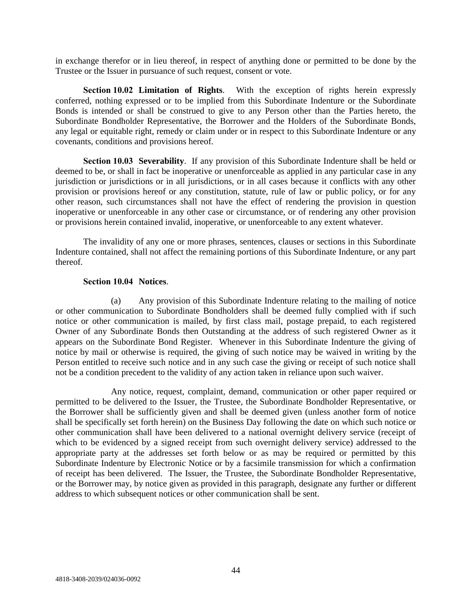in exchange therefor or in lieu thereof, in respect of anything done or permitted to be done by the Trustee or the Issuer in pursuance of such request, consent or vote.

**Section 10.02 Limitation of Rights**. With the exception of rights herein expressly conferred, nothing expressed or to be implied from this Subordinate Indenture or the Subordinate Bonds is intended or shall be construed to give to any Person other than the Parties hereto, the Subordinate Bondholder Representative, the Borrower and the Holders of the Subordinate Bonds, any legal or equitable right, remedy or claim under or in respect to this Subordinate Indenture or any covenants, conditions and provisions hereof.

**Section 10.03 Severability**. If any provision of this Subordinate Indenture shall be held or deemed to be, or shall in fact be inoperative or unenforceable as applied in any particular case in any jurisdiction or jurisdictions or in all jurisdictions, or in all cases because it conflicts with any other provision or provisions hereof or any constitution, statute, rule of law or public policy, or for any other reason, such circumstances shall not have the effect of rendering the provision in question inoperative or unenforceable in any other case or circumstance, or of rendering any other provision or provisions herein contained invalid, inoperative, or unenforceable to any extent whatever.

The invalidity of any one or more phrases, sentences, clauses or sections in this Subordinate Indenture contained, shall not affect the remaining portions of this Subordinate Indenture, or any part thereof.

### **Section 10.04 Notices**.

(a) Any provision of this Subordinate Indenture relating to the mailing of notice or other communication to Subordinate Bondholders shall be deemed fully complied with if such notice or other communication is mailed, by first class mail, postage prepaid, to each registered Owner of any Subordinate Bonds then Outstanding at the address of such registered Owner as it appears on the Subordinate Bond Register. Whenever in this Subordinate Indenture the giving of notice by mail or otherwise is required, the giving of such notice may be waived in writing by the Person entitled to receive such notice and in any such case the giving or receipt of such notice shall not be a condition precedent to the validity of any action taken in reliance upon such waiver.

Any notice, request, complaint, demand, communication or other paper required or permitted to be delivered to the Issuer, the Trustee, the Subordinate Bondholder Representative, or the Borrower shall be sufficiently given and shall be deemed given (unless another form of notice shall be specifically set forth herein) on the Business Day following the date on which such notice or other communication shall have been delivered to a national overnight delivery service (receipt of which to be evidenced by a signed receipt from such overnight delivery service) addressed to the appropriate party at the addresses set forth below or as may be required or permitted by this Subordinate Indenture by Electronic Notice or by a facsimile transmission for which a confirmation of receipt has been delivered. The Issuer, the Trustee, the Subordinate Bondholder Representative, or the Borrower may, by notice given as provided in this paragraph, designate any further or different address to which subsequent notices or other communication shall be sent.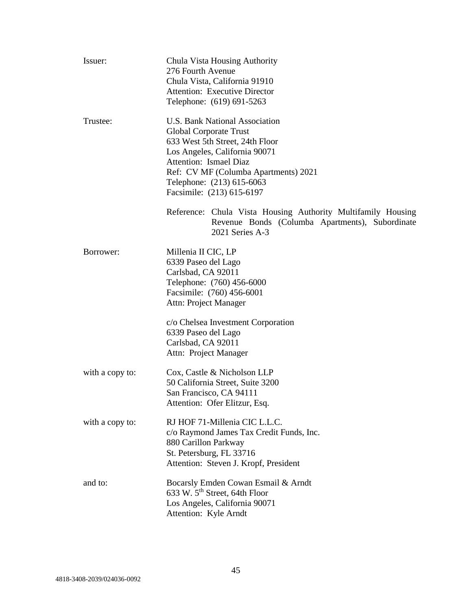| Issuer:         | Chula Vista Housing Authority<br>276 Fourth Avenue<br>Chula Vista, California 91910<br><b>Attention: Executive Director</b><br>Telephone: (619) 691-5263                                                                                                        |
|-----------------|-----------------------------------------------------------------------------------------------------------------------------------------------------------------------------------------------------------------------------------------------------------------|
| Trustee:        | <b>U.S. Bank National Association</b><br>Global Corporate Trust<br>633 West 5th Street, 24th Floor<br>Los Angeles, California 90071<br>Attention: Ismael Diaz<br>Ref: CV MF (Columba Apartments) 2021<br>Telephone: (213) 615-6063<br>Facsimile: (213) 615-6197 |
|                 | Reference: Chula Vista Housing Authority Multifamily Housing<br>Revenue Bonds (Columba Apartments), Subordinate<br>2021 Series A-3                                                                                                                              |
| Borrower:       | Millenia II CIC, LP<br>6339 Paseo del Lago<br>Carlsbad, CA 92011<br>Telephone: (760) 456-6000<br>Facsimile: (760) 456-6001<br>Attn: Project Manager<br>c/o Chelsea Investment Corporation<br>6339 Paseo del Lago<br>Carlsbad, CA 92011                          |
|                 | Attn: Project Manager                                                                                                                                                                                                                                           |
| with a copy to: | Cox, Castle & Nicholson LLP<br>50 California Street, Suite 3200<br>San Francisco, CA 94111<br>Attention: Ofer Elitzur, Esq.                                                                                                                                     |
| with a copy to: | RJ HOF 71-Millenia CIC L.L.C.<br>c/o Raymond James Tax Credit Funds, Inc.<br>880 Carillon Parkway<br>St. Petersburg, FL 33716<br>Attention: Steven J. Kropf, President                                                                                          |
| and to:         | Bocarsly Emden Cowan Esmail & Arndt<br>633 W. 5 <sup>th</sup> Street, 64th Floor<br>Los Angeles, California 90071<br>Attention: Kyle Arndt                                                                                                                      |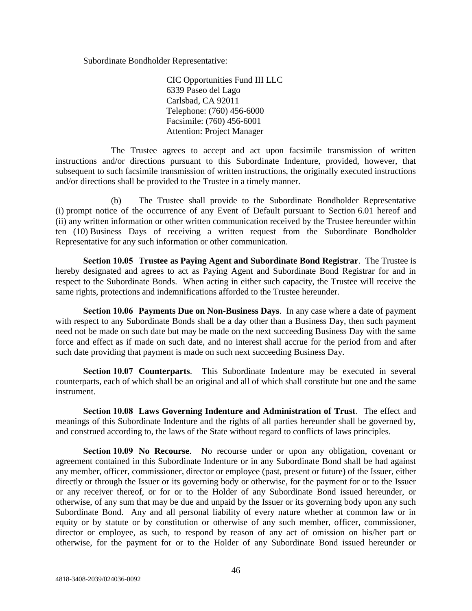Subordinate Bondholder Representative:

CIC Opportunities Fund III LLC 6339 Paseo del Lago Carlsbad, CA 92011 Telephone: (760) 456-6000 Facsimile: (760) 456-6001 Attention: Project Manager

The Trustee agrees to accept and act upon facsimile transmission of written instructions and/or directions pursuant to this Subordinate Indenture, provided, however, that subsequent to such facsimile transmission of written instructions, the originally executed instructions and/or directions shall be provided to the Trustee in a timely manner.

(b) The Trustee shall provide to the Subordinate Bondholder Representative (i) prompt notice of the occurrence of any Event of Default pursuant to Section 6.01 hereof and (ii) any written information or other written communication received by the Trustee hereunder within ten (10) Business Days of receiving a written request from the Subordinate Bondholder Representative for any such information or other communication.

**Section 10.05 Trustee as Paying Agent and Subordinate Bond Registrar**. The Trustee is hereby designated and agrees to act as Paying Agent and Subordinate Bond Registrar for and in respect to the Subordinate Bonds. When acting in either such capacity, the Trustee will receive the same rights, protections and indemnifications afforded to the Trustee hereunder.

**Section 10.06 Payments Due on Non-Business Days**. In any case where a date of payment with respect to any Subordinate Bonds shall be a day other than a Business Day, then such payment need not be made on such date but may be made on the next succeeding Business Day with the same force and effect as if made on such date, and no interest shall accrue for the period from and after such date providing that payment is made on such next succeeding Business Day.

**Section 10.07 Counterparts**. This Subordinate Indenture may be executed in several counterparts, each of which shall be an original and all of which shall constitute but one and the same instrument.

**Section 10.08 Laws Governing Indenture and Administration of Trust**. The effect and meanings of this Subordinate Indenture and the rights of all parties hereunder shall be governed by, and construed according to, the laws of the State without regard to conflicts of laws principles.

**Section 10.09 No Recourse**. No recourse under or upon any obligation, covenant or agreement contained in this Subordinate Indenture or in any Subordinate Bond shall be had against any member, officer, commissioner, director or employee (past, present or future) of the Issuer, either directly or through the Issuer or its governing body or otherwise, for the payment for or to the Issuer or any receiver thereof, or for or to the Holder of any Subordinate Bond issued hereunder, or otherwise, of any sum that may be due and unpaid by the Issuer or its governing body upon any such Subordinate Bond. Any and all personal liability of every nature whether at common law or in equity or by statute or by constitution or otherwise of any such member, officer, commissioner, director or employee, as such, to respond by reason of any act of omission on his/her part or otherwise, for the payment for or to the Holder of any Subordinate Bond issued hereunder or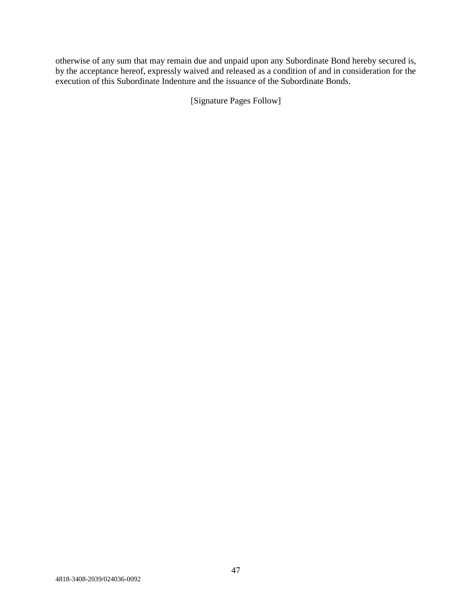otherwise of any sum that may remain due and unpaid upon any Subordinate Bond hereby secured is, by the acceptance hereof, expressly waived and released as a condition of and in consideration for the execution of this Subordinate Indenture and the issuance of the Subordinate Bonds.

[Signature Pages Follow]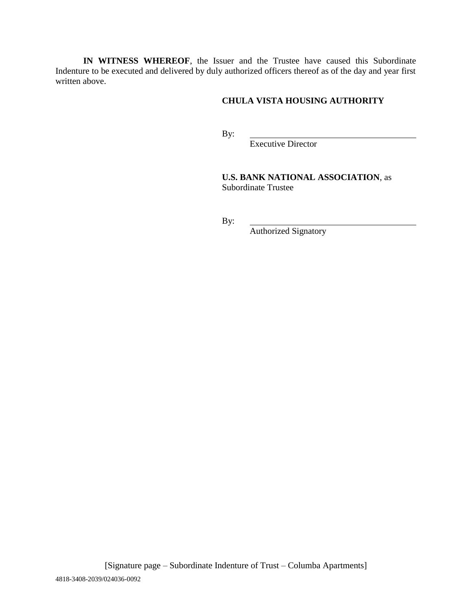**IN WITNESS WHEREOF**, the Issuer and the Trustee have caused this Subordinate Indenture to be executed and delivered by duly authorized officers thereof as of the day and year first written above.

# **CHULA VISTA HOUSING AUTHORITY**

By:

Executive Director

**U.S. BANK NATIONAL ASSOCIATION**, as Subordinate Trustee

By:

Authorized Signatory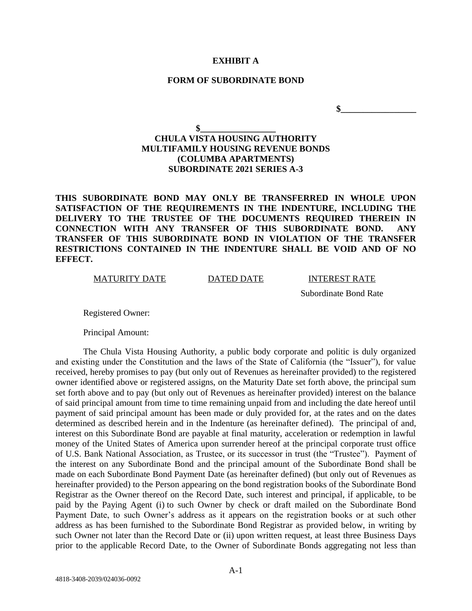#### **EXHIBIT A**

#### **FORM OF SUBORDINATE BOND**

 $\sim$ 

# **\$\_\_\_\_\_\_\_\_\_\_\_\_\_\_\_\_\_ CHULA VISTA HOUSING AUTHORITY MULTIFAMILY HOUSING REVENUE BONDS (COLUMBA APARTMENTS) SUBORDINATE 2021 SERIES A-3**

**THIS SUBORDINATE BOND MAY ONLY BE TRANSFERRED IN WHOLE UPON SATISFACTION OF THE REQUIREMENTS IN THE INDENTURE, INCLUDING THE DELIVERY TO THE TRUSTEE OF THE DOCUMENTS REQUIRED THEREIN IN CONNECTION WITH ANY TRANSFER OF THIS SUBORDINATE BOND. ANY TRANSFER OF THIS SUBORDINATE BOND IN VIOLATION OF THE TRANSFER RESTRICTIONS CONTAINED IN THE INDENTURE SHALL BE VOID AND OF NO EFFECT.**

MATURITY DATE DATED DATE INTEREST RATE

Subordinate Bond Rate

Registered Owner:

Principal Amount:

The Chula Vista Housing Authority, a public body corporate and politic is duly organized and existing under the Constitution and the laws of the State of California (the "Issuer"), for value received, hereby promises to pay (but only out of Revenues as hereinafter provided) to the registered owner identified above or registered assigns, on the Maturity Date set forth above, the principal sum set forth above and to pay (but only out of Revenues as hereinafter provided) interest on the balance of said principal amount from time to time remaining unpaid from and including the date hereof until payment of said principal amount has been made or duly provided for, at the rates and on the dates determined as described herein and in the Indenture (as hereinafter defined). The principal of and, interest on this Subordinate Bond are payable at final maturity, acceleration or redemption in lawful money of the United States of America upon surrender hereof at the principal corporate trust office of U.S. Bank National Association, as Trustee, or its successor in trust (the "Trustee"). Payment of the interest on any Subordinate Bond and the principal amount of the Subordinate Bond shall be made on each Subordinate Bond Payment Date (as hereinafter defined) (but only out of Revenues as hereinafter provided) to the Person appearing on the bond registration books of the Subordinate Bond Registrar as the Owner thereof on the Record Date, such interest and principal, if applicable, to be paid by the Paying Agent (i) to such Owner by check or draft mailed on the Subordinate Bond Payment Date, to such Owner's address as it appears on the registration books or at such other address as has been furnished to the Subordinate Bond Registrar as provided below, in writing by such Owner not later than the Record Date or (ii) upon written request, at least three Business Days prior to the applicable Record Date, to the Owner of Subordinate Bonds aggregating not less than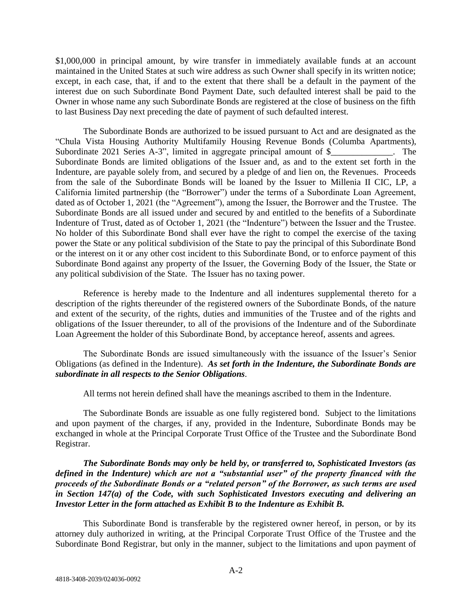\$1,000,000 in principal amount, by wire transfer in immediately available funds at an account maintained in the United States at such wire address as such Owner shall specify in its written notice; except, in each case, that, if and to the extent that there shall be a default in the payment of the interest due on such Subordinate Bond Payment Date, such defaulted interest shall be paid to the Owner in whose name any such Subordinate Bonds are registered at the close of business on the fifth to last Business Day next preceding the date of payment of such defaulted interest.

The Subordinate Bonds are authorized to be issued pursuant to Act and are designated as the "Chula Vista Housing Authority Multifamily Housing Revenue Bonds (Columba Apartments), Subordinate 2021 Series A-3", limited in aggregate principal amount of \$\_\_\_\_\_\_\_\_\_\_\_\_. The Subordinate Bonds are limited obligations of the Issuer and, as and to the extent set forth in the Indenture, are payable solely from, and secured by a pledge of and lien on, the Revenues. Proceeds from the sale of the Subordinate Bonds will be loaned by the Issuer to Millenia II CIC, LP, a California limited partnership (the "Borrower") under the terms of a Subordinate Loan Agreement, dated as of October 1, 2021 (the "Agreement"), among the Issuer, the Borrower and the Trustee. The Subordinate Bonds are all issued under and secured by and entitled to the benefits of a Subordinate Indenture of Trust, dated as of October 1, 2021 (the "Indenture") between the Issuer and the Trustee. No holder of this Subordinate Bond shall ever have the right to compel the exercise of the taxing power the State or any political subdivision of the State to pay the principal of this Subordinate Bond or the interest on it or any other cost incident to this Subordinate Bond, or to enforce payment of this Subordinate Bond against any property of the Issuer, the Governing Body of the Issuer, the State or any political subdivision of the State. The Issuer has no taxing power.

Reference is hereby made to the Indenture and all indentures supplemental thereto for a description of the rights thereunder of the registered owners of the Subordinate Bonds, of the nature and extent of the security, of the rights, duties and immunities of the Trustee and of the rights and obligations of the Issuer thereunder, to all of the provisions of the Indenture and of the Subordinate Loan Agreement the holder of this Subordinate Bond, by acceptance hereof, assents and agrees.

The Subordinate Bonds are issued simultaneously with the issuance of the Issuer's Senior Obligations (as defined in the Indenture). *As set forth in the Indenture, the Subordinate Bonds are subordinate in all respects to the Senior Obligations*.

All terms not herein defined shall have the meanings ascribed to them in the Indenture.

The Subordinate Bonds are issuable as one fully registered bond. Subject to the limitations and upon payment of the charges, if any, provided in the Indenture, Subordinate Bonds may be exchanged in whole at the Principal Corporate Trust Office of the Trustee and the Subordinate Bond Registrar.

*The Subordinate Bonds may only be held by, or transferred to, Sophisticated Investors (as defined in the Indenture) which are not a "substantial user" of the property financed with the proceeds of the Subordinate Bonds or a "related person" of the Borrower, as such terms are used in Section 147(a) of the Code, with such Sophisticated Investors executing and delivering an Investor Letter in the form attached as Exhibit B to the Indenture as Exhibit B.*

This Subordinate Bond is transferable by the registered owner hereof, in person, or by its attorney duly authorized in writing, at the Principal Corporate Trust Office of the Trustee and the Subordinate Bond Registrar, but only in the manner, subject to the limitations and upon payment of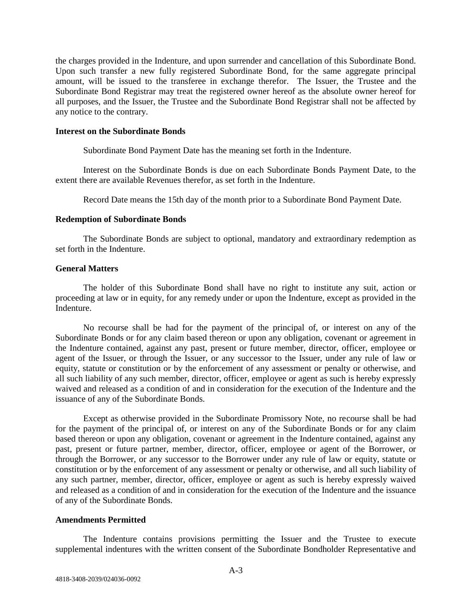the charges provided in the Indenture, and upon surrender and cancellation of this Subordinate Bond. Upon such transfer a new fully registered Subordinate Bond, for the same aggregate principal amount, will be issued to the transferee in exchange therefor. The Issuer, the Trustee and the Subordinate Bond Registrar may treat the registered owner hereof as the absolute owner hereof for all purposes, and the Issuer, the Trustee and the Subordinate Bond Registrar shall not be affected by any notice to the contrary.

### **Interest on the Subordinate Bonds**

Subordinate Bond Payment Date has the meaning set forth in the Indenture.

Interest on the Subordinate Bonds is due on each Subordinate Bonds Payment Date, to the extent there are available Revenues therefor, as set forth in the Indenture.

Record Date means the 15th day of the month prior to a Subordinate Bond Payment Date.

### **Redemption of Subordinate Bonds**

The Subordinate Bonds are subject to optional, mandatory and extraordinary redemption as set forth in the Indenture.

### **General Matters**

The holder of this Subordinate Bond shall have no right to institute any suit, action or proceeding at law or in equity, for any remedy under or upon the Indenture, except as provided in the Indenture.

No recourse shall be had for the payment of the principal of, or interest on any of the Subordinate Bonds or for any claim based thereon or upon any obligation, covenant or agreement in the Indenture contained, against any past, present or future member, director, officer, employee or agent of the Issuer, or through the Issuer, or any successor to the Issuer, under any rule of law or equity, statute or constitution or by the enforcement of any assessment or penalty or otherwise, and all such liability of any such member, director, officer, employee or agent as such is hereby expressly waived and released as a condition of and in consideration for the execution of the Indenture and the issuance of any of the Subordinate Bonds.

Except as otherwise provided in the Subordinate Promissory Note, no recourse shall be had for the payment of the principal of, or interest on any of the Subordinate Bonds or for any claim based thereon or upon any obligation, covenant or agreement in the Indenture contained, against any past, present or future partner, member, director, officer, employee or agent of the Borrower, or through the Borrower, or any successor to the Borrower under any rule of law or equity, statute or constitution or by the enforcement of any assessment or penalty or otherwise, and all such liability of any such partner, member, director, officer, employee or agent as such is hereby expressly waived and released as a condition of and in consideration for the execution of the Indenture and the issuance of any of the Subordinate Bonds.

## **Amendments Permitted**

The Indenture contains provisions permitting the Issuer and the Trustee to execute supplemental indentures with the written consent of the Subordinate Bondholder Representative and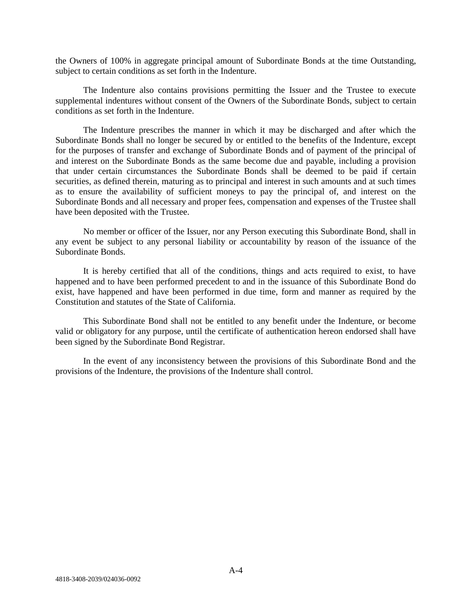the Owners of 100% in aggregate principal amount of Subordinate Bonds at the time Outstanding, subject to certain conditions as set forth in the Indenture.

The Indenture also contains provisions permitting the Issuer and the Trustee to execute supplemental indentures without consent of the Owners of the Subordinate Bonds, subject to certain conditions as set forth in the Indenture.

The Indenture prescribes the manner in which it may be discharged and after which the Subordinate Bonds shall no longer be secured by or entitled to the benefits of the Indenture, except for the purposes of transfer and exchange of Subordinate Bonds and of payment of the principal of and interest on the Subordinate Bonds as the same become due and payable, including a provision that under certain circumstances the Subordinate Bonds shall be deemed to be paid if certain securities, as defined therein, maturing as to principal and interest in such amounts and at such times as to ensure the availability of sufficient moneys to pay the principal of, and interest on the Subordinate Bonds and all necessary and proper fees, compensation and expenses of the Trustee shall have been deposited with the Trustee.

No member or officer of the Issuer, nor any Person executing this Subordinate Bond, shall in any event be subject to any personal liability or accountability by reason of the issuance of the Subordinate Bonds.

It is hereby certified that all of the conditions, things and acts required to exist, to have happened and to have been performed precedent to and in the issuance of this Subordinate Bond do exist, have happened and have been performed in due time, form and manner as required by the Constitution and statutes of the State of California.

This Subordinate Bond shall not be entitled to any benefit under the Indenture, or become valid or obligatory for any purpose, until the certificate of authentication hereon endorsed shall have been signed by the Subordinate Bond Registrar.

In the event of any inconsistency between the provisions of this Subordinate Bond and the provisions of the Indenture, the provisions of the Indenture shall control.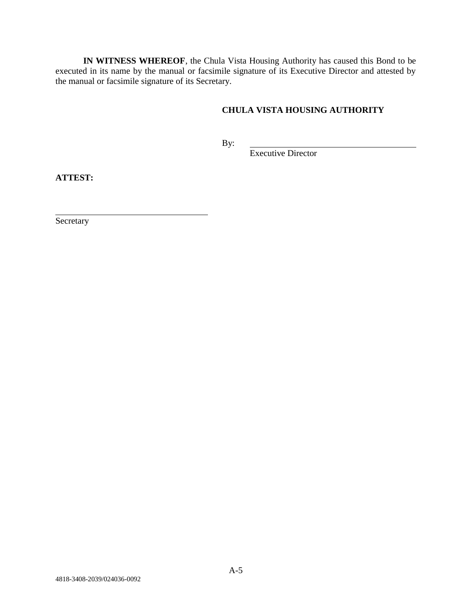**IN WITNESS WHEREOF**, the Chula Vista Housing Authority has caused this Bond to be executed in its name by the manual or facsimile signature of its Executive Director and attested by the manual or facsimile signature of its Secretary.

# **CHULA VISTA HOUSING AUTHORITY**

By:

Executive Director

**ATTEST:**

Secretary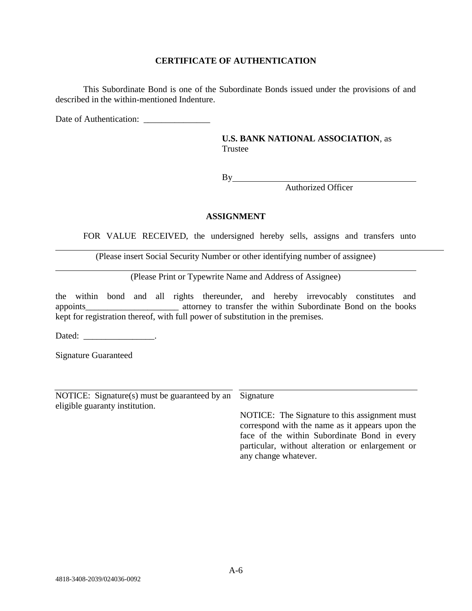## **CERTIFICATE OF AUTHENTICATION**

This Subordinate Bond is one of the Subordinate Bonds issued under the provisions of and described in the within-mentioned Indenture.

Date of Authentication:

**U.S. BANK NATIONAL ASSOCIATION**, as Trustee

By

Authorized Officer

# **ASSIGNMENT**

FOR VALUE RECEIVED, the undersigned hereby sells, assigns and transfers unto

(Please insert Social Security Number or other identifying number of assignee)

(Please Print or Typewrite Name and Address of Assignee)

the within bond and all rights thereunder, and hereby irrevocably constitutes and appoints attorney to transfer the within Subordinate Bond on the books kept for registration thereof, with full power of substitution in the premises.

Dated: \_\_\_\_\_\_\_\_\_\_\_\_\_\_\_\_\_\_\_\_\_.

Signature Guaranteed

NOTICE: Signature(s) must be guaranteed by an Signature eligible guaranty institution.

NOTICE: The Signature to this assignment must correspond with the name as it appears upon the face of the within Subordinate Bond in every particular, without alteration or enlargement or any change whatever.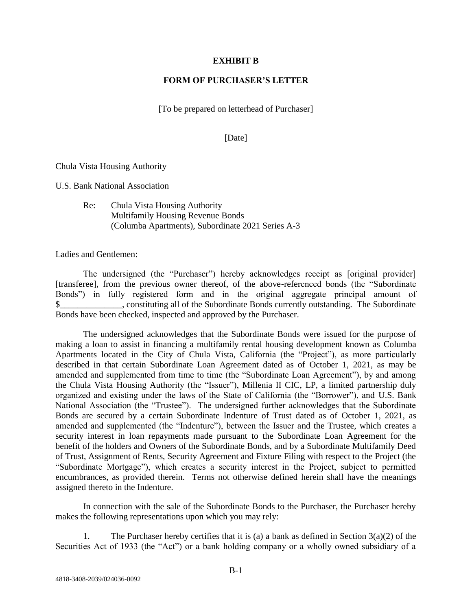### **EXHIBIT B**

### **FORM OF PURCHASER'S LETTER**

[To be prepared on letterhead of Purchaser]

#### [Date]

Chula Vista Housing Authority

U.S. Bank National Association

Re: Chula Vista Housing Authority Multifamily Housing Revenue Bonds (Columba Apartments), Subordinate 2021 Series A-3

Ladies and Gentlemen:

The undersigned (the "Purchaser") hereby acknowledges receipt as [original provider] [transferee], from the previous owner thereof, of the above-referenced bonds (the "Subordinate Bonds") in fully registered form and in the original aggregate principal amount of \$\_\_\_\_\_\_\_\_\_\_\_\_\_\_, constituting all of the Subordinate Bonds currently outstanding. The Subordinate Bonds have been checked, inspected and approved by the Purchaser.

The undersigned acknowledges that the Subordinate Bonds were issued for the purpose of making a loan to assist in financing a multifamily rental housing development known as Columba Apartments located in the City of Chula Vista, California (the "Project"), as more particularly described in that certain Subordinate Loan Agreement dated as of October 1, 2021, as may be amended and supplemented from time to time (the "Subordinate Loan Agreement"), by and among the Chula Vista Housing Authority (the "Issuer"), Millenia II CIC, LP, a limited partnership duly organized and existing under the laws of the State of California (the "Borrower"), and U.S. Bank National Association (the "Trustee"). The undersigned further acknowledges that the Subordinate Bonds are secured by a certain Subordinate Indenture of Trust dated as of October 1, 2021, as amended and supplemented (the "Indenture"), between the Issuer and the Trustee, which creates a security interest in loan repayments made pursuant to the Subordinate Loan Agreement for the benefit of the holders and Owners of the Subordinate Bonds, and by a Subordinate Multifamily Deed of Trust, Assignment of Rents, Security Agreement and Fixture Filing with respect to the Project (the "Subordinate Mortgage"), which creates a security interest in the Project, subject to permitted encumbrances, as provided therein. Terms not otherwise defined herein shall have the meanings assigned thereto in the Indenture.

In connection with the sale of the Subordinate Bonds to the Purchaser, the Purchaser hereby makes the following representations upon which you may rely:

1. The Purchaser hereby certifies that it is (a) a bank as defined in Section  $3(a)(2)$  of the Securities Act of 1933 (the "Act") or a bank holding company or a wholly owned subsidiary of a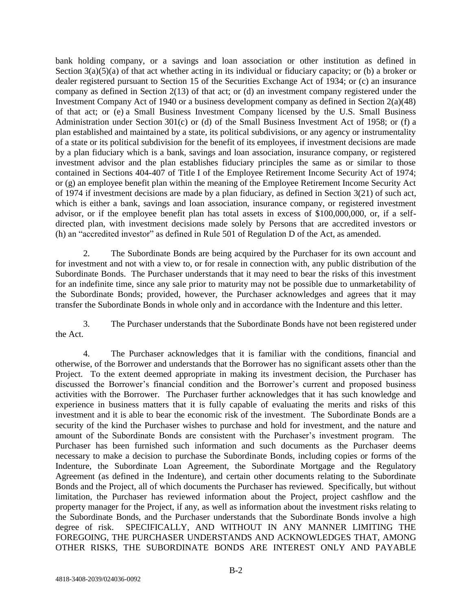bank holding company, or a savings and loan association or other institution as defined in Section 3(a)(5)(a) of that act whether acting in its individual or fiduciary capacity; or (b) a broker or dealer registered pursuant to Section 15 of the Securities Exchange Act of 1934; or (c) an insurance company as defined in Section 2(13) of that act; or (d) an investment company registered under the Investment Company Act of 1940 or a business development company as defined in Section 2(a)(48) of that act; or (e) a Small Business Investment Company licensed by the U.S. Small Business Administration under Section 301(c) or (d) of the Small Business Investment Act of 1958; or (f) a plan established and maintained by a state, its political subdivisions, or any agency or instrumentality of a state or its political subdivision for the benefit of its employees, if investment decisions are made by a plan fiduciary which is a bank, savings and loan association, insurance company, or registered investment advisor and the plan establishes fiduciary principles the same as or similar to those contained in Sections 404-407 of Title I of the Employee Retirement Income Security Act of 1974; or (g) an employee benefit plan within the meaning of the Employee Retirement Income Security Act of 1974 if investment decisions are made by a plan fiduciary, as defined in Section 3(21) of such act, which is either a bank, savings and loan association, insurance company, or registered investment advisor, or if the employee benefit plan has total assets in excess of \$100,000,000, or, if a selfdirected plan, with investment decisions made solely by Persons that are accredited investors or (h) an "accredited investor" as defined in Rule 501 of Regulation D of the Act, as amended.

2. The Subordinate Bonds are being acquired by the Purchaser for its own account and for investment and not with a view to, or for resale in connection with, any public distribution of the Subordinate Bonds. The Purchaser understands that it may need to bear the risks of this investment for an indefinite time, since any sale prior to maturity may not be possible due to unmarketability of the Subordinate Bonds; provided, however, the Purchaser acknowledges and agrees that it may transfer the Subordinate Bonds in whole only and in accordance with the Indenture and this letter.

3. The Purchaser understands that the Subordinate Bonds have not been registered under the Act.

4. The Purchaser acknowledges that it is familiar with the conditions, financial and otherwise, of the Borrower and understands that the Borrower has no significant assets other than the Project. To the extent deemed appropriate in making its investment decision, the Purchaser has discussed the Borrower's financial condition and the Borrower's current and proposed business activities with the Borrower. The Purchaser further acknowledges that it has such knowledge and experience in business matters that it is fully capable of evaluating the merits and risks of this investment and it is able to bear the economic risk of the investment. The Subordinate Bonds are a security of the kind the Purchaser wishes to purchase and hold for investment, and the nature and amount of the Subordinate Bonds are consistent with the Purchaser's investment program. The Purchaser has been furnished such information and such documents as the Purchaser deems necessary to make a decision to purchase the Subordinate Bonds, including copies or forms of the Indenture, the Subordinate Loan Agreement, the Subordinate Mortgage and the Regulatory Agreement (as defined in the Indenture), and certain other documents relating to the Subordinate Bonds and the Project, all of which documents the Purchaser has reviewed. Specifically, but without limitation, the Purchaser has reviewed information about the Project, project cashflow and the property manager for the Project, if any, as well as information about the investment risks relating to the Subordinate Bonds, and the Purchaser understands that the Subordinate Bonds involve a high degree of risk. SPECIFICALLY, AND WITHOUT IN ANY MANNER LIMITING THE FOREGOING, THE PURCHASER UNDERSTANDS AND ACKNOWLEDGES THAT, AMONG OTHER RISKS, THE SUBORDINATE BONDS ARE INTEREST ONLY AND PAYABLE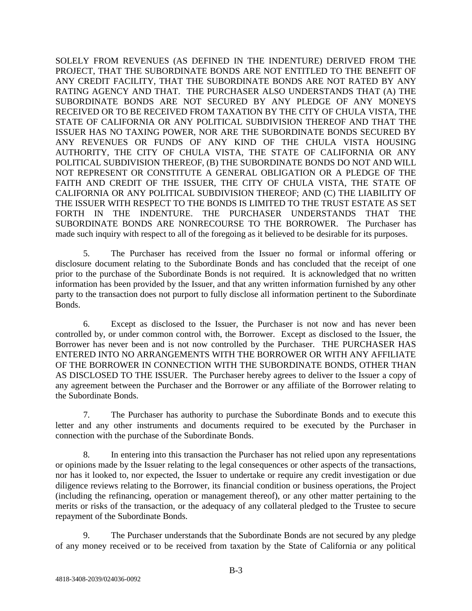SOLELY FROM REVENUES (AS DEFINED IN THE INDENTURE) DERIVED FROM THE PROJECT, THAT THE SUBORDINATE BONDS ARE NOT ENTITLED TO THE BENEFIT OF ANY CREDIT FACILITY, THAT THE SUBORDINATE BONDS ARE NOT RATED BY ANY RATING AGENCY AND THAT. THE PURCHASER ALSO UNDERSTANDS THAT (A) THE SUBORDINATE BONDS ARE NOT SECURED BY ANY PLEDGE OF ANY MONEYS RECEIVED OR TO BE RECEIVED FROM TAXATION BY THE CITY OF CHULA VISTA, THE STATE OF CALIFORNIA OR ANY POLITICAL SUBDIVISION THEREOF AND THAT THE ISSUER HAS NO TAXING POWER, NOR ARE THE SUBORDINATE BONDS SECURED BY ANY REVENUES OR FUNDS OF ANY KIND OF THE CHULA VISTA HOUSING AUTHORITY, THE CITY OF CHULA VISTA, THE STATE OF CALIFORNIA OR ANY POLITICAL SUBDIVISION THEREOF, (B) THE SUBORDINATE BONDS DO NOT AND WILL NOT REPRESENT OR CONSTITUTE A GENERAL OBLIGATION OR A PLEDGE OF THE FAITH AND CREDIT OF THE ISSUER, THE CITY OF CHULA VISTA, THE STATE OF CALIFORNIA OR ANY POLITICAL SUBDIVISION THEREOF; AND (C) THE LIABILITY OF THE ISSUER WITH RESPECT TO THE BONDS IS LIMITED TO THE TRUST ESTATE AS SET FORTH IN THE INDENTURE. THE PURCHASER UNDERSTANDS THAT THE SUBORDINATE BONDS ARE NONRECOURSE TO THE BORROWER. The Purchaser has made such inquiry with respect to all of the foregoing as it believed to be desirable for its purposes.

5. The Purchaser has received from the Issuer no formal or informal offering or disclosure document relating to the Subordinate Bonds and has concluded that the receipt of one prior to the purchase of the Subordinate Bonds is not required. It is acknowledged that no written information has been provided by the Issuer, and that any written information furnished by any other party to the transaction does not purport to fully disclose all information pertinent to the Subordinate Bonds.

6. Except as disclosed to the Issuer, the Purchaser is not now and has never been controlled by, or under common control with, the Borrower. Except as disclosed to the Issuer, the Borrower has never been and is not now controlled by the Purchaser. THE PURCHASER HAS ENTERED INTO NO ARRANGEMENTS WITH THE BORROWER OR WITH ANY AFFILIATE OF THE BORROWER IN CONNECTION WITH THE SUBORDINATE BONDS, OTHER THAN AS DISCLOSED TO THE ISSUER. The Purchaser hereby agrees to deliver to the Issuer a copy of any agreement between the Purchaser and the Borrower or any affiliate of the Borrower relating to the Subordinate Bonds.

7. The Purchaser has authority to purchase the Subordinate Bonds and to execute this letter and any other instruments and documents required to be executed by the Purchaser in connection with the purchase of the Subordinate Bonds.

8. In entering into this transaction the Purchaser has not relied upon any representations or opinions made by the Issuer relating to the legal consequences or other aspects of the transactions, nor has it looked to, nor expected, the Issuer to undertake or require any credit investigation or due diligence reviews relating to the Borrower, its financial condition or business operations, the Project (including the refinancing, operation or management thereof), or any other matter pertaining to the merits or risks of the transaction, or the adequacy of any collateral pledged to the Trustee to secure repayment of the Subordinate Bonds.

9. The Purchaser understands that the Subordinate Bonds are not secured by any pledge of any money received or to be received from taxation by the State of California or any political